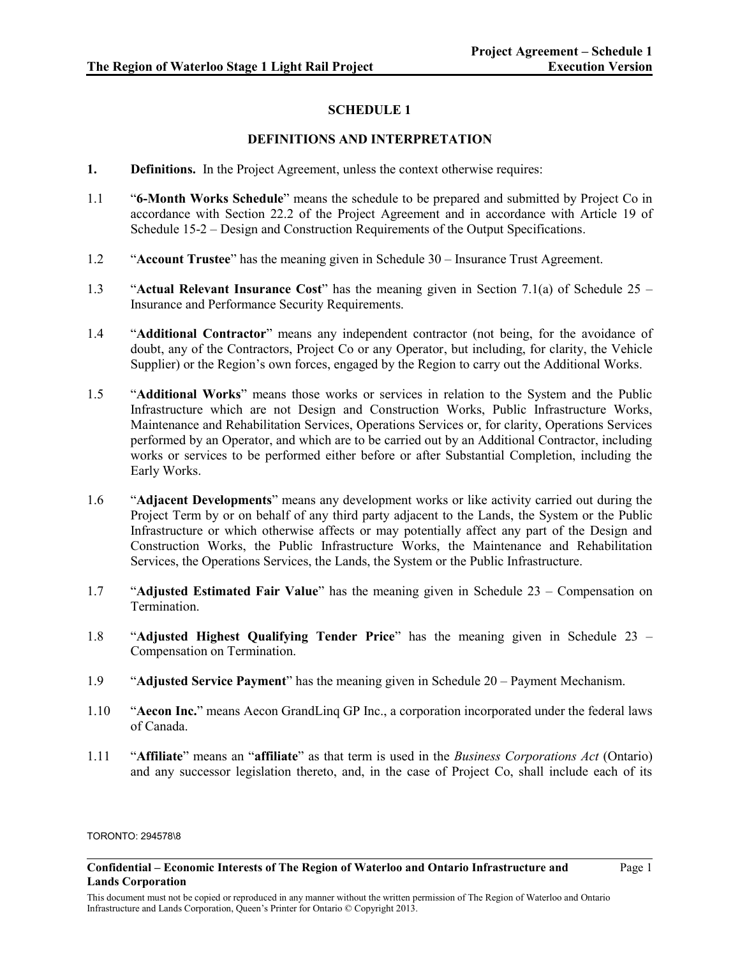## **SCHEDULE 1**

## **DEFINITIONS AND INTERPRETATION**

- **1. Definitions.** In the Project Agreement, unless the context otherwise requires:
- 1.1 "**6-Month Works Schedule**" means the schedule to be prepared and submitted by Project Co in accordance with Section 22.2 of the Project Agreement and in accordance with Article 19 of Schedule 15-2 – Design and Construction Requirements of the Output Specifications.
- 1.2 "**Account Trustee**" has the meaning given in Schedule 30 Insurance Trust Agreement.
- 1.3 "**Actual Relevant Insurance Cost**" has the meaning given in Section 7.1(a) of Schedule 25 Insurance and Performance Security Requirements.
- 1.4 "**Additional Contractor**" means any independent contractor (not being, for the avoidance of doubt, any of the Contractors, Project Co or any Operator, but including, for clarity, the Vehicle Supplier) or the Region's own forces, engaged by the Region to carry out the Additional Works.
- 1.5 "**Additional Works**" means those works or services in relation to the System and the Public Infrastructure which are not Design and Construction Works, Public Infrastructure Works, Maintenance and Rehabilitation Services, Operations Services or, for clarity, Operations Services performed by an Operator, and which are to be carried out by an Additional Contractor, including works or services to be performed either before or after Substantial Completion, including the Early Works.
- 1.6 "**Adjacent Developments**" means any development works or like activity carried out during the Project Term by or on behalf of any third party adjacent to the Lands, the System or the Public Infrastructure or which otherwise affects or may potentially affect any part of the Design and Construction Works, the Public Infrastructure Works, the Maintenance and Rehabilitation Services, the Operations Services, the Lands, the System or the Public Infrastructure.
- 1.7 "**Adjusted Estimated Fair Value**" has the meaning given in Schedule 23 Compensation on **Termination**
- 1.8 "**Adjusted Highest Qualifying Tender Price**" has the meaning given in Schedule 23 Compensation on Termination.
- 1.9 "**Adjusted Service Payment**" has the meaning given in Schedule 20 Payment Mechanism.
- 1.10 "**Aecon Inc.**" means Aecon GrandLinq GP Inc., a corporation incorporated under the federal laws of Canada.
- 1.11 "**Affiliate**" means an "**affiliate**" as that term is used in the *Business Corporations Act* (Ontario) and any successor legislation thereto, and, in the case of Project Co, shall include each of its

### TORONTO: 294578\8

**Confidential – Economic Interests of The Region of Waterloo and Ontario Infrastructure and Lands Corporation**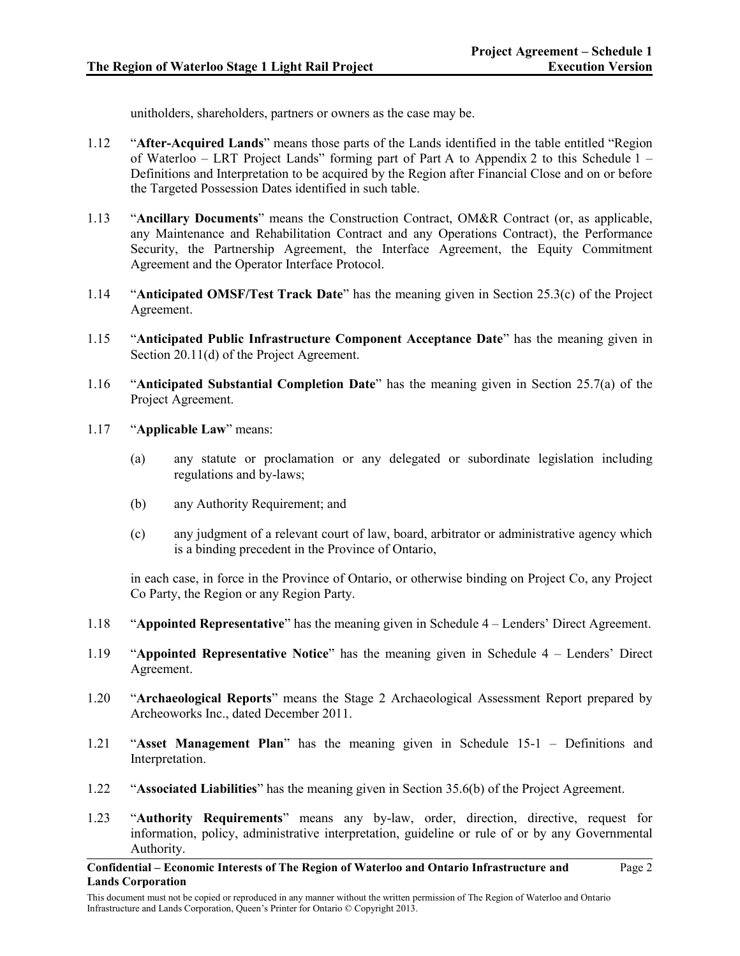unitholders, shareholders, partners or owners as the case may be.

- 1.12 "**After-Acquired Lands**" means those parts of the Lands identified in the table entitled "Region of Waterloo – LRT Project Lands" forming part of Part A to Appendix 2 to this Schedule 1 – Definitions and Interpretation to be acquired by the Region after Financial Close and on or before the Targeted Possession Dates identified in such table.
- 1.13 "**Ancillary Documents**" means the Construction Contract, OM&R Contract (or, as applicable, any Maintenance and Rehabilitation Contract and any Operations Contract), the Performance Security, the Partnership Agreement, the Interface Agreement, the Equity Commitment Agreement and the Operator Interface Protocol.
- 1.14 "**Anticipated OMSF/Test Track Date**" has the meaning given in Section 25.3(c) of the Project Agreement.
- 1.15 "**Anticipated Public Infrastructure Component Acceptance Date**" has the meaning given in Section 20.11(d) of the Project Agreement.
- 1.16 "**Anticipated Substantial Completion Date**" has the meaning given in Section 25.7(a) of the Project Agreement.
- 1.17 "**Applicable Law**" means:
	- (a) any statute or proclamation or any delegated or subordinate legislation including regulations and by-laws;
	- (b) any Authority Requirement; and
	- (c) any judgment of a relevant court of law, board, arbitrator or administrative agency which is a binding precedent in the Province of Ontario,

in each case, in force in the Province of Ontario, or otherwise binding on Project Co, any Project Co Party, the Region or any Region Party.

- 1.18 "**Appointed Representative**" has the meaning given in Schedule 4 Lenders' Direct Agreement.
- 1.19 "**Appointed Representative Notice**" has the meaning given in Schedule 4 Lenders' Direct Agreement.
- 1.20 "**Archaeological Reports**" means the Stage 2 Archaeological Assessment Report prepared by Archeoworks Inc., dated December 2011.
- 1.21 "**Asset Management Plan**" has the meaning given in Schedule 15-1 Definitions and Interpretation.
- 1.22 "**Associated Liabilities**" has the meaning given in Section 35.6(b) of the Project Agreement.
- 1.23 "**Authority Requirements**" means any by-law, order, direction, directive, request for information, policy, administrative interpretation, guideline or rule of or by any Governmental Authority.

**Confidential – Economic Interests of The Region of Waterloo and Ontario Infrastructure and Lands Corporation**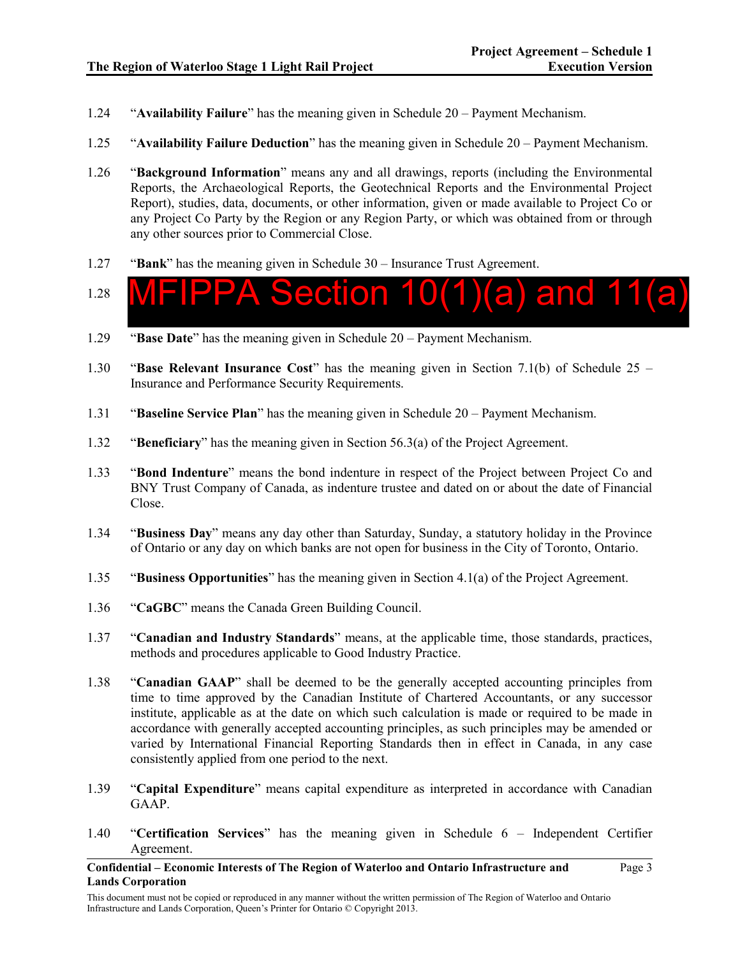- 1.24 "**Availability Failure**" has the meaning given in Schedule 20 Payment Mechanism.
- 1.25 "**Availability Failure Deduction**" has the meaning given in Schedule 20 Payment Mechanism.
- 1.26 "**Background Information**" means any and all drawings, reports (including the Environmental Reports, the Archaeological Reports, the Geotechnical Reports and the Environmental Project Report), studies, data, documents, or other information, given or made available to Project Co or any Project Co Party by the Region or any Region Party, or which was obtained from or through any other sources prior to Commercial Close.
- 1.27 "**Bank**" has the meaning given in Schedule 30 Insurance Trust Agreement.
- 1.28 Section  $10(1)(a)$  and 11
- 1.29 "**Base Date**" has the meaning given in Schedule 20 Payment Mechanism.
- 1.30 "**Base Relevant Insurance Cost**" has the meaning given in Section 7.1(b) of Schedule 25 Insurance and Performance Security Requirements.
- 1.31 "**Baseline Service Plan**" has the meaning given in Schedule 20 Payment Mechanism.
- 1.32 "**Beneficiary**" has the meaning given in Section 56.3(a) of the Project Agreement.
- 1.33 "**Bond Indenture**" means the bond indenture in respect of the Project between Project Co and BNY Trust Company of Canada, as indenture trustee and dated on or about the date of Financial Close.
- 1.34 "**Business Day**" means any day other than Saturday, Sunday, a statutory holiday in the Province of Ontario or any day on which banks are not open for business in the City of Toronto, Ontario.
- 1.35 "**Business Opportunities**" has the meaning given in Section 4.1(a) of the Project Agreement.
- 1.36 "**CaGBC**" means the Canada Green Building Council.
- 1.37 "**Canadian and Industry Standards**" means, at the applicable time, those standards, practices, methods and procedures applicable to Good Industry Practice.
- 1.38 "**Canadian GAAP**" shall be deemed to be the generally accepted accounting principles from time to time approved by the Canadian Institute of Chartered Accountants, or any successor institute, applicable as at the date on which such calculation is made or required to be made in accordance with generally accepted accounting principles, as such principles may be amended or varied by International Financial Reporting Standards then in effect in Canada, in any case consistently applied from one period to the next.
- 1.39 "**Capital Expenditure**" means capital expenditure as interpreted in accordance with Canadian GAAP.
- 1.40 "**Certification Services**" has the meaning given in Schedule 6 Independent Certifier Agreement.

**Confidential – Economic Interests of The Region of Waterloo and Ontario Infrastructure and Lands Corporation**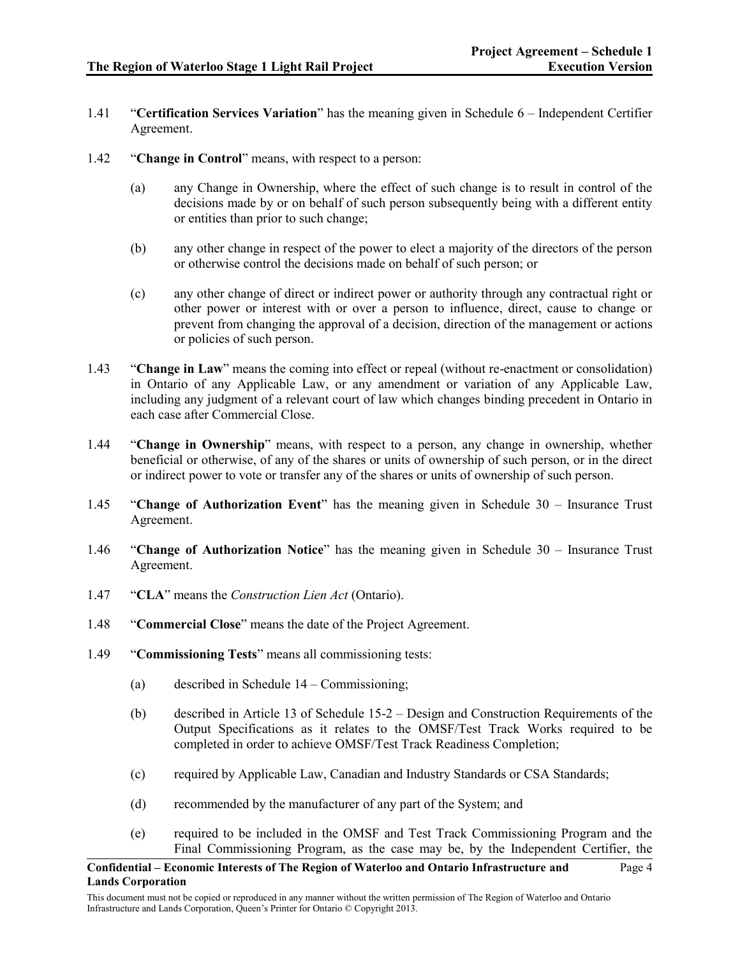- 1.41 "**Certification Services Variation**" has the meaning given in Schedule 6 Independent Certifier Agreement.
- 1.42 "**Change in Control**" means, with respect to a person:
	- (a) any Change in Ownership, where the effect of such change is to result in control of the decisions made by or on behalf of such person subsequently being with a different entity or entities than prior to such change;
	- (b) any other change in respect of the power to elect a majority of the directors of the person or otherwise control the decisions made on behalf of such person; or
	- (c) any other change of direct or indirect power or authority through any contractual right or other power or interest with or over a person to influence, direct, cause to change or prevent from changing the approval of a decision, direction of the management or actions or policies of such person.
- 1.43 "**Change in Law**" means the coming into effect or repeal (without re-enactment or consolidation) in Ontario of any Applicable Law, or any amendment or variation of any Applicable Law, including any judgment of a relevant court of law which changes binding precedent in Ontario in each case after Commercial Close.
- 1.44 "**Change in Ownership**" means, with respect to a person, any change in ownership, whether beneficial or otherwise, of any of the shares or units of ownership of such person, or in the direct or indirect power to vote or transfer any of the shares or units of ownership of such person.
- 1.45 "**Change of Authorization Event**" has the meaning given in Schedule 30 Insurance Trust Agreement.
- 1.46 "**Change of Authorization Notice**" has the meaning given in Schedule 30 Insurance Trust Agreement.
- 1.47 "**CLA**" means the *Construction Lien Act* (Ontario).
- 1.48 "**Commercial Close**" means the date of the Project Agreement.
- 1.49 "**Commissioning Tests**" means all commissioning tests:
	- (a) described in Schedule 14 Commissioning;
	- (b) described in Article 13 of Schedule 15-2 Design and Construction Requirements of the Output Specifications as it relates to the OMSF/Test Track Works required to be completed in order to achieve OMSF/Test Track Readiness Completion;
	- (c) required by Applicable Law, Canadian and Industry Standards or CSA Standards;
	- (d) recommended by the manufacturer of any part of the System; and
	- (e) required to be included in the OMSF and Test Track Commissioning Program and the Final Commissioning Program, as the case may be, by the Independent Certifier, the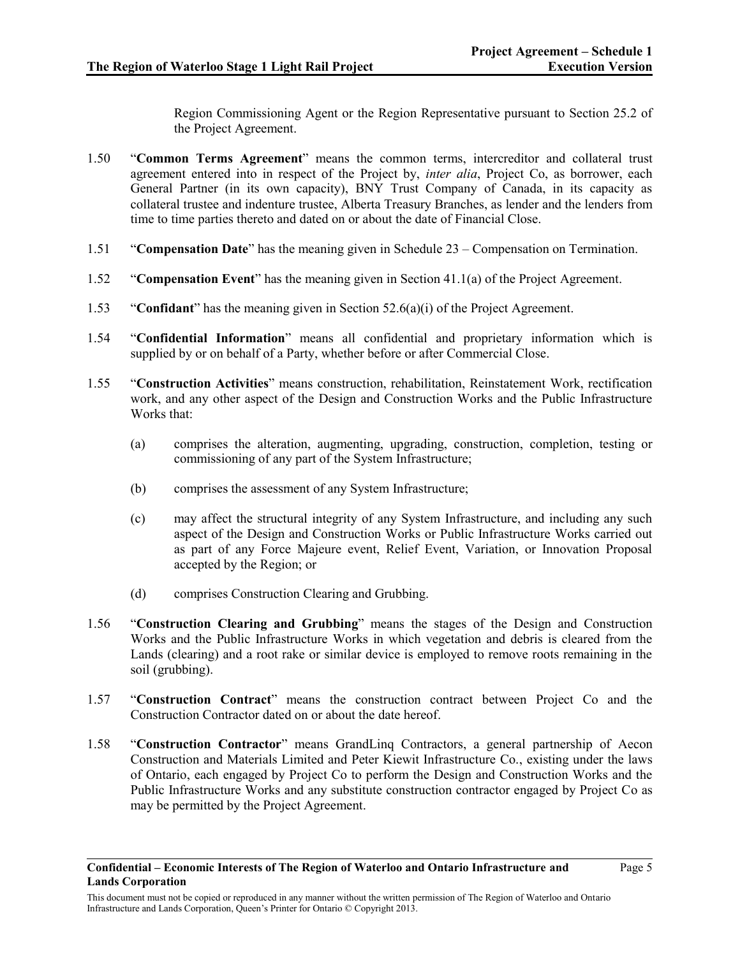Region Commissioning Agent or the Region Representative pursuant to Section 25.2 of the Project Agreement.

- 1.50 "**Common Terms Agreement**" means the common terms, intercreditor and collateral trust agreement entered into in respect of the Project by, *inter alia*, Project Co, as borrower, each General Partner (in its own capacity), BNY Trust Company of Canada, in its capacity as collateral trustee and indenture trustee, Alberta Treasury Branches, as lender and the lenders from time to time parties thereto and dated on or about the date of Financial Close.
- 1.51 "**Compensation Date**" has the meaning given in Schedule 23 Compensation on Termination.
- 1.52 "**Compensation Event**" has the meaning given in Section 41.1(a) of the Project Agreement.
- 1.53 "**Confidant**" has the meaning given in Section 52.6(a)(i) of the Project Agreement.
- 1.54 "**Confidential Information**" means all confidential and proprietary information which is supplied by or on behalf of a Party, whether before or after Commercial Close.
- 1.55 "**Construction Activities**" means construction, rehabilitation, Reinstatement Work, rectification work, and any other aspect of the Design and Construction Works and the Public Infrastructure Works that:
	- (a) comprises the alteration, augmenting, upgrading, construction, completion, testing or commissioning of any part of the System Infrastructure;
	- (b) comprises the assessment of any System Infrastructure;
	- (c) may affect the structural integrity of any System Infrastructure, and including any such aspect of the Design and Construction Works or Public Infrastructure Works carried out as part of any Force Majeure event, Relief Event, Variation, or Innovation Proposal accepted by the Region; or
	- (d) comprises Construction Clearing and Grubbing.
- 1.56 "**Construction Clearing and Grubbing**" means the stages of the Design and Construction Works and the Public Infrastructure Works in which vegetation and debris is cleared from the Lands (clearing) and a root rake or similar device is employed to remove roots remaining in the soil (grubbing).
- 1.57 "**Construction Contract**" means the construction contract between Project Co and the Construction Contractor dated on or about the date hereof.
- 1.58 "**Construction Contractor**" means GrandLinq Contractors, a general partnership of Aecon Construction and Materials Limited and Peter Kiewit Infrastructure Co., existing under the laws of Ontario, each engaged by Project Co to perform the Design and Construction Works and the Public Infrastructure Works and any substitute construction contractor engaged by Project Co as may be permitted by the Project Agreement.

This document must not be copied or reproduced in any manner without the written permission of The Region of Waterloo and Ontario Infrastructure and Lands Corporation, Queen's Printer for Ontario © Copyright 2013.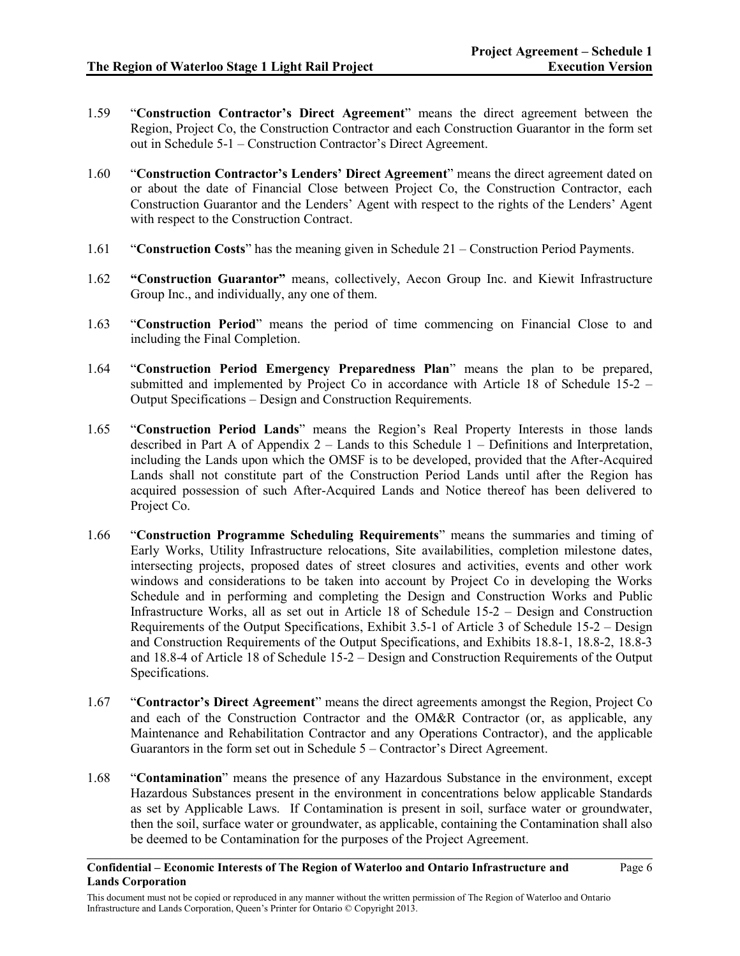- 1.59 "**Construction Contractor's Direct Agreement**" means the direct agreement between the Region, Project Co, the Construction Contractor and each Construction Guarantor in the form set out in Schedule 5-1 – Construction Contractor's Direct Agreement.
- 1.60 "**Construction Contractor's Lenders' Direct Agreement**" means the direct agreement dated on or about the date of Financial Close between Project Co, the Construction Contractor, each Construction Guarantor and the Lenders' Agent with respect to the rights of the Lenders' Agent with respect to the Construction Contract.
- 1.61 "**Construction Costs**" has the meaning given in Schedule 21 Construction Period Payments.
- 1.62 **"Construction Guarantor"** means, collectively, Aecon Group Inc. and Kiewit Infrastructure Group Inc., and individually, any one of them.
- 1.63 "**Construction Period**" means the period of time commencing on Financial Close to and including the Final Completion.
- 1.64 "**Construction Period Emergency Preparedness Plan**" means the plan to be prepared, submitted and implemented by Project Co in accordance with Article 18 of Schedule 15-2 – Output Specifications – Design and Construction Requirements.
- 1.65 "**Construction Period Lands**" means the Region's Real Property Interests in those lands described in Part A of Appendix 2 – Lands to this Schedule 1 – Definitions and Interpretation, including the Lands upon which the OMSF is to be developed, provided that the After-Acquired Lands shall not constitute part of the Construction Period Lands until after the Region has acquired possession of such After-Acquired Lands and Notice thereof has been delivered to Project Co.
- 1.66 "**Construction Programme Scheduling Requirements**" means the summaries and timing of Early Works, Utility Infrastructure relocations, Site availabilities, completion milestone dates, intersecting projects, proposed dates of street closures and activities, events and other work windows and considerations to be taken into account by Project Co in developing the Works Schedule and in performing and completing the Design and Construction Works and Public Infrastructure Works, all as set out in Article 18 of Schedule 15-2 – Design and Construction Requirements of the Output Specifications, Exhibit 3.5-1 of Article 3 of Schedule 15-2 – Design and Construction Requirements of the Output Specifications, and Exhibits 18.8-1, 18.8-2, 18.8-3 and 18.8-4 of Article 18 of Schedule 15-2 – Design and Construction Requirements of the Output Specifications.
- 1.67 "**Contractor's Direct Agreement**" means the direct agreements amongst the Region, Project Co and each of the Construction Contractor and the OM&R Contractor (or, as applicable, any Maintenance and Rehabilitation Contractor and any Operations Contractor), and the applicable Guarantors in the form set out in Schedule 5 – Contractor's Direct Agreement.
- 1.68 "**Contamination**" means the presence of any Hazardous Substance in the environment, except Hazardous Substances present in the environment in concentrations below applicable Standards as set by Applicable Laws. If Contamination is present in soil, surface water or groundwater, then the soil, surface water or groundwater, as applicable, containing the Contamination shall also be deemed to be Contamination for the purposes of the Project Agreement.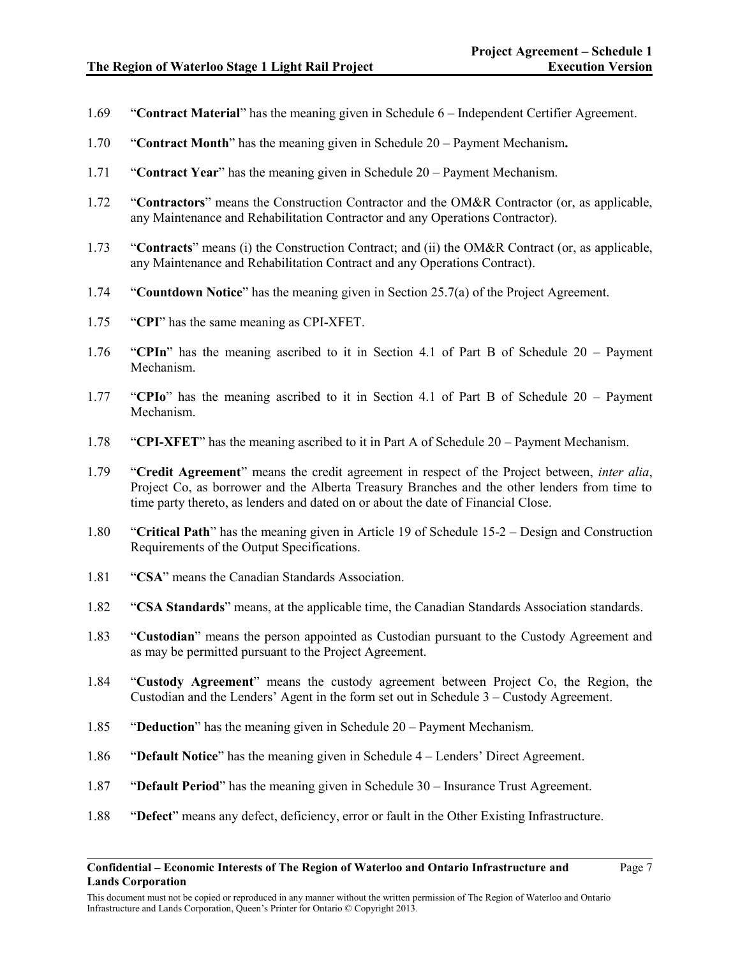- 1.69 "**Contract Material**" has the meaning given in Schedule 6 Independent Certifier Agreement.
- 1.70 "**Contract Month**" has the meaning given in Schedule 20 Payment Mechanism**.**
- 1.71 "**Contract Year**" has the meaning given in Schedule 20 Payment Mechanism.
- 1.72 "**Contractors**" means the Construction Contractor and the OM&R Contractor (or, as applicable, any Maintenance and Rehabilitation Contractor and any Operations Contractor).
- 1.73 "**Contracts**" means (i) the Construction Contract; and (ii) the OM&R Contract (or, as applicable, any Maintenance and Rehabilitation Contract and any Operations Contract).
- 1.74 "**Countdown Notice**" has the meaning given in Section 25.7(a) of the Project Agreement.
- 1.75 "**CPI**" has the same meaning as CPI-XFET.
- 1.76 "**CPIn**" has the meaning ascribed to it in Section 4.1 of Part B of Schedule 20 Payment Mechanism.
- 1.77 "**CPIo**" has the meaning ascribed to it in Section 4.1 of Part B of Schedule 20 Payment Mechanism.
- 1.78 "**CPI-XFET**" has the meaning ascribed to it in Part A of Schedule 20 Payment Mechanism.
- 1.79 "**Credit Agreement**" means the credit agreement in respect of the Project between, *inter alia*, Project Co, as borrower and the Alberta Treasury Branches and the other lenders from time to time party thereto, as lenders and dated on or about the date of Financial Close.
- 1.80 "**Critical Path**" has the meaning given in Article 19 of Schedule 15-2 Design and Construction Requirements of the Output Specifications.
- 1.81 "**CSA**" means the Canadian Standards Association.
- 1.82 "**CSA Standards**" means, at the applicable time, the Canadian Standards Association standards.
- 1.83 "**Custodian**" means the person appointed as Custodian pursuant to the Custody Agreement and as may be permitted pursuant to the Project Agreement.
- 1.84 "**Custody Agreement**" means the custody agreement between Project Co, the Region, the Custodian and the Lenders' Agent in the form set out in Schedule 3 – Custody Agreement.
- 1.85 "**Deduction**" has the meaning given in Schedule 20 Payment Mechanism.
- 1.86 "**Default Notice**" has the meaning given in Schedule 4 Lenders' Direct Agreement.
- 1.87 "**Default Period**" has the meaning given in Schedule 30 Insurance Trust Agreement.
- 1.88 "**Defect**" means any defect, deficiency, error or fault in the Other Existing Infrastructure.

This document must not be copied or reproduced in any manner without the written permission of The Region of Waterloo and Ontario Infrastructure and Lands Corporation, Queen's Printer for Ontario © Copyright 2013.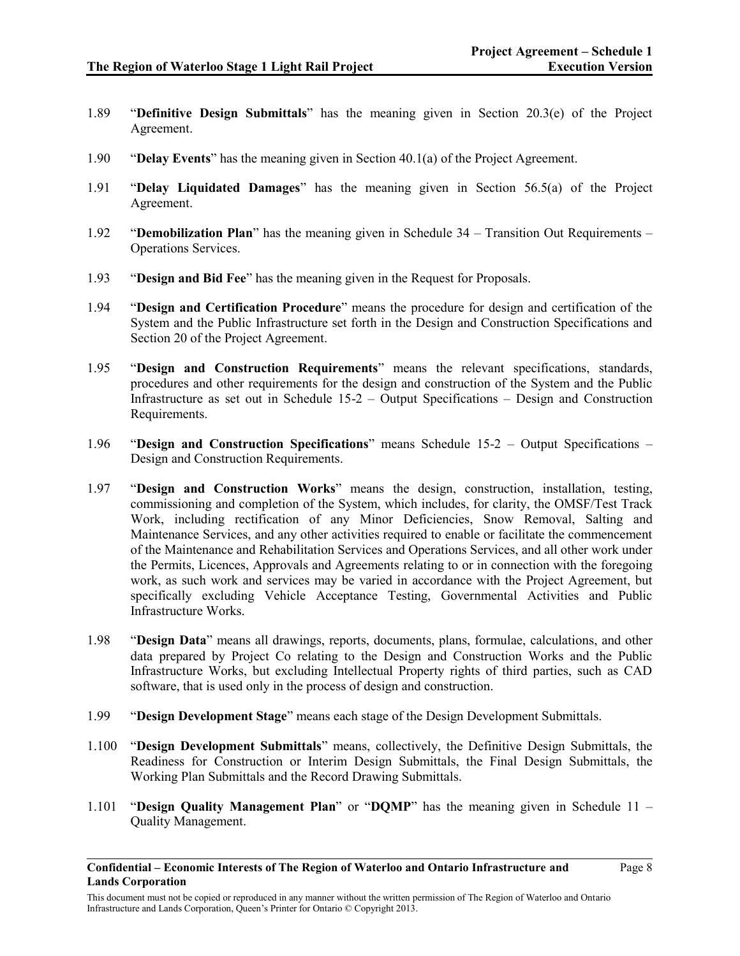- 1.89 "**Definitive Design Submittals**" has the meaning given in Section 20.3(e) of the Project Agreement.
- 1.90 "**Delay Events**" has the meaning given in Section 40.1(a) of the Project Agreement.
- 1.91 "**Delay Liquidated Damages**" has the meaning given in Section 56.5(a) of the Project Agreement.
- 1.92 "**Demobilization Plan**" has the meaning given in Schedule 34 Transition Out Requirements Operations Services.
- 1.93 "**Design and Bid Fee**" has the meaning given in the Request for Proposals.
- 1.94 "**Design and Certification Procedure**" means the procedure for design and certification of the System and the Public Infrastructure set forth in the Design and Construction Specifications and Section 20 of the Project Agreement.
- 1.95 "**Design and Construction Requirements**" means the relevant specifications, standards, procedures and other requirements for the design and construction of the System and the Public Infrastructure as set out in Schedule 15-2 – Output Specifications – Design and Construction Requirements.
- 1.96 "**Design and Construction Specifications**" means Schedule 15-2 Output Specifications Design and Construction Requirements.
- 1.97 "**Design and Construction Works**" means the design, construction, installation, testing, commissioning and completion of the System, which includes, for clarity, the OMSF/Test Track Work, including rectification of any Minor Deficiencies, Snow Removal, Salting and Maintenance Services, and any other activities required to enable or facilitate the commencement of the Maintenance and Rehabilitation Services and Operations Services, and all other work under the Permits, Licences, Approvals and Agreements relating to or in connection with the foregoing work, as such work and services may be varied in accordance with the Project Agreement, but specifically excluding Vehicle Acceptance Testing, Governmental Activities and Public Infrastructure Works.
- 1.98 "**Design Data**" means all drawings, reports, documents, plans, formulae, calculations, and other data prepared by Project Co relating to the Design and Construction Works and the Public Infrastructure Works, but excluding Intellectual Property rights of third parties, such as CAD software, that is used only in the process of design and construction.
- 1.99 "**Design Development Stage**" means each stage of the Design Development Submittals.
- 1.100 "**Design Development Submittals**" means, collectively, the Definitive Design Submittals, the Readiness for Construction or Interim Design Submittals, the Final Design Submittals, the Working Plan Submittals and the Record Drawing Submittals.
- 1.101 "**Design Quality Management Plan**" or "**DQMP**" has the meaning given in Schedule 11 Quality Management.
- **Confidential – Economic Interests of The Region of Waterloo and Ontario Infrastructure and Lands Corporation**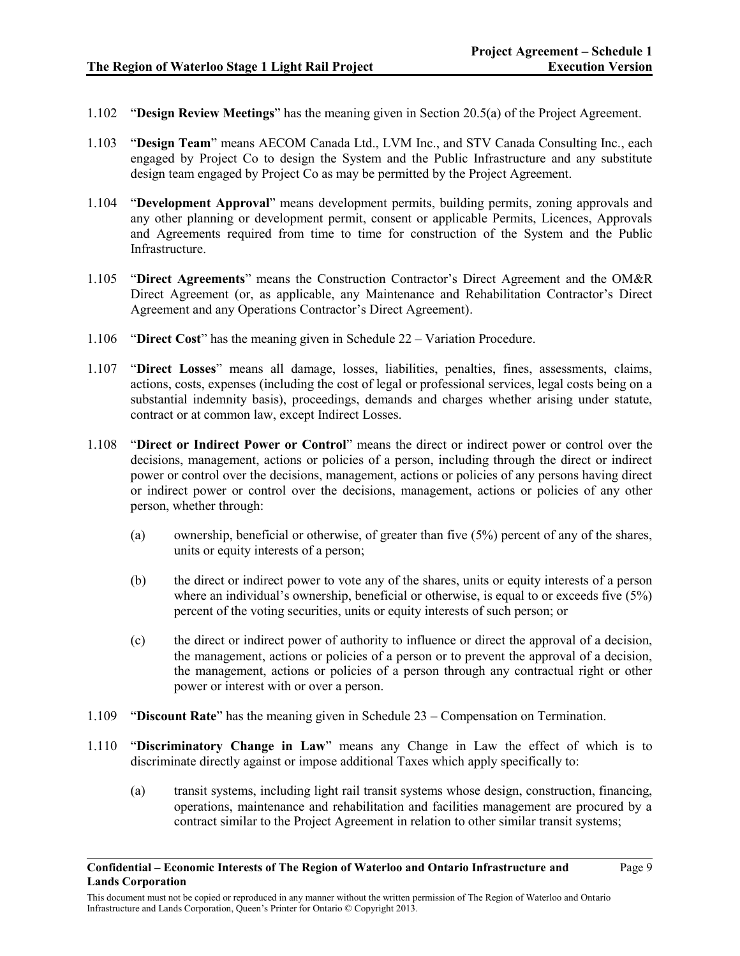- 1.102 "**Design Review Meetings**" has the meaning given in Section 20.5(a) of the Project Agreement.
- 1.103 "**Design Team**" means AECOM Canada Ltd., LVM Inc., and STV Canada Consulting Inc., each engaged by Project Co to design the System and the Public Infrastructure and any substitute design team engaged by Project Co as may be permitted by the Project Agreement.
- 1.104 "**Development Approval**" means development permits, building permits, zoning approvals and any other planning or development permit, consent or applicable Permits, Licences, Approvals and Agreements required from time to time for construction of the System and the Public **Infrastructure**
- 1.105 "**Direct Agreements**" means the Construction Contractor's Direct Agreement and the OM&R Direct Agreement (or, as applicable, any Maintenance and Rehabilitation Contractor's Direct Agreement and any Operations Contractor's Direct Agreement).
- 1.106 "**Direct Cost**" has the meaning given in Schedule 22 Variation Procedure.
- 1.107 "**Direct Losses**" means all damage, losses, liabilities, penalties, fines, assessments, claims, actions, costs, expenses (including the cost of legal or professional services, legal costs being on a substantial indemnity basis), proceedings, demands and charges whether arising under statute, contract or at common law, except Indirect Losses.
- 1.108 "**Direct or Indirect Power or Control**" means the direct or indirect power or control over the decisions, management, actions or policies of a person, including through the direct or indirect power or control over the decisions, management, actions or policies of any persons having direct or indirect power or control over the decisions, management, actions or policies of any other person, whether through:
	- (a) ownership, beneficial or otherwise, of greater than five (5%) percent of any of the shares, units or equity interests of a person;
	- (b) the direct or indirect power to vote any of the shares, units or equity interests of a person where an individual's ownership, beneficial or otherwise, is equal to or exceeds five (5%) percent of the voting securities, units or equity interests of such person; or
	- (c) the direct or indirect power of authority to influence or direct the approval of a decision, the management, actions or policies of a person or to prevent the approval of a decision, the management, actions or policies of a person through any contractual right or other power or interest with or over a person.
- 1.109 "**Discount Rate**" has the meaning given in Schedule 23 Compensation on Termination.
- 1.110 "**Discriminatory Change in Law**" means any Change in Law the effect of which is to discriminate directly against or impose additional Taxes which apply specifically to:
	- (a) transit systems, including light rail transit systems whose design, construction, financing, operations, maintenance and rehabilitation and facilities management are procured by a contract similar to the Project Agreement in relation to other similar transit systems;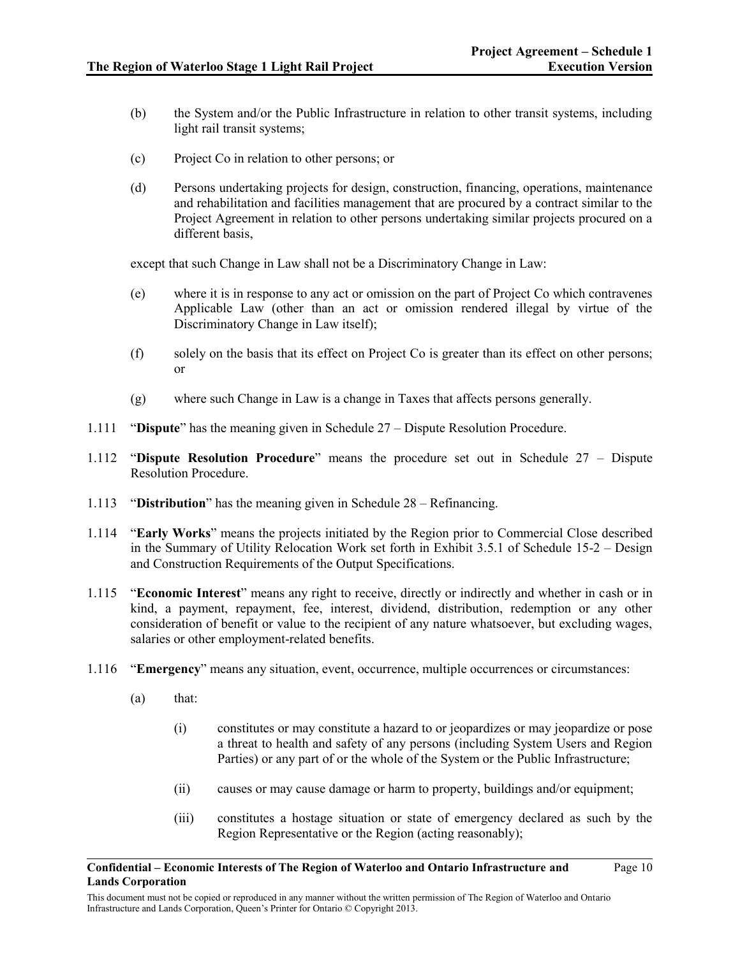- (b) the System and/or the Public Infrastructure in relation to other transit systems, including light rail transit systems;
- (c) Project Co in relation to other persons; or
- (d) Persons undertaking projects for design, construction, financing, operations, maintenance and rehabilitation and facilities management that are procured by a contract similar to the Project Agreement in relation to other persons undertaking similar projects procured on a different basis,

except that such Change in Law shall not be a Discriminatory Change in Law:

- (e) where it is in response to any act or omission on the part of Project Co which contravenes Applicable Law (other than an act or omission rendered illegal by virtue of the Discriminatory Change in Law itself);
- (f) solely on the basis that its effect on Project Co is greater than its effect on other persons; or
- (g) where such Change in Law is a change in Taxes that affects persons generally.
- 1.111 "**Dispute**" has the meaning given in Schedule 27 Dispute Resolution Procedure.
- 1.112 "**Dispute Resolution Procedure**" means the procedure set out in Schedule 27 Dispute Resolution Procedure.
- 1.113 "**Distribution**" has the meaning given in Schedule 28 Refinancing.
- 1.114 "**Early Works**" means the projects initiated by the Region prior to Commercial Close described in the Summary of Utility Relocation Work set forth in Exhibit 3.5.1 of Schedule 15-2 – Design and Construction Requirements of the Output Specifications.
- 1.115 "**Economic Interest**" means any right to receive, directly or indirectly and whether in cash or in kind, a payment, repayment, fee, interest, dividend, distribution, redemption or any other consideration of benefit or value to the recipient of any nature whatsoever, but excluding wages, salaries or other employment-related benefits.
- 1.116 "**Emergency**" means any situation, event, occurrence, multiple occurrences or circumstances:
	- (a) that:
		- (i) constitutes or may constitute a hazard to or jeopardizes or may jeopardize or pose a threat to health and safety of any persons (including System Users and Region Parties) or any part of or the whole of the System or the Public Infrastructure;
		- (ii) causes or may cause damage or harm to property, buildings and/or equipment;
		- (iii) constitutes a hostage situation or state of emergency declared as such by the Region Representative or the Region (acting reasonably);

Page 10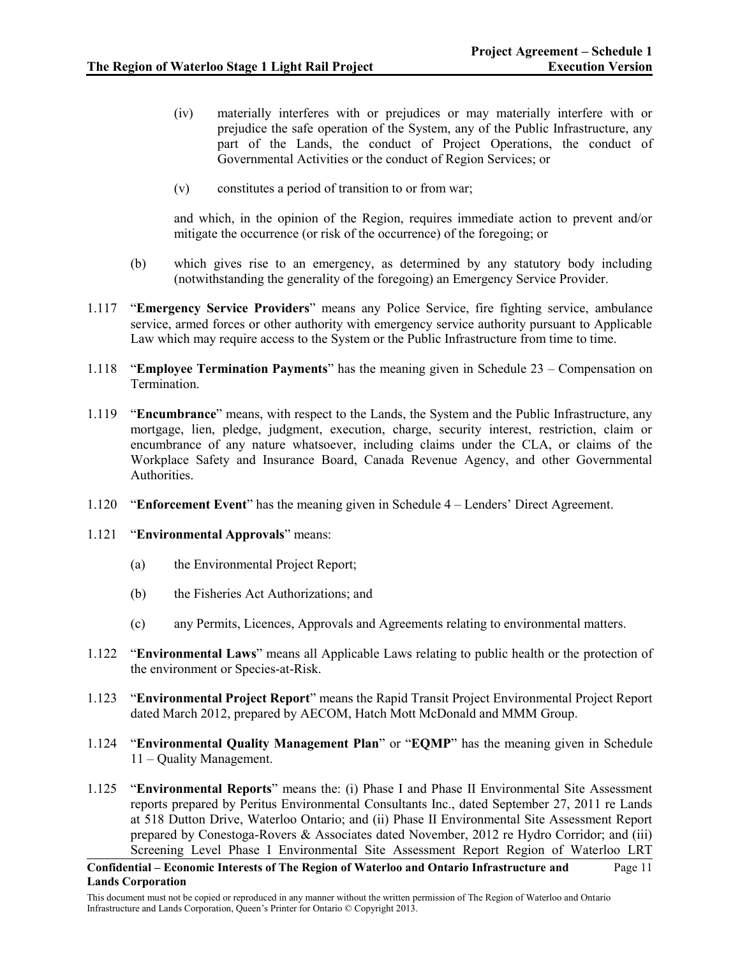- (iv) materially interferes with or prejudices or may materially interfere with or prejudice the safe operation of the System, any of the Public Infrastructure, any part of the Lands, the conduct of Project Operations, the conduct of Governmental Activities or the conduct of Region Services; or
- (v) constitutes a period of transition to or from war;

and which, in the opinion of the Region, requires immediate action to prevent and/or mitigate the occurrence (or risk of the occurrence) of the foregoing; or

- (b) which gives rise to an emergency, as determined by any statutory body including (notwithstanding the generality of the foregoing) an Emergency Service Provider.
- 1.117 "**Emergency Service Providers**" means any Police Service, fire fighting service, ambulance service, armed forces or other authority with emergency service authority pursuant to Applicable Law which may require access to the System or the Public Infrastructure from time to time.
- 1.118 "**Employee Termination Payments**" has the meaning given in Schedule 23 Compensation on **Termination**
- 1.119 "**Encumbrance**" means, with respect to the Lands, the System and the Public Infrastructure, any mortgage, lien, pledge, judgment, execution, charge, security interest, restriction, claim or encumbrance of any nature whatsoever, including claims under the CLA, or claims of the Workplace Safety and Insurance Board, Canada Revenue Agency, and other Governmental Authorities.
- 1.120 "**Enforcement Event**" has the meaning given in Schedule 4 Lenders' Direct Agreement.
- 1.121 "**Environmental Approvals**" means:
	- (a) the Environmental Project Report;
	- (b) the Fisheries Act Authorizations; and
	- (c) any Permits, Licences, Approvals and Agreements relating to environmental matters.
- 1.122 "**Environmental Laws**" means all Applicable Laws relating to public health or the protection of the environment or Species-at-Risk.
- 1.123 "**Environmental Project Report**" means the Rapid Transit Project Environmental Project Report dated March 2012, prepared by AECOM, Hatch Mott McDonald and MMM Group.
- 1.124 "**Environmental Quality Management Plan**" or "**EQMP**" has the meaning given in Schedule 11 – Quality Management.
- 1.125 "**Environmental Reports**" means the: (i) Phase I and Phase II Environmental Site Assessment reports prepared by Peritus Environmental Consultants Inc., dated September 27, 2011 re Lands at 518 Dutton Drive, Waterloo Ontario; and (ii) Phase II Environmental Site Assessment Report prepared by Conestoga-Rovers & Associates dated November, 2012 re Hydro Corridor; and (iii) Screening Level Phase I Environmental Site Assessment Report Region of Waterloo LRT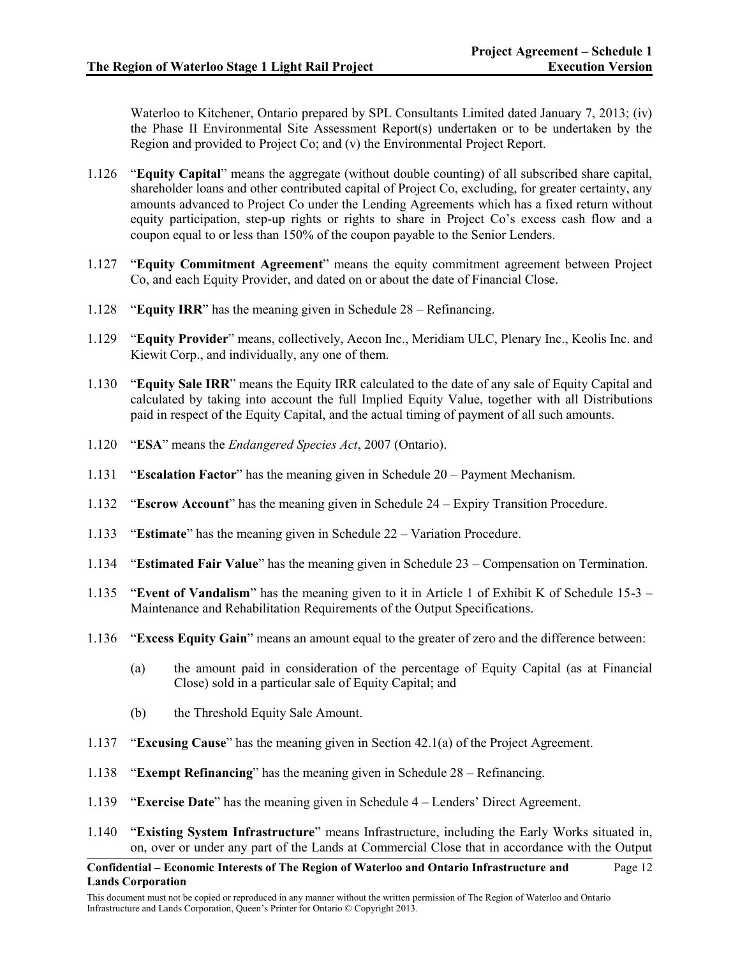Waterloo to Kitchener, Ontario prepared by SPL Consultants Limited dated January 7, 2013; (iv) the Phase II Environmental Site Assessment Report(s) undertaken or to be undertaken by the Region and provided to Project Co; and (v) the Environmental Project Report.

- 1.126 "**Equity Capital**" means the aggregate (without double counting) of all subscribed share capital, shareholder loans and other contributed capital of Project Co, excluding, for greater certainty, any amounts advanced to Project Co under the Lending Agreements which has a fixed return without equity participation, step-up rights or rights to share in Project Co's excess cash flow and a coupon equal to or less than 150% of the coupon payable to the Senior Lenders.
- 1.127 "**Equity Commitment Agreement**" means the equity commitment agreement between Project Co, and each Equity Provider, and dated on or about the date of Financial Close.
- 1.128 "**Equity IRR**" has the meaning given in Schedule 28 Refinancing.
- 1.129 "**Equity Provider**" means, collectively, Aecon Inc., Meridiam ULC, Plenary Inc., Keolis Inc. and Kiewit Corp., and individually, any one of them.
- 1.130 "**Equity Sale IRR**" means the Equity IRR calculated to the date of any sale of Equity Capital and calculated by taking into account the full Implied Equity Value, together with all Distributions paid in respect of the Equity Capital, and the actual timing of payment of all such amounts.
- 1.120 "**ESA**" means the *Endangered Species Act*, 2007 (Ontario).
- 1.131 "**Escalation Factor**" has the meaning given in Schedule 20 Payment Mechanism.
- 1.132 "**Escrow Account**" has the meaning given in Schedule 24 Expiry Transition Procedure.
- 1.133 "**Estimate**" has the meaning given in Schedule 22 Variation Procedure.
- 1.134 "**Estimated Fair Value**" has the meaning given in Schedule 23 Compensation on Termination.
- 1.135 "**Event of Vandalism**" has the meaning given to it in Article 1 of Exhibit K of Schedule 15-3 Maintenance and Rehabilitation Requirements of the Output Specifications.
- 1.136 "**Excess Equity Gain**" means an amount equal to the greater of zero and the difference between:
	- (a) the amount paid in consideration of the percentage of Equity Capital (as at Financial Close) sold in a particular sale of Equity Capital; and
	- (b) the Threshold Equity Sale Amount.
- 1.137 "**Excusing Cause**" has the meaning given in Section 42.1(a) of the Project Agreement.
- 1.138 "**Exempt Refinancing**" has the meaning given in Schedule 28 Refinancing.
- 1.139 "**Exercise Date**" has the meaning given in Schedule 4 Lenders' Direct Agreement.
- 1.140 "**Existing System Infrastructure**" means Infrastructure, including the Early Works situated in, on, over or under any part of the Lands at Commercial Close that in accordance with the Output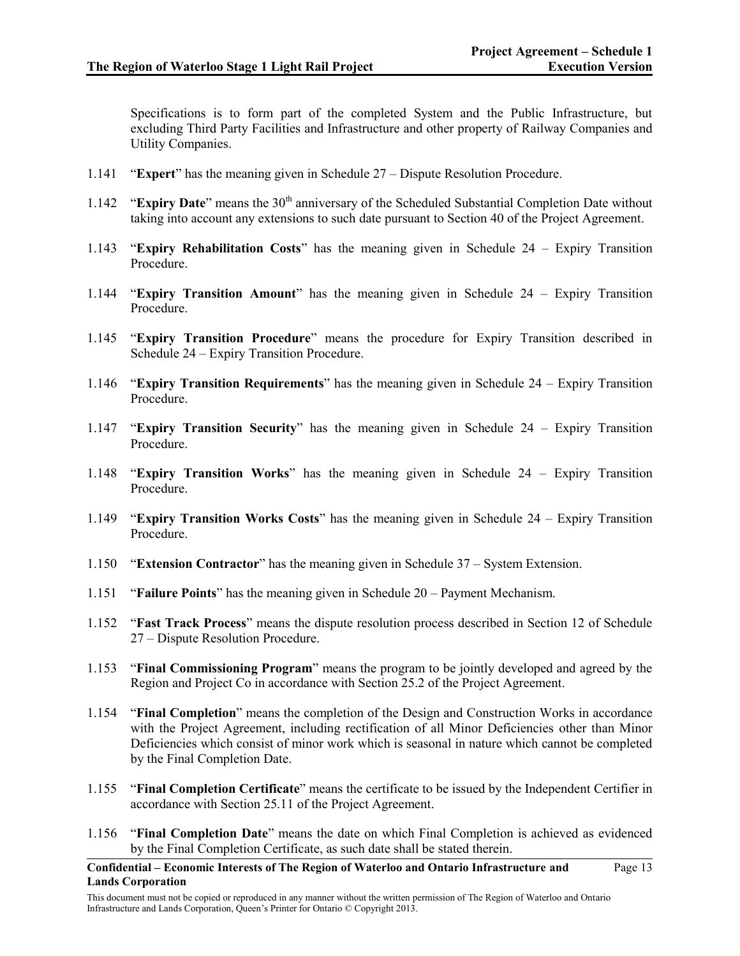Specifications is to form part of the completed System and the Public Infrastructure, but excluding Third Party Facilities and Infrastructure and other property of Railway Companies and Utility Companies.

- 1.141 "**Expert**" has the meaning given in Schedule 27 Dispute Resolution Procedure.
- 1.142 "**Expiry Date**" means the 30<sup>th</sup> anniversary of the Scheduled Substantial Completion Date without taking into account any extensions to such date pursuant to Section 40 of the Project Agreement.
- 1.143 "**Expiry Rehabilitation Costs**" has the meaning given in Schedule 24 Expiry Transition Procedure.
- 1.144 "**Expiry Transition Amount**" has the meaning given in Schedule 24 Expiry Transition Procedure.
- 1.145 "**Expiry Transition Procedure**" means the procedure for Expiry Transition described in Schedule 24 – Expiry Transition Procedure.
- 1.146 "**Expiry Transition Requirements**" has the meaning given in Schedule 24 Expiry Transition Procedure.
- 1.147 "**Expiry Transition Security**" has the meaning given in Schedule 24 Expiry Transition Procedure.
- 1.148 "**Expiry Transition Works**" has the meaning given in Schedule 24 Expiry Transition Procedure.
- 1.149 "**Expiry Transition Works Costs**" has the meaning given in Schedule 24 Expiry Transition Procedure.
- 1.150 "**Extension Contractor**" has the meaning given in Schedule 37 System Extension.
- 1.151 "**Failure Points**" has the meaning given in Schedule 20 Payment Mechanism.
- 1.152 "**Fast Track Process**" means the dispute resolution process described in Section 12 of Schedule 27 – Dispute Resolution Procedure.
- 1.153 "**Final Commissioning Program**" means the program to be jointly developed and agreed by the Region and Project Co in accordance with Section 25.2 of the Project Agreement.
- 1.154 "**Final Completion**" means the completion of the Design and Construction Works in accordance with the Project Agreement, including rectification of all Minor Deficiencies other than Minor Deficiencies which consist of minor work which is seasonal in nature which cannot be completed by the Final Completion Date.
- 1.155 "**Final Completion Certificate**" means the certificate to be issued by the Independent Certifier in accordance with Section 25.11 of the Project Agreement.
- 1.156 "**Final Completion Date**" means the date on which Final Completion is achieved as evidenced by the Final Completion Certificate, as such date shall be stated therein.
- **Confidential – Economic Interests of The Region of Waterloo and Ontario Infrastructure and Lands Corporation**

Page 13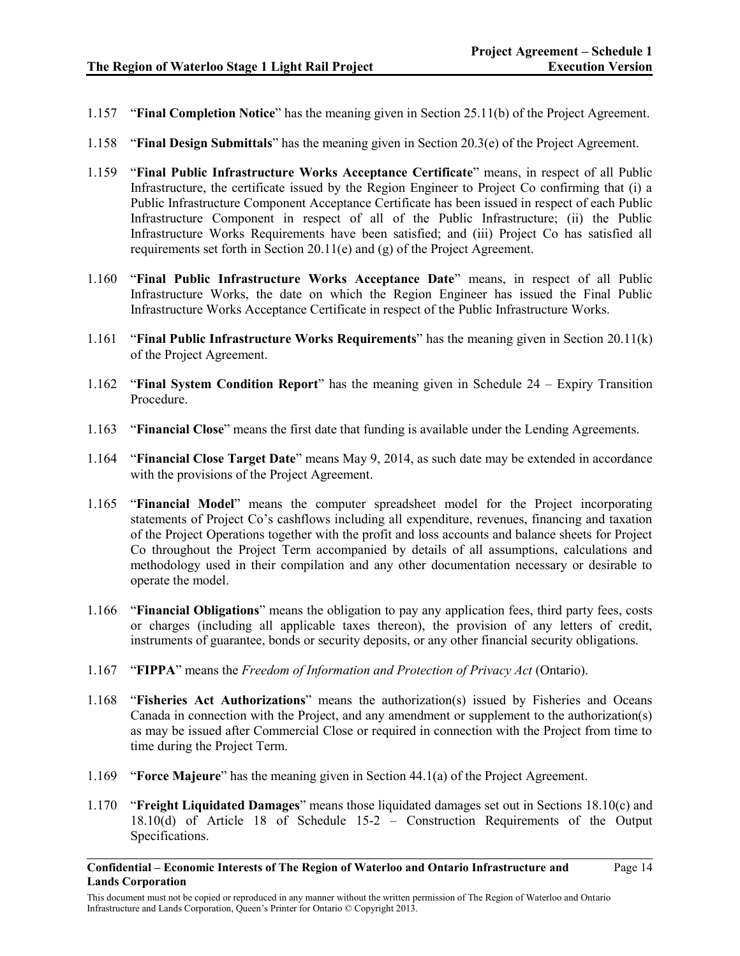- 1.157 "**Final Completion Notice**" has the meaning given in Section 25.11(b) of the Project Agreement.
- 1.158 "**Final Design Submittals**" has the meaning given in Section 20.3(e) of the Project Agreement.
- 1.159 "**Final Public Infrastructure Works Acceptance Certificate**" means, in respect of all Public Infrastructure, the certificate issued by the Region Engineer to Project Co confirming that (i) a Public Infrastructure Component Acceptance Certificate has been issued in respect of each Public Infrastructure Component in respect of all of the Public Infrastructure; (ii) the Public Infrastructure Works Requirements have been satisfied; and (iii) Project Co has satisfied all requirements set forth in Section 20.11(e) and (g) of the Project Agreement.
- 1.160 "**Final Public Infrastructure Works Acceptance Date**" means, in respect of all Public Infrastructure Works, the date on which the Region Engineer has issued the Final Public Infrastructure Works Acceptance Certificate in respect of the Public Infrastructure Works.
- 1.161 "**Final Public Infrastructure Works Requirements**" has the meaning given in Section 20.11(k) of the Project Agreement.
- 1.162 "**Final System Condition Report**" has the meaning given in Schedule 24 Expiry Transition Procedure.
- 1.163 "**Financial Close**" means the first date that funding is available under the Lending Agreements.
- 1.164 "**Financial Close Target Date**" means May 9, 2014, as such date may be extended in accordance with the provisions of the Project Agreement.
- 1.165 "**Financial Model**" means the computer spreadsheet model for the Project incorporating statements of Project Co's cashflows including all expenditure, revenues, financing and taxation of the Project Operations together with the profit and loss accounts and balance sheets for Project Co throughout the Project Term accompanied by details of all assumptions, calculations and methodology used in their compilation and any other documentation necessary or desirable to operate the model.
- 1.166 "**Financial Obligations**" means the obligation to pay any application fees, third party fees, costs or charges (including all applicable taxes thereon), the provision of any letters of credit, instruments of guarantee, bonds or security deposits, or any other financial security obligations.
- 1.167 "**FIPPA**" means the *Freedom of Information and Protection of Privacy Act* (Ontario).
- 1.168 "**Fisheries Act Authorizations**" means the authorization(s) issued by Fisheries and Oceans Canada in connection with the Project, and any amendment or supplement to the authorization(s) as may be issued after Commercial Close or required in connection with the Project from time to time during the Project Term.
- 1.169 "**Force Majeure**" has the meaning given in Section 44.1(a) of the Project Agreement.
- 1.170 "**Freight Liquidated Damages**" means those liquidated damages set out in Sections 18.10(c) and 18.10(d) of Article 18 of Schedule 15-2 – Construction Requirements of the Output Specifications.

**Confidential – Economic Interests of The Region of Waterloo and Ontario Infrastructure and Lands Corporation**

This document must not be copied or reproduced in any manner without the written permission of The Region of Waterloo and Ontario Infrastructure and Lands Corporation, Queen's Printer for Ontario © Copyright 2013.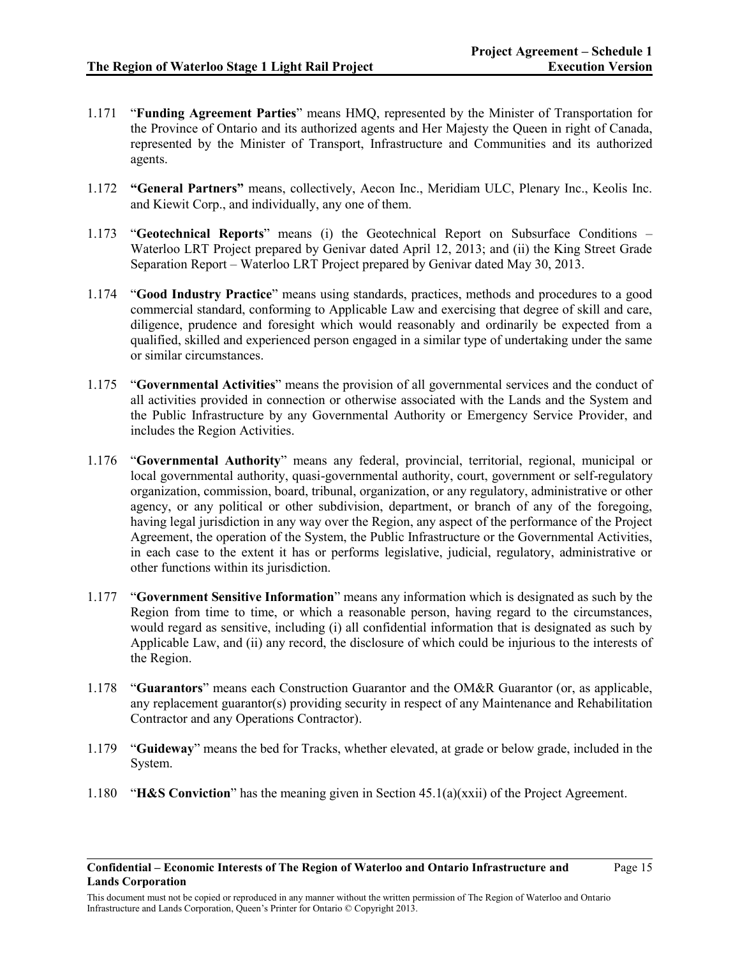- 1.171 "**Funding Agreement Parties**" means HMQ, represented by the Minister of Transportation for the Province of Ontario and its authorized agents and Her Majesty the Queen in right of Canada, represented by the Minister of Transport, Infrastructure and Communities and its authorized agents.
- 1.172 **"General Partners"** means, collectively, Aecon Inc., Meridiam ULC, Plenary Inc., Keolis Inc. and Kiewit Corp., and individually, any one of them.
- 1.173 "**Geotechnical Reports**" means (i) the Geotechnical Report on Subsurface Conditions Waterloo LRT Project prepared by Genivar dated April 12, 2013; and (ii) the King Street Grade Separation Report – Waterloo LRT Project prepared by Genivar dated May 30, 2013.
- 1.174 "**Good Industry Practice**" means using standards, practices, methods and procedures to a good commercial standard, conforming to Applicable Law and exercising that degree of skill and care, diligence, prudence and foresight which would reasonably and ordinarily be expected from a qualified, skilled and experienced person engaged in a similar type of undertaking under the same or similar circumstances.
- 1.175 "**Governmental Activities**" means the provision of all governmental services and the conduct of all activities provided in connection or otherwise associated with the Lands and the System and the Public Infrastructure by any Governmental Authority or Emergency Service Provider, and includes the Region Activities.
- 1.176 "**Governmental Authority**" means any federal, provincial, territorial, regional, municipal or local governmental authority, quasi-governmental authority, court, government or self-regulatory organization, commission, board, tribunal, organization, or any regulatory, administrative or other agency, or any political or other subdivision, department, or branch of any of the foregoing, having legal jurisdiction in any way over the Region, any aspect of the performance of the Project Agreement, the operation of the System, the Public Infrastructure or the Governmental Activities, in each case to the extent it has or performs legislative, judicial, regulatory, administrative or other functions within its jurisdiction.
- 1.177 "**Government Sensitive Information**" means any information which is designated as such by the Region from time to time, or which a reasonable person, having regard to the circumstances, would regard as sensitive, including (i) all confidential information that is designated as such by Applicable Law, and (ii) any record, the disclosure of which could be injurious to the interests of the Region.
- 1.178 "**Guarantors**" means each Construction Guarantor and the OM&R Guarantor (or, as applicable, any replacement guarantor(s) providing security in respect of any Maintenance and Rehabilitation Contractor and any Operations Contractor).
- 1.179 "**Guideway**" means the bed for Tracks, whether elevated, at grade or below grade, included in the System.
- 1.180 "**H&S Conviction**" has the meaning given in Section 45.1(a)(xxii) of the Project Agreement.

This document must not be copied or reproduced in any manner without the written permission of The Region of Waterloo and Ontario Infrastructure and Lands Corporation, Queen's Printer for Ontario © Copyright 2013.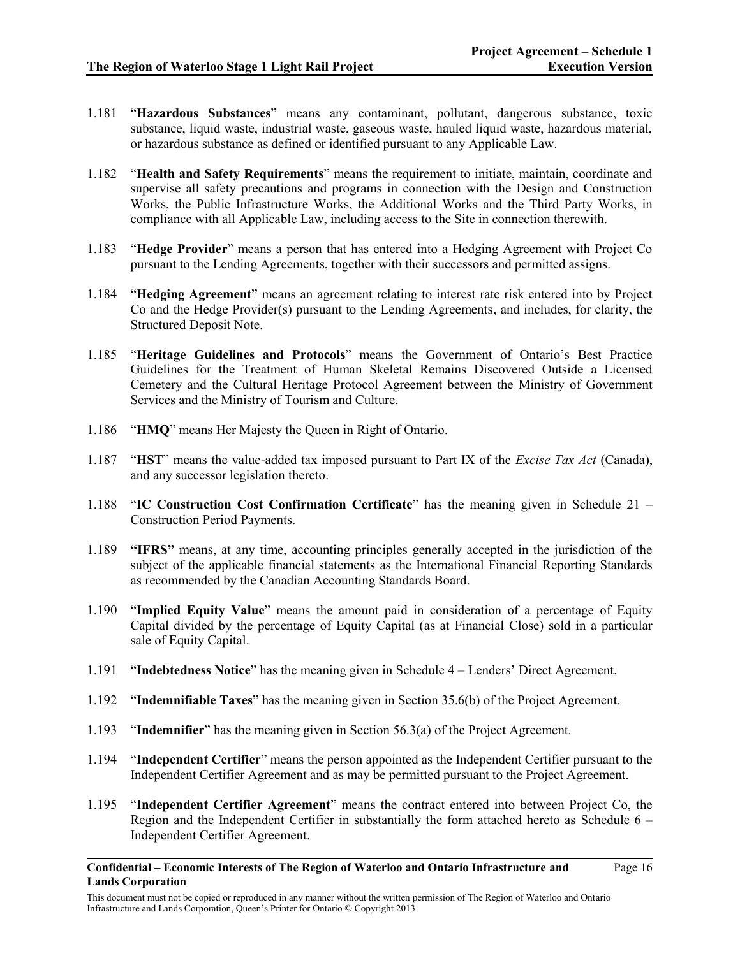Page 16

- 1.181 "**Hazardous Substances**" means any contaminant, pollutant, dangerous substance, toxic substance, liquid waste, industrial waste, gaseous waste, hauled liquid waste, hazardous material, or hazardous substance as defined or identified pursuant to any Applicable Law.
- 1.182 "**Health and Safety Requirements**" means the requirement to initiate, maintain, coordinate and supervise all safety precautions and programs in connection with the Design and Construction Works, the Public Infrastructure Works, the Additional Works and the Third Party Works, in compliance with all Applicable Law, including access to the Site in connection therewith.
- 1.183 "**Hedge Provider**" means a person that has entered into a Hedging Agreement with Project Co pursuant to the Lending Agreements, together with their successors and permitted assigns.
- 1.184 "**Hedging Agreement**" means an agreement relating to interest rate risk entered into by Project Co and the Hedge Provider(s) pursuant to the Lending Agreements, and includes, for clarity, the Structured Deposit Note.
- 1.185 "**Heritage Guidelines and Protocols**" means the Government of Ontario's Best Practice Guidelines for the Treatment of Human Skeletal Remains Discovered Outside a Licensed Cemetery and the Cultural Heritage Protocol Agreement between the Ministry of Government Services and the Ministry of Tourism and Culture.
- 1.186 "**HMQ**" means Her Majesty the Queen in Right of Ontario.
- 1.187 "**HST**" means the value-added tax imposed pursuant to Part IX of the *Excise Tax Act* (Canada), and any successor legislation thereto.
- 1.188 "**IC Construction Cost Confirmation Certificate**" has the meaning given in Schedule 21 Construction Period Payments.
- 1.189 **"IFRS"** means, at any time, accounting principles generally accepted in the jurisdiction of the subject of the applicable financial statements as the International Financial Reporting Standards as recommended by the Canadian Accounting Standards Board.
- 1.190 "**Implied Equity Value**" means the amount paid in consideration of a percentage of Equity Capital divided by the percentage of Equity Capital (as at Financial Close) sold in a particular sale of Equity Capital.
- 1.191 "**Indebtedness Notice**" has the meaning given in Schedule 4 Lenders' Direct Agreement.
- 1.192 "**Indemnifiable Taxes**" has the meaning given in Section 35.6(b) of the Project Agreement.
- 1.193 "**Indemnifier**" has the meaning given in Section 56.3(a) of the Project Agreement.
- 1.194 "**Independent Certifier**" means the person appointed as the Independent Certifier pursuant to the Independent Certifier Agreement and as may be permitted pursuant to the Project Agreement.
- 1.195 "**Independent Certifier Agreement**" means the contract entered into between Project Co, the Region and the Independent Certifier in substantially the form attached hereto as Schedule 6 – Independent Certifier Agreement.
- **Confidential – Economic Interests of The Region of Waterloo and Ontario Infrastructure and Lands Corporation**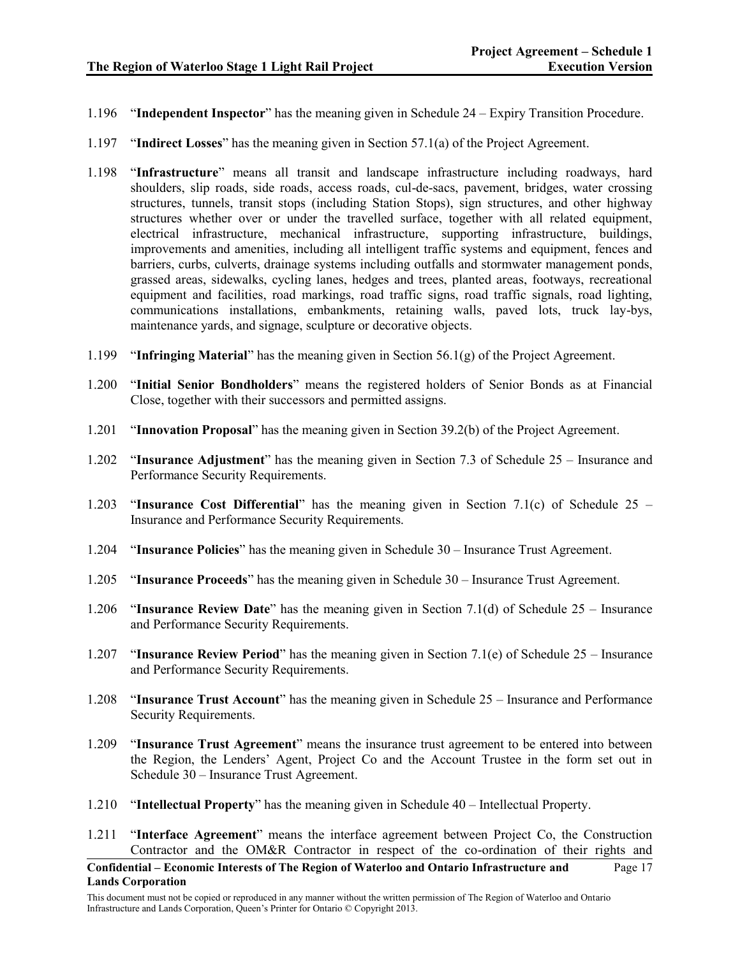- 1.196 "**Independent Inspector**" has the meaning given in Schedule 24 Expiry Transition Procedure.
- 1.197 "**Indirect Losses**" has the meaning given in Section 57.1(a) of the Project Agreement.
- 1.198 "**Infrastructure**" means all transit and landscape infrastructure including roadways, hard shoulders, slip roads, side roads, access roads, cul-de-sacs, pavement, bridges, water crossing structures, tunnels, transit stops (including Station Stops), sign structures, and other highway structures whether over or under the travelled surface, together with all related equipment, electrical infrastructure, mechanical infrastructure, supporting infrastructure, buildings, improvements and amenities, including all intelligent traffic systems and equipment, fences and barriers, curbs, culverts, drainage systems including outfalls and stormwater management ponds, grassed areas, sidewalks, cycling lanes, hedges and trees, planted areas, footways, recreational equipment and facilities, road markings, road traffic signs, road traffic signals, road lighting, communications installations, embankments, retaining walls, paved lots, truck lay-bys, maintenance yards, and signage, sculpture or decorative objects.
- 1.199 "**Infringing Material**" has the meaning given in Section 56.1(g) of the Project Agreement.
- 1.200 "**Initial Senior Bondholders**" means the registered holders of Senior Bonds as at Financial Close, together with their successors and permitted assigns.
- 1.201 "**Innovation Proposal**" has the meaning given in Section 39.2(b) of the Project Agreement.
- 1.202 "**Insurance Adjustment**" has the meaning given in Section 7.3 of Schedule 25 Insurance and Performance Security Requirements.
- 1.203 "**Insurance Cost Differential**" has the meaning given in Section 7.1(c) of Schedule 25 Insurance and Performance Security Requirements.
- 1.204 "**Insurance Policies**" has the meaning given in Schedule 30 Insurance Trust Agreement.
- 1.205 "**Insurance Proceeds**" has the meaning given in Schedule 30 Insurance Trust Agreement.
- 1.206 "**Insurance Review Date**" has the meaning given in Section 7.1(d) of Schedule 25 Insurance and Performance Security Requirements.
- 1.207 "**Insurance Review Period**" has the meaning given in Section 7.1(e) of Schedule 25 Insurance and Performance Security Requirements.
- 1.208 "**Insurance Trust Account**" has the meaning given in Schedule 25 Insurance and Performance Security Requirements.
- 1.209 "**Insurance Trust Agreement**" means the insurance trust agreement to be entered into between the Region, the Lenders' Agent, Project Co and the Account Trustee in the form set out in Schedule 30 – Insurance Trust Agreement.
- 1.210 "**Intellectual Property**" has the meaning given in Schedule 40 Intellectual Property.
- 1.211 "**Interface Agreement**" means the interface agreement between Project Co, the Construction Contractor and the OM&R Contractor in respect of the co-ordination of their rights and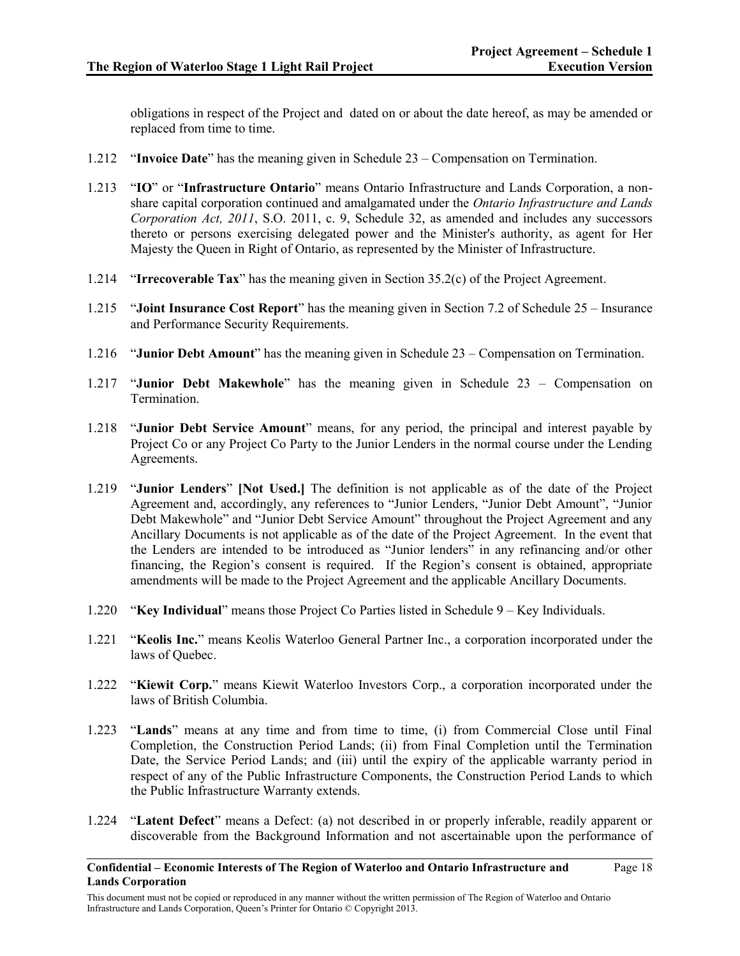Page 18

obligations in respect of the Project and dated on or about the date hereof, as may be amended or replaced from time to time.

- 1.212 "**Invoice Date**" has the meaning given in Schedule 23 Compensation on Termination.
- 1.213 "**IO**" or "**Infrastructure Ontario**" means Ontario Infrastructure and Lands Corporation, a nonshare capital corporation continued and amalgamated under the *Ontario Infrastructure and Lands Corporation Act, 2011*, S.O. 2011, c. 9, Schedule 32, as amended and includes any successors thereto or persons exercising delegated power and the Minister's authority, as agent for Her Majesty the Queen in Right of Ontario, as represented by the Minister of Infrastructure.
- 1.214 "**Irrecoverable Tax**" has the meaning given in Section 35.2(c) of the Project Agreement.
- 1.215 "**Joint Insurance Cost Report**" has the meaning given in Section 7.2 of Schedule 25 Insurance and Performance Security Requirements.
- 1.216 "**Junior Debt Amount**" has the meaning given in Schedule 23 Compensation on Termination.
- 1.217 "**Junior Debt Makewhole**" has the meaning given in Schedule 23 Compensation on Termination.
- 1.218 "**Junior Debt Service Amount**" means, for any period, the principal and interest payable by Project Co or any Project Co Party to the Junior Lenders in the normal course under the Lending Agreements.
- 1.219 "**Junior Lenders**" **[Not Used.]** The definition is not applicable as of the date of the Project Agreement and, accordingly, any references to "Junior Lenders, "Junior Debt Amount", "Junior Debt Makewhole" and "Junior Debt Service Amount" throughout the Project Agreement and any Ancillary Documents is not applicable as of the date of the Project Agreement. In the event that the Lenders are intended to be introduced as "Junior lenders" in any refinancing and/or other financing, the Region's consent is required. If the Region's consent is obtained, appropriate amendments will be made to the Project Agreement and the applicable Ancillary Documents.
- 1.220 "**Key Individual**" means those Project Co Parties listed in Schedule 9 Key Individuals.
- 1.221 "**Keolis Inc.**" means Keolis Waterloo General Partner Inc., a corporation incorporated under the laws of Quebec.
- 1.222 "**Kiewit Corp.**" means Kiewit Waterloo Investors Corp., a corporation incorporated under the laws of British Columbia.
- 1.223 "**Lands**" means at any time and from time to time, (i) from Commercial Close until Final Completion, the Construction Period Lands; (ii) from Final Completion until the Termination Date, the Service Period Lands; and (iii) until the expiry of the applicable warranty period in respect of any of the Public Infrastructure Components, the Construction Period Lands to which the Public Infrastructure Warranty extends.
- 1.224 "**Latent Defect**" means a Defect: (a) not described in or properly inferable, readily apparent or discoverable from the Background Information and not ascertainable upon the performance of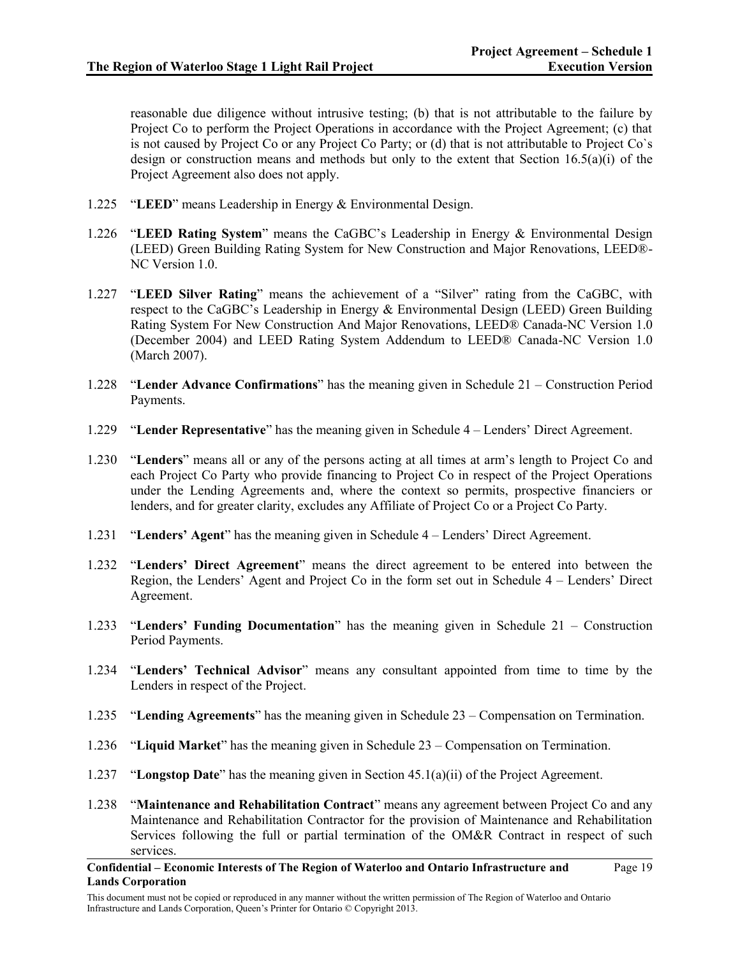reasonable due diligence without intrusive testing; (b) that is not attributable to the failure by Project Co to perform the Project Operations in accordance with the Project Agreement; (c) that is not caused by Project Co or any Project Co Party; or (d) that is not attributable to Project Co`s design or construction means and methods but only to the extent that Section 16.5(a)(i) of the Project Agreement also does not apply.

- 1.225 "**LEED**" means Leadership in Energy & Environmental Design.
- 1.226 "**LEED Rating System**" means the CaGBC's Leadership in Energy & Environmental Design (LEED) Green Building Rating System for New Construction and Major Renovations, LEED®- NC Version 1.0.
- 1.227 "**LEED Silver Rating**" means the achievement of a "Silver" rating from the CaGBC, with respect to the CaGBC's Leadership in Energy & Environmental Design (LEED) Green Building Rating System For New Construction And Major Renovations, LEED® Canada-NC Version 1.0 (December 2004) and LEED Rating System Addendum to LEED® Canada-NC Version 1.0 (March 2007).
- 1.228 "**Lender Advance Confirmations**" has the meaning given in Schedule 21 Construction Period Payments.
- 1.229 "**Lender Representative**" has the meaning given in Schedule 4 Lenders' Direct Agreement.
- 1.230 "**Lenders**" means all or any of the persons acting at all times at arm's length to Project Co and each Project Co Party who provide financing to Project Co in respect of the Project Operations under the Lending Agreements and, where the context so permits, prospective financiers or lenders, and for greater clarity, excludes any Affiliate of Project Co or a Project Co Party.
- 1.231 "**Lenders' Agent**" has the meaning given in Schedule 4 Lenders' Direct Agreement.
- 1.232 "**Lenders' Direct Agreement**" means the direct agreement to be entered into between the Region, the Lenders' Agent and Project Co in the form set out in Schedule 4 – Lenders' Direct Agreement.
- 1.233 "**Lenders' Funding Documentation**" has the meaning given in Schedule 21 Construction Period Payments.
- 1.234 "**Lenders' Technical Advisor**" means any consultant appointed from time to time by the Lenders in respect of the Project.
- 1.235 "**Lending Agreements**" has the meaning given in Schedule 23 Compensation on Termination.
- 1.236 "**Liquid Market**" has the meaning given in Schedule 23 Compensation on Termination.
- 1.237 "**Longstop Date**" has the meaning given in Section 45.1(a)(ii) of the Project Agreement.
- 1.238 "**Maintenance and Rehabilitation Contract**" means any agreement between Project Co and any Maintenance and Rehabilitation Contractor for the provision of Maintenance and Rehabilitation Services following the full or partial termination of the OM&R Contract in respect of such services.
- **Confidential – Economic Interests of The Region of Waterloo and Ontario Infrastructure and Lands Corporation**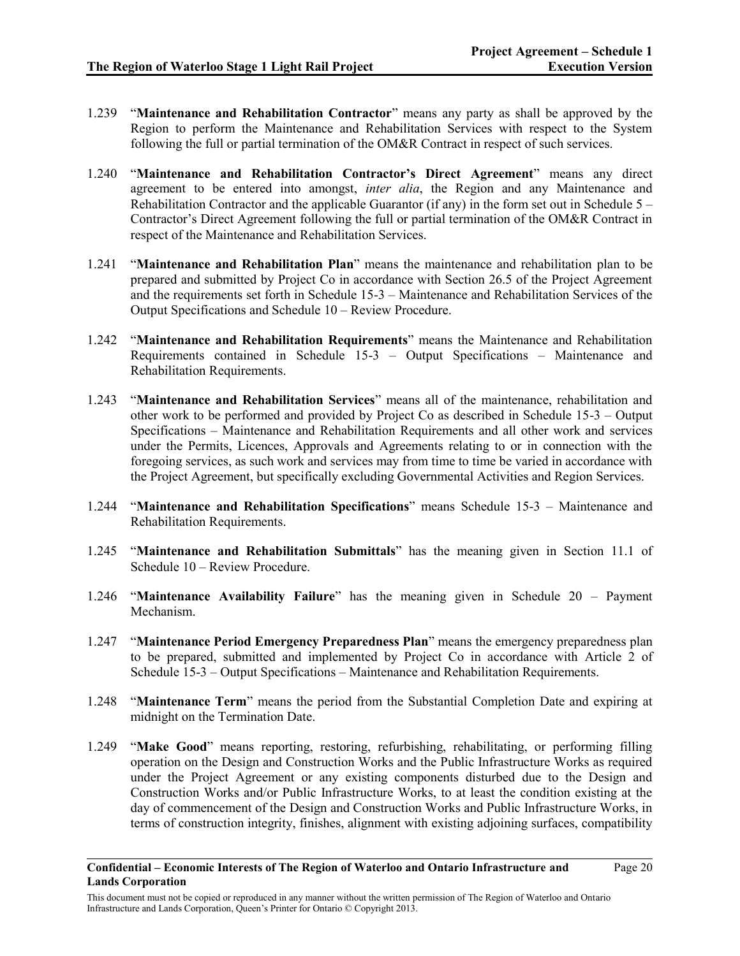- 1.239 "**Maintenance and Rehabilitation Contractor**" means any party as shall be approved by the Region to perform the Maintenance and Rehabilitation Services with respect to the System following the full or partial termination of the OM&R Contract in respect of such services.
- 1.240 "**Maintenance and Rehabilitation Contractor's Direct Agreement**" means any direct agreement to be entered into amongst, *inter alia*, the Region and any Maintenance and Rehabilitation Contractor and the applicable Guarantor (if any) in the form set out in Schedule  $5 -$ Contractor's Direct Agreement following the full or partial termination of the OM&R Contract in respect of the Maintenance and Rehabilitation Services.
- 1.241 "**Maintenance and Rehabilitation Plan**" means the maintenance and rehabilitation plan to be prepared and submitted by Project Co in accordance with Section 26.5 of the Project Agreement and the requirements set forth in Schedule 15-3 – Maintenance and Rehabilitation Services of the Output Specifications and Schedule 10 – Review Procedure.
- 1.242 "**Maintenance and Rehabilitation Requirements**" means the Maintenance and Rehabilitation Requirements contained in Schedule 15-3 – Output Specifications – Maintenance and Rehabilitation Requirements.
- 1.243 "**Maintenance and Rehabilitation Services**" means all of the maintenance, rehabilitation and other work to be performed and provided by Project Co as described in Schedule 15-3 – Output Specifications – Maintenance and Rehabilitation Requirements and all other work and services under the Permits, Licences, Approvals and Agreements relating to or in connection with the foregoing services, as such work and services may from time to time be varied in accordance with the Project Agreement, but specifically excluding Governmental Activities and Region Services.
- 1.244 "**Maintenance and Rehabilitation Specifications**" means Schedule 15-3 Maintenance and Rehabilitation Requirements.
- 1.245 "**Maintenance and Rehabilitation Submittals**" has the meaning given in Section 11.1 of Schedule 10 – Review Procedure.
- 1.246 "**Maintenance Availability Failure**" has the meaning given in Schedule 20 Payment Mechanism.
- 1.247 "**Maintenance Period Emergency Preparedness Plan**" means the emergency preparedness plan to be prepared, submitted and implemented by Project Co in accordance with Article 2 of Schedule 15-3 – Output Specifications – Maintenance and Rehabilitation Requirements.
- 1.248 "**Maintenance Term**" means the period from the Substantial Completion Date and expiring at midnight on the Termination Date.
- 1.249 "**Make Good**" means reporting, restoring, refurbishing, rehabilitating, or performing filling operation on the Design and Construction Works and the Public Infrastructure Works as required under the Project Agreement or any existing components disturbed due to the Design and Construction Works and/or Public Infrastructure Works, to at least the condition existing at the day of commencement of the Design and Construction Works and Public Infrastructure Works, in terms of construction integrity, finishes, alignment with existing adjoining surfaces, compatibility

**Confidential – Economic Interests of The Region of Waterloo and Ontario Infrastructure and Lands Corporation**

This document must not be copied or reproduced in any manner without the written permission of The Region of Waterloo and Ontario Infrastructure and Lands Corporation, Queen's Printer for Ontario © Copyright 2013.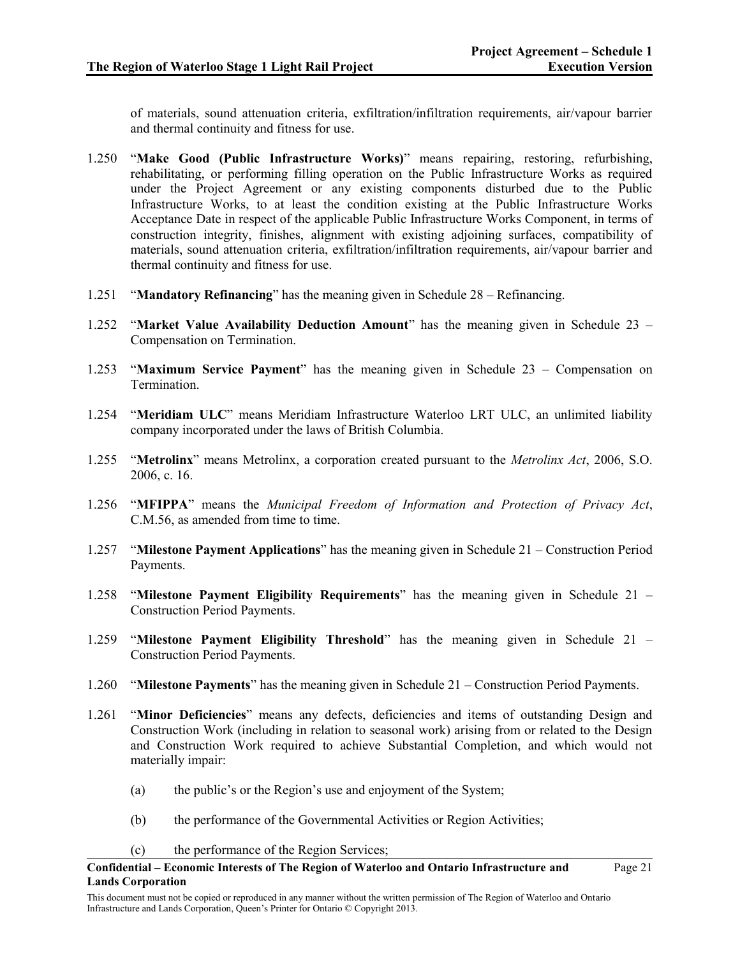of materials, sound attenuation criteria, exfiltration/infiltration requirements, air/vapour barrier and thermal continuity and fitness for use.

- 1.250 "**Make Good (Public Infrastructure Works)**" means repairing, restoring, refurbishing, rehabilitating, or performing filling operation on the Public Infrastructure Works as required under the Project Agreement or any existing components disturbed due to the Public Infrastructure Works, to at least the condition existing at the Public Infrastructure Works Acceptance Date in respect of the applicable Public Infrastructure Works Component, in terms of construction integrity, finishes, alignment with existing adjoining surfaces, compatibility of materials, sound attenuation criteria, exfiltration/infiltration requirements, air/vapour barrier and thermal continuity and fitness for use.
- 1.251 "**Mandatory Refinancing**" has the meaning given in Schedule 28 Refinancing.
- 1.252 "**Market Value Availability Deduction Amount**" has the meaning given in Schedule 23 Compensation on Termination.
- 1.253 "**Maximum Service Payment**" has the meaning given in Schedule 23 Compensation on Termination.
- 1.254 "**Meridiam ULC**" means Meridiam Infrastructure Waterloo LRT ULC, an unlimited liability company incorporated under the laws of British Columbia.
- 1.255 "**Metrolinx**" means Metrolinx, a corporation created pursuant to the *Metrolinx Act*, 2006, S.O. 2006, c. 16.
- 1.256 "**MFIPPA**" means the *Municipal Freedom of Information and Protection of Privacy Act*, C.M.56, as amended from time to time.
- 1.257 "**Milestone Payment Applications**" has the meaning given in Schedule 21 Construction Period Payments.
- 1.258 "**Milestone Payment Eligibility Requirements**" has the meaning given in Schedule 21 Construction Period Payments.
- 1.259 "**Milestone Payment Eligibility Threshold**" has the meaning given in Schedule 21 Construction Period Payments.
- 1.260 "**Milestone Payments**" has the meaning given in Schedule 21 Construction Period Payments.
- 1.261 "**Minor Deficiencies**" means any defects, deficiencies and items of outstanding Design and Construction Work (including in relation to seasonal work) arising from or related to the Design and Construction Work required to achieve Substantial Completion, and which would not materially impair:
	- (a) the public's or the Region's use and enjoyment of the System;
	- (b) the performance of the Governmental Activities or Region Activities;
	- (c) the performance of the Region Services;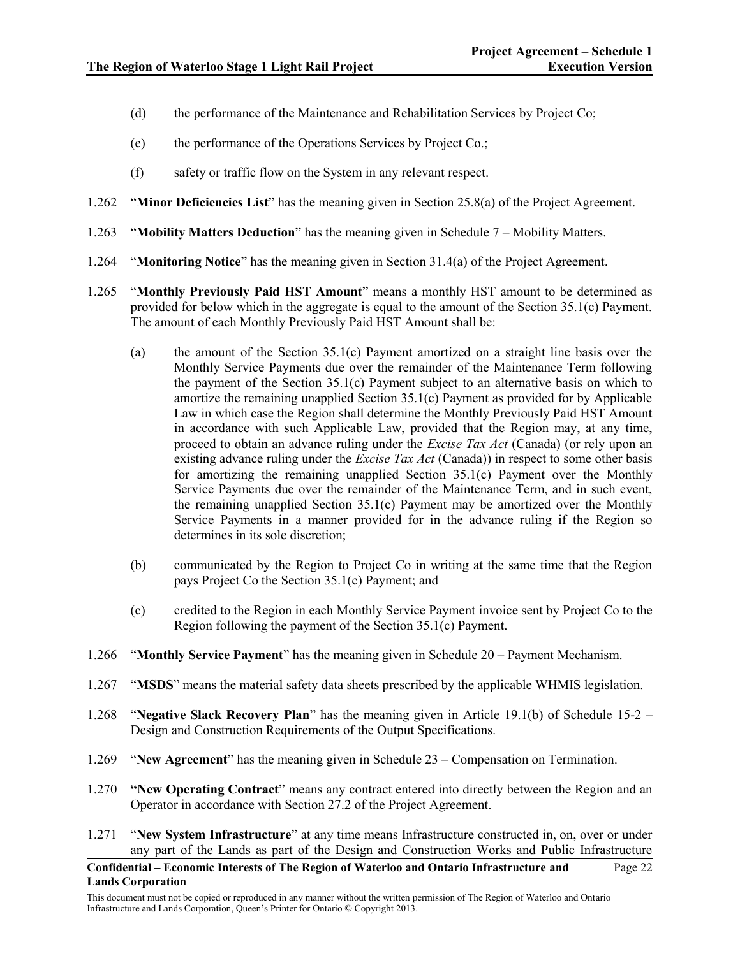- (d) the performance of the Maintenance and Rehabilitation Services by Project Co;
- (e) the performance of the Operations Services by Project Co.;
- (f) safety or traffic flow on the System in any relevant respect.
- 1.262 "**Minor Deficiencies List**" has the meaning given in Section 25.8(a) of the Project Agreement.
- 1.263 "**Mobility Matters Deduction**" has the meaning given in Schedule 7 Mobility Matters.
- 1.264 "**Monitoring Notice**" has the meaning given in Section 31.4(a) of the Project Agreement.
- 1.265 "**Monthly Previously Paid HST Amount**" means a monthly HST amount to be determined as provided for below which in the aggregate is equal to the amount of the Section 35.1(c) Payment. The amount of each Monthly Previously Paid HST Amount shall be:
	- (a) the amount of the Section 35.1(c) Payment amortized on a straight line basis over the Monthly Service Payments due over the remainder of the Maintenance Term following the payment of the Section 35.1(c) Payment subject to an alternative basis on which to amortize the remaining unapplied Section 35.1(c) Payment as provided for by Applicable Law in which case the Region shall determine the Monthly Previously Paid HST Amount in accordance with such Applicable Law, provided that the Region may, at any time, proceed to obtain an advance ruling under the *Excise Tax Act* (Canada) (or rely upon an existing advance ruling under the *Excise Tax Act* (Canada)) in respect to some other basis for amortizing the remaining unapplied Section 35.1(c) Payment over the Monthly Service Payments due over the remainder of the Maintenance Term, and in such event, the remaining unapplied Section 35.1(c) Payment may be amortized over the Monthly Service Payments in a manner provided for in the advance ruling if the Region so determines in its sole discretion;
	- (b) communicated by the Region to Project Co in writing at the same time that the Region pays Project Co the Section 35.1(c) Payment; and
	- (c) credited to the Region in each Monthly Service Payment invoice sent by Project Co to the Region following the payment of the Section 35.1(c) Payment.
- 1.266 "**Monthly Service Payment**" has the meaning given in Schedule 20 Payment Mechanism.
- 1.267 "**MSDS**" means the material safety data sheets prescribed by the applicable WHMIS legislation.
- 1.268 "**Negative Slack Recovery Plan**" has the meaning given in Article 19.1(b) of Schedule 15-2 Design and Construction Requirements of the Output Specifications.
- 1.269 "**New Agreement**" has the meaning given in Schedule 23 Compensation on Termination.
- 1.270 **"New Operating Contract**" means any contract entered into directly between the Region and an Operator in accordance with Section 27.2 of the Project Agreement.
- 1.271 "**New System Infrastructure**" at any time means Infrastructure constructed in, on, over or under any part of the Lands as part of the Design and Construction Works and Public Infrastructure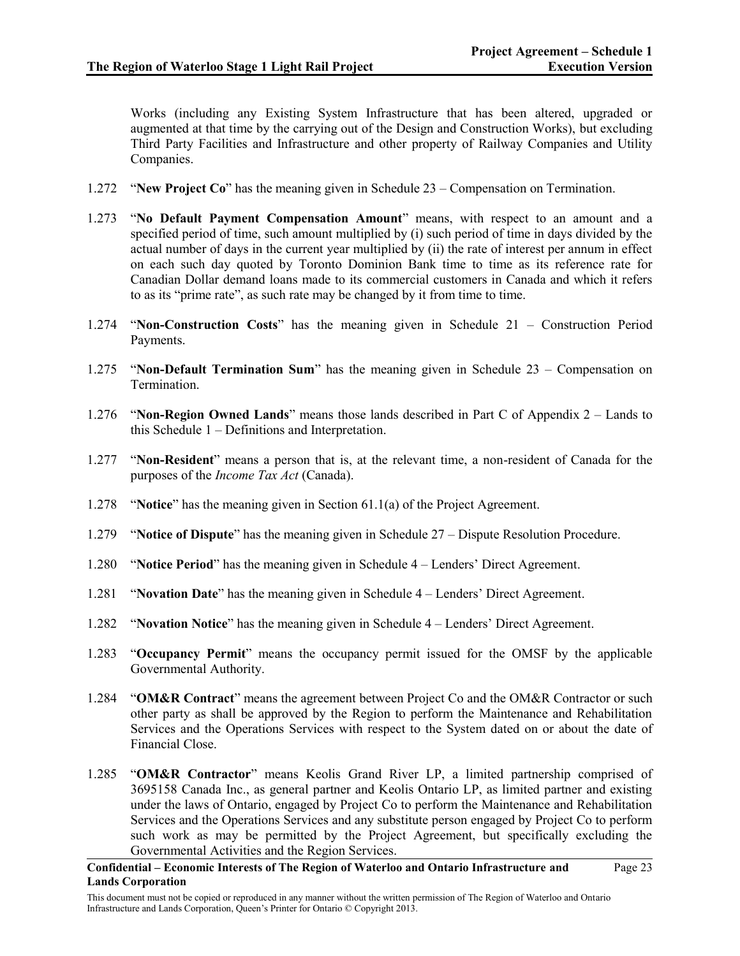Works (including any Existing System Infrastructure that has been altered, upgraded or augmented at that time by the carrying out of the Design and Construction Works), but excluding Third Party Facilities and Infrastructure and other property of Railway Companies and Utility Companies.

- 1.272 "**New Project Co**" has the meaning given in Schedule 23 Compensation on Termination.
- 1.273 "**No Default Payment Compensation Amount**" means, with respect to an amount and a specified period of time, such amount multiplied by (i) such period of time in days divided by the actual number of days in the current year multiplied by (ii) the rate of interest per annum in effect on each such day quoted by Toronto Dominion Bank time to time as its reference rate for Canadian Dollar demand loans made to its commercial customers in Canada and which it refers to as its "prime rate", as such rate may be changed by it from time to time.
- 1.274 "**Non-Construction Costs**" has the meaning given in Schedule 21 Construction Period Payments.
- 1.275 "**Non-Default Termination Sum**" has the meaning given in Schedule 23 Compensation on Termination.
- 1.276 "**Non-Region Owned Lands**" means those lands described in Part C of Appendix 2 Lands to this Schedule 1 – Definitions and Interpretation.
- 1.277 "**Non-Resident**" means a person that is, at the relevant time, a non-resident of Canada for the purposes of the *Income Tax Act* (Canada).
- 1.278 "**Notice**" has the meaning given in Section 61.1(a) of the Project Agreement.
- 1.279 "**Notice of Dispute**" has the meaning given in Schedule 27 Dispute Resolution Procedure.
- 1.280 "**Notice Period**" has the meaning given in Schedule 4 Lenders' Direct Agreement.
- 1.281 "**Novation Date**" has the meaning given in Schedule 4 Lenders' Direct Agreement.
- 1.282 "**Novation Notice**" has the meaning given in Schedule 4 Lenders' Direct Agreement.
- 1.283 "**Occupancy Permit**" means the occupancy permit issued for the OMSF by the applicable Governmental Authority.
- 1.284 "**OM&R Contract**" means the agreement between Project Co and the OM&R Contractor or such other party as shall be approved by the Region to perform the Maintenance and Rehabilitation Services and the Operations Services with respect to the System dated on or about the date of Financial Close.
- 1.285 "**OM&R Contractor**" means Keolis Grand River LP, a limited partnership comprised of 3695158 Canada Inc., as general partner and Keolis Ontario LP, as limited partner and existing under the laws of Ontario, engaged by Project Co to perform the Maintenance and Rehabilitation Services and the Operations Services and any substitute person engaged by Project Co to perform such work as may be permitted by the Project Agreement, but specifically excluding the Governmental Activities and the Region Services.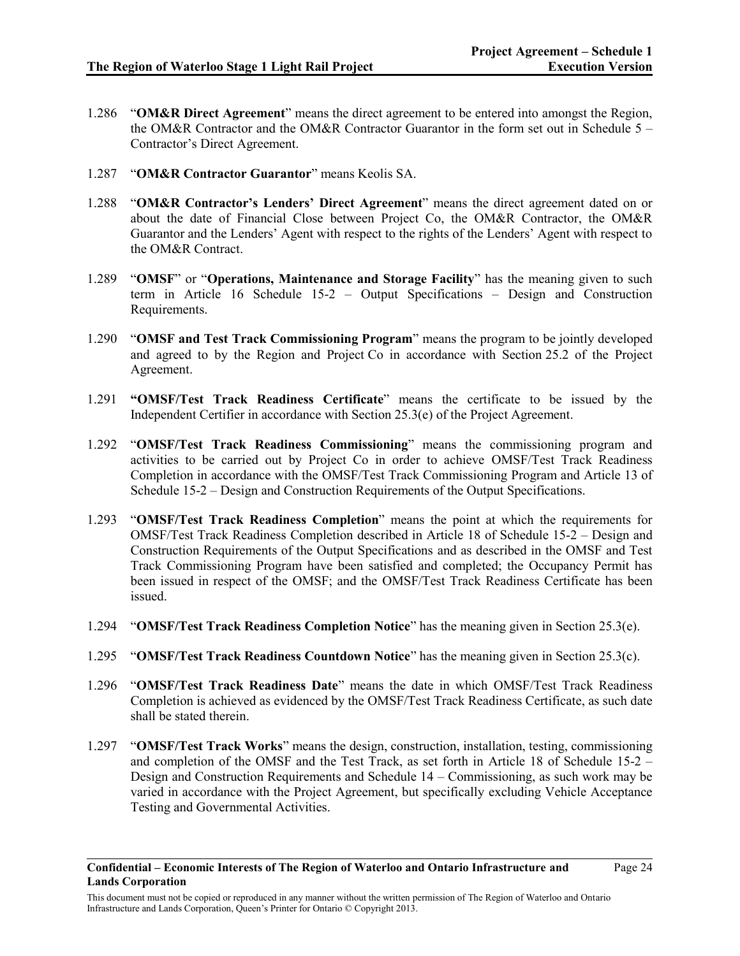- 1.286 "**OM&R Direct Agreement**" means the direct agreement to be entered into amongst the Region, the OM&R Contractor and the OM&R Contractor Guarantor in the form set out in Schedule 5 – Contractor's Direct Agreement.
- 1.287 "**OM&R Contractor Guarantor**" means Keolis SA.
- 1.288 "**OM&R Contractor's Lenders' Direct Agreement**" means the direct agreement dated on or about the date of Financial Close between Project Co, the OM&R Contractor, the OM&R Guarantor and the Lenders' Agent with respect to the rights of the Lenders' Agent with respect to the OM&R Contract.
- 1.289 "**OMSF**" or "**Operations, Maintenance and Storage Facility**" has the meaning given to such term in Article 16 Schedule 15-2 – Output Specifications – Design and Construction Requirements.
- 1.290 "**OMSF and Test Track Commissioning Program**" means the program to be jointly developed and agreed to by the Region and Project Co in accordance with Section 25.2 of the Project Agreement.
- 1.291 **"OMSF/Test Track Readiness Certificate**" means the certificate to be issued by the Independent Certifier in accordance with Section 25.3(e) of the Project Agreement.
- 1.292 "**OMSF/Test Track Readiness Commissioning**" means the commissioning program and activities to be carried out by Project Co in order to achieve OMSF/Test Track Readiness Completion in accordance with the OMSF/Test Track Commissioning Program and Article 13 of Schedule 15-2 – Design and Construction Requirements of the Output Specifications.
- 1.293 "**OMSF/Test Track Readiness Completion**" means the point at which the requirements for OMSF/Test Track Readiness Completion described in Article 18 of Schedule 15-2 – Design and Construction Requirements of the Output Specifications and as described in the OMSF and Test Track Commissioning Program have been satisfied and completed; the Occupancy Permit has been issued in respect of the OMSF; and the OMSF/Test Track Readiness Certificate has been issued.
- 1.294 "**OMSF/Test Track Readiness Completion Notice**" has the meaning given in Section 25.3(e).
- 1.295 "**OMSF/Test Track Readiness Countdown Notice**" has the meaning given in Section 25.3(c).
- 1.296 "**OMSF/Test Track Readiness Date**" means the date in which OMSF/Test Track Readiness Completion is achieved as evidenced by the OMSF/Test Track Readiness Certificate, as such date shall be stated therein.
- 1.297 "**OMSF/Test Track Works**" means the design, construction, installation, testing, commissioning and completion of the OMSF and the Test Track, as set forth in Article 18 of Schedule 15-2 – Design and Construction Requirements and Schedule 14 – Commissioning, as such work may be varied in accordance with the Project Agreement, but specifically excluding Vehicle Acceptance Testing and Governmental Activities.

This document must not be copied or reproduced in any manner without the written permission of The Region of Waterloo and Ontario Infrastructure and Lands Corporation, Queen's Printer for Ontario © Copyright 2013.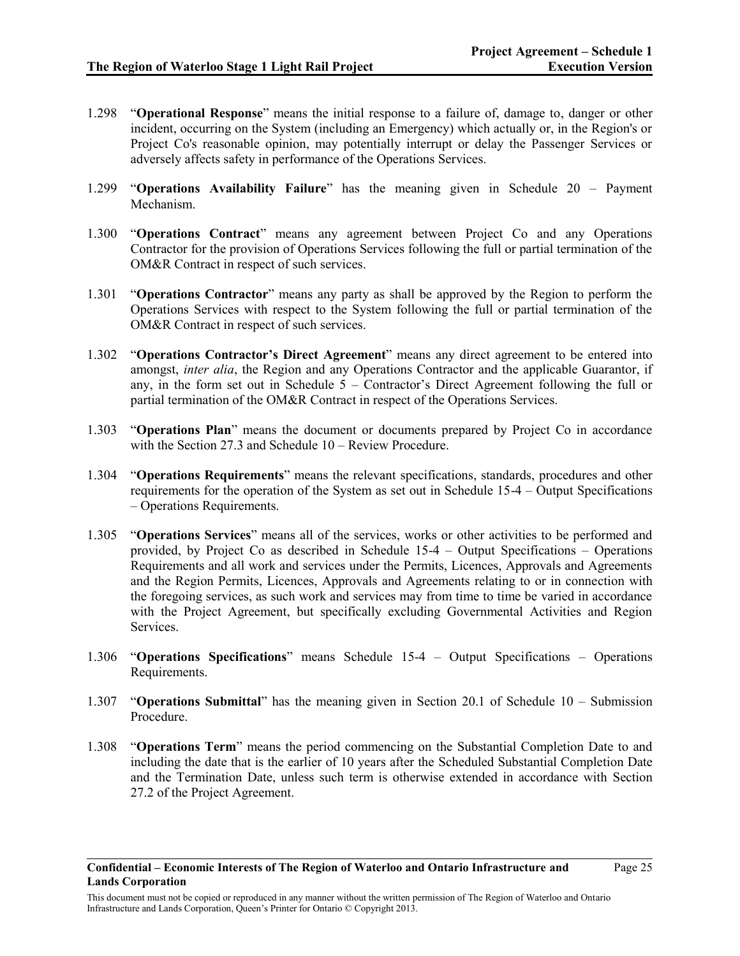- 1.298 "**Operational Response**" means the initial response to a failure of, damage to, danger or other incident, occurring on the System (including an Emergency) which actually or, in the Region's or Project Co's reasonable opinion, may potentially interrupt or delay the Passenger Services or adversely affects safety in performance of the Operations Services.
- 1.299 "**Operations Availability Failure**" has the meaning given in Schedule 20 Payment Mechanism.
- 1.300 "**Operations Contract**" means any agreement between Project Co and any Operations Contractor for the provision of Operations Services following the full or partial termination of the OM&R Contract in respect of such services.
- 1.301 "**Operations Contractor**" means any party as shall be approved by the Region to perform the Operations Services with respect to the System following the full or partial termination of the OM&R Contract in respect of such services.
- 1.302 "**Operations Contractor's Direct Agreement**" means any direct agreement to be entered into amongst, *inter alia*, the Region and any Operations Contractor and the applicable Guarantor, if any, in the form set out in Schedule  $5$  – Contractor's Direct Agreement following the full or partial termination of the OM&R Contract in respect of the Operations Services.
- 1.303 "**Operations Plan**" means the document or documents prepared by Project Co in accordance with the Section 27.3 and Schedule 10 – Review Procedure.
- 1.304 "**Operations Requirements**" means the relevant specifications, standards, procedures and other requirements for the operation of the System as set out in Schedule 15-4 – Output Specifications – Operations Requirements.
- 1.305 "**Operations Services**" means all of the services, works or other activities to be performed and provided, by Project Co as described in Schedule 15-4 – Output Specifications – Operations Requirements and all work and services under the Permits, Licences, Approvals and Agreements and the Region Permits, Licences, Approvals and Agreements relating to or in connection with the foregoing services, as such work and services may from time to time be varied in accordance with the Project Agreement, but specifically excluding Governmental Activities and Region Services.
- 1.306 "**Operations Specifications**" means Schedule 15-4 Output Specifications Operations Requirements.
- 1.307 "**Operations Submittal**" has the meaning given in Section 20.1 of Schedule 10 Submission Procedure.
- 1.308 "**Operations Term**" means the period commencing on the Substantial Completion Date to and including the date that is the earlier of 10 years after the Scheduled Substantial Completion Date and the Termination Date, unless such term is otherwise extended in accordance with Section 27.2 of the Project Agreement.

This document must not be copied or reproduced in any manner without the written permission of The Region of Waterloo and Ontario Infrastructure and Lands Corporation, Queen's Printer for Ontario © Copyright 2013.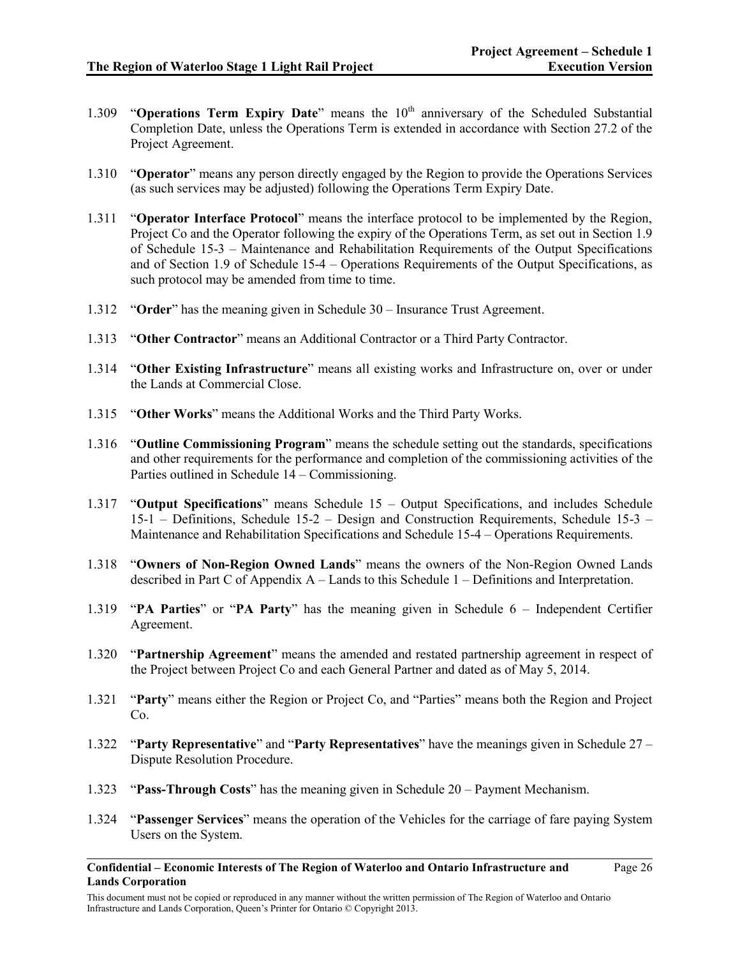Page 26

- 1.309 "**Operations Term Expiry Date**" means the 10<sup>th</sup> anniversary of the Scheduled Substantial Completion Date, unless the Operations Term is extended in accordance with Section 27.2 of the Project Agreement.
- 1.310 "**Operator**" means any person directly engaged by the Region to provide the Operations Services (as such services may be adjusted) following the Operations Term Expiry Date.
- 1.311 "**Operator Interface Protocol**" means the interface protocol to be implemented by the Region, Project Co and the Operator following the expiry of the Operations Term, as set out in Section 1.9 of Schedule 15-3 – Maintenance and Rehabilitation Requirements of the Output Specifications and of Section 1.9 of Schedule 15-4 – Operations Requirements of the Output Specifications, as such protocol may be amended from time to time.
- 1.312 "**Order**" has the meaning given in Schedule 30 Insurance Trust Agreement.
- 1.313 "**Other Contractor**" means an Additional Contractor or a Third Party Contractor.
- 1.314 "**Other Existing Infrastructure**" means all existing works and Infrastructure on, over or under the Lands at Commercial Close.
- 1.315 "**Other Works**" means the Additional Works and the Third Party Works.
- 1.316 "**Outline Commissioning Program**" means the schedule setting out the standards, specifications and other requirements for the performance and completion of the commissioning activities of the Parties outlined in Schedule 14 – Commissioning.
- 1.317 "**Output Specifications**" means Schedule 15 Output Specifications, and includes Schedule 15-1 – Definitions, Schedule 15-2 – Design and Construction Requirements, Schedule 15-3 – Maintenance and Rehabilitation Specifications and Schedule 15-4 – Operations Requirements.
- 1.318 "**Owners of Non-Region Owned Lands**" means the owners of the Non-Region Owned Lands described in Part C of Appendix A – Lands to this Schedule 1 – Definitions and Interpretation.
- 1.319 "**PA Parties**" or "**PA Party**" has the meaning given in Schedule 6 Independent Certifier Agreement.
- 1.320 "**Partnership Agreement**" means the amended and restated partnership agreement in respect of the Project between Project Co and each General Partner and dated as of May 5, 2014.
- 1.321 "**Party**" means either the Region or Project Co, and "Parties" means both the Region and Project Co.
- 1.322 "**Party Representative**" and "**Party Representatives**" have the meanings given in Schedule 27 Dispute Resolution Procedure.
- 1.323 "**Pass-Through Costs**" has the meaning given in Schedule 20 Payment Mechanism.
- 1.324 "**Passenger Services**" means the operation of the Vehicles for the carriage of fare paying System Users on the System.

**Confidential – Economic Interests of The Region of Waterloo and Ontario Infrastructure and Lands Corporation**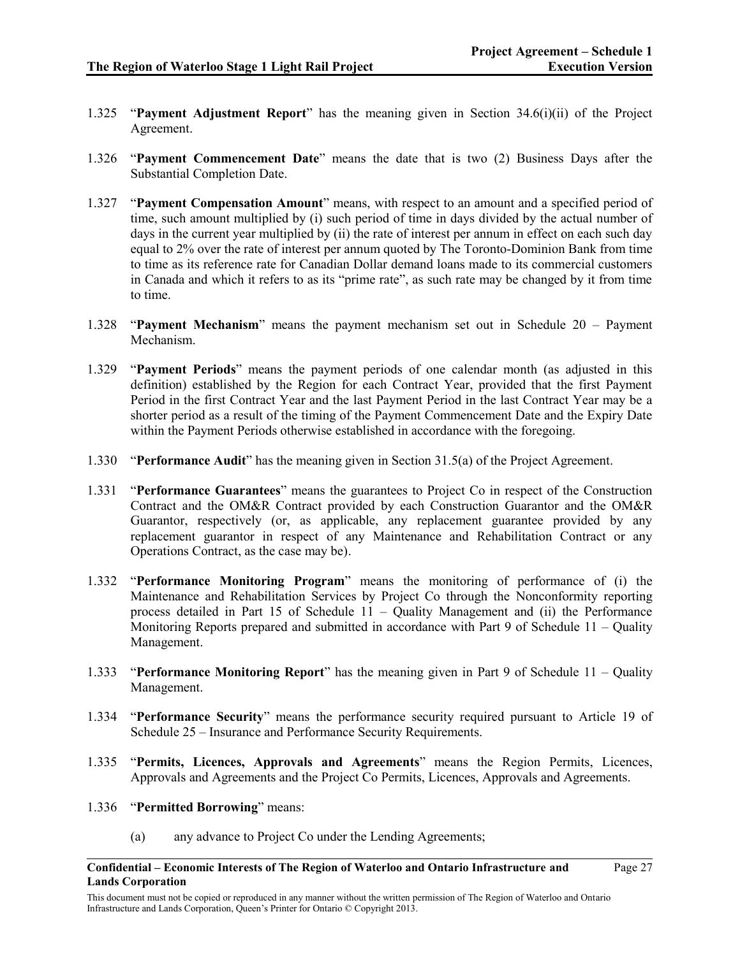Page 27

- 1.325 "**Payment Adjustment Report**" has the meaning given in Section 34.6(i)(ii) of the Project Agreement.
- 1.326 "**Payment Commencement Date**" means the date that is two (2) Business Days after the Substantial Completion Date.
- 1.327 "**Payment Compensation Amount**" means, with respect to an amount and a specified period of time, such amount multiplied by (i) such period of time in days divided by the actual number of days in the current year multiplied by (ii) the rate of interest per annum in effect on each such day equal to 2% over the rate of interest per annum quoted by The Toronto-Dominion Bank from time to time as its reference rate for Canadian Dollar demand loans made to its commercial customers in Canada and which it refers to as its "prime rate", as such rate may be changed by it from time to time.
- 1.328 "**Payment Mechanism**" means the payment mechanism set out in Schedule 20 Payment Mechanism.
- 1.329 "**Payment Periods**" means the payment periods of one calendar month (as adjusted in this definition) established by the Region for each Contract Year, provided that the first Payment Period in the first Contract Year and the last Payment Period in the last Contract Year may be a shorter period as a result of the timing of the Payment Commencement Date and the Expiry Date within the Payment Periods otherwise established in accordance with the foregoing.
- 1.330 "**Performance Audit**" has the meaning given in Section 31.5(a) of the Project Agreement.
- 1.331 "**Performance Guarantees**" means the guarantees to Project Co in respect of the Construction Contract and the OM&R Contract provided by each Construction Guarantor and the OM&R Guarantor, respectively (or, as applicable, any replacement guarantee provided by any replacement guarantor in respect of any Maintenance and Rehabilitation Contract or any Operations Contract, as the case may be).
- 1.332 "**Performance Monitoring Program**" means the monitoring of performance of (i) the Maintenance and Rehabilitation Services by Project Co through the Nonconformity reporting process detailed in Part 15 of Schedule 11 – Quality Management and (ii) the Performance Monitoring Reports prepared and submitted in accordance with Part 9 of Schedule 11 – Quality Management.
- 1.333 "**Performance Monitoring Report**" has the meaning given in Part 9 of Schedule 11 Quality Management.
- 1.334 "**Performance Security**" means the performance security required pursuant to Article 19 of Schedule 25 – Insurance and Performance Security Requirements.
- 1.335 "**Permits, Licences, Approvals and Agreements**" means the Region Permits, Licences, Approvals and Agreements and the Project Co Permits, Licences, Approvals and Agreements.
- 1.336 "**Permitted Borrowing**" means:
	- (a) any advance to Project Co under the Lending Agreements;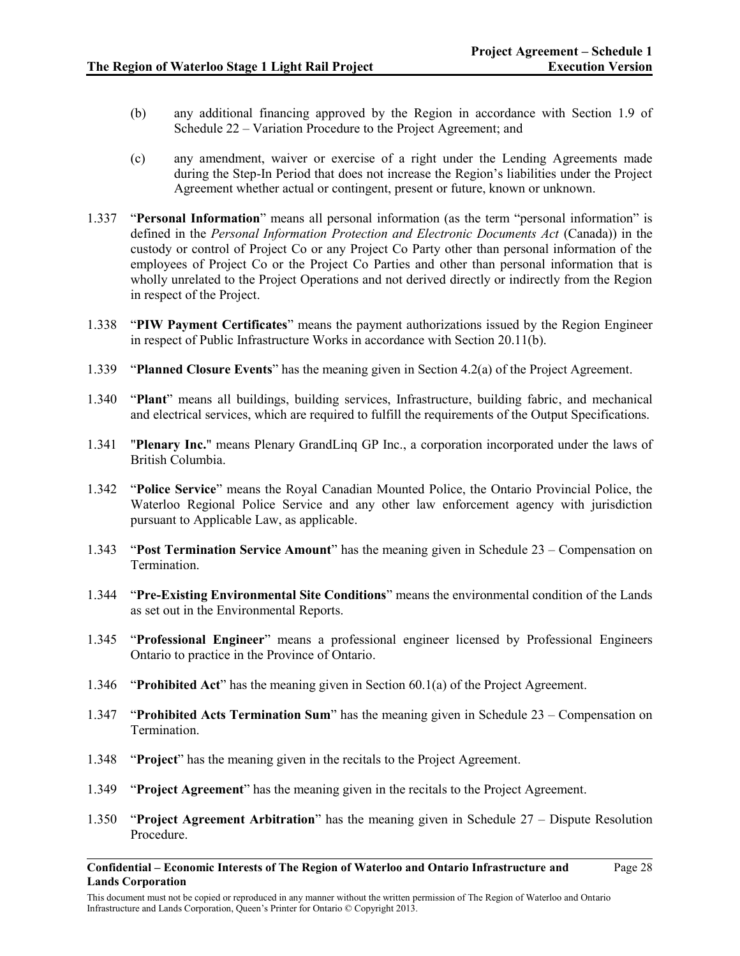- (b) any additional financing approved by the Region in accordance with Section 1.9 of Schedule 22 – Variation Procedure to the Project Agreement; and
- (c) any amendment, waiver or exercise of a right under the Lending Agreements made during the Step-In Period that does not increase the Region's liabilities under the Project Agreement whether actual or contingent, present or future, known or unknown.
- 1.337 "**Personal Information**" means all personal information (as the term "personal information" is defined in the *Personal Information Protection and Electronic Documents Act* (Canada)) in the custody or control of Project Co or any Project Co Party other than personal information of the employees of Project Co or the Project Co Parties and other than personal information that is wholly unrelated to the Project Operations and not derived directly or indirectly from the Region in respect of the Project.
- 1.338 "**PIW Payment Certificates**" means the payment authorizations issued by the Region Engineer in respect of Public Infrastructure Works in accordance with Section 20.11(b).
- 1.339 "**Planned Closure Events**" has the meaning given in Section 4.2(a) of the Project Agreement.
- 1.340 "**Plant**" means all buildings, building services, Infrastructure, building fabric, and mechanical and electrical services, which are required to fulfill the requirements of the Output Specifications.
- 1.341 "**Plenary Inc.**" means Plenary GrandLinq GP Inc., a corporation incorporated under the laws of British Columbia.
- 1.342 "**Police Service**" means the Royal Canadian Mounted Police, the Ontario Provincial Police, the Waterloo Regional Police Service and any other law enforcement agency with jurisdiction pursuant to Applicable Law, as applicable.
- 1.343 "**Post Termination Service Amount**" has the meaning given in Schedule 23 Compensation on Termination.
- 1.344 "**Pre-Existing Environmental Site Conditions**" means the environmental condition of the Lands as set out in the Environmental Reports.
- 1.345 "**Professional Engineer**" means a professional engineer licensed by Professional Engineers Ontario to practice in the Province of Ontario.
- 1.346 "**Prohibited Act**" has the meaning given in Section 60.1(a) of the Project Agreement.
- 1.347 "**Prohibited Acts Termination Sum**" has the meaning given in Schedule 23 Compensation on Termination.
- 1.348 "**Project**" has the meaning given in the recitals to the Project Agreement.
- 1.349 "**Project Agreement**" has the meaning given in the recitals to the Project Agreement.
- 1.350 "**Project Agreement Arbitration**" has the meaning given in Schedule 27 Dispute Resolution Procedure.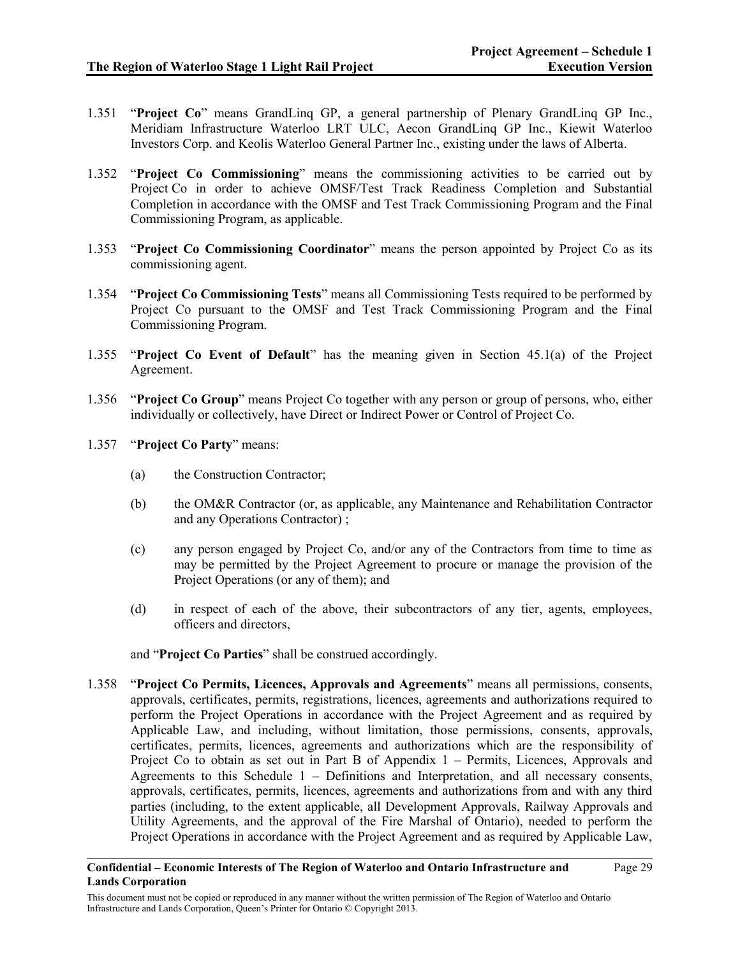Page 29

- 1.351 "**Project Co**" means GrandLinq GP, a general partnership of Plenary GrandLinq GP Inc., Meridiam Infrastructure Waterloo LRT ULC, Aecon GrandLinq GP Inc., Kiewit Waterloo Investors Corp. and Keolis Waterloo General Partner Inc., existing under the laws of Alberta.
- 1.352 "**Project Co Commissioning**" means the commissioning activities to be carried out by Project Co in order to achieve OMSF/Test Track Readiness Completion and Substantial Completion in accordance with the OMSF and Test Track Commissioning Program and the Final Commissioning Program, as applicable.
- 1.353 "**Project Co Commissioning Coordinator**" means the person appointed by Project Co as its commissioning agent.
- 1.354 "**Project Co Commissioning Tests**" means all Commissioning Tests required to be performed by Project Co pursuant to the OMSF and Test Track Commissioning Program and the Final Commissioning Program.
- 1.355 "**Project Co Event of Default**" has the meaning given in Section 45.1(a) of the Project Agreement.
- 1.356 "**Project Co Group**" means Project Co together with any person or group of persons, who, either individually or collectively, have Direct or Indirect Power or Control of Project Co.
- 1.357 "**Project Co Party**" means:
	- (a) the Construction Contractor;
	- (b) the OM&R Contractor (or, as applicable, any Maintenance and Rehabilitation Contractor and any Operations Contractor) ;
	- (c) any person engaged by Project Co, and/or any of the Contractors from time to time as may be permitted by the Project Agreement to procure or manage the provision of the Project Operations (or any of them); and
	- (d) in respect of each of the above, their subcontractors of any tier, agents, employees, officers and directors,

## and "**Project Co Parties**" shall be construed accordingly.

1.358 "**Project Co Permits, Licences, Approvals and Agreements**" means all permissions, consents, approvals, certificates, permits, registrations, licences, agreements and authorizations required to perform the Project Operations in accordance with the Project Agreement and as required by Applicable Law, and including, without limitation, those permissions, consents, approvals, certificates, permits, licences, agreements and authorizations which are the responsibility of Project Co to obtain as set out in Part B of Appendix 1 – Permits, Licences, Approvals and Agreements to this Schedule 1 – Definitions and Interpretation, and all necessary consents, approvals, certificates, permits, licences, agreements and authorizations from and with any third parties (including, to the extent applicable, all Development Approvals, Railway Approvals and Utility Agreements, and the approval of the Fire Marshal of Ontario), needed to perform the Project Operations in accordance with the Project Agreement and as required by Applicable Law,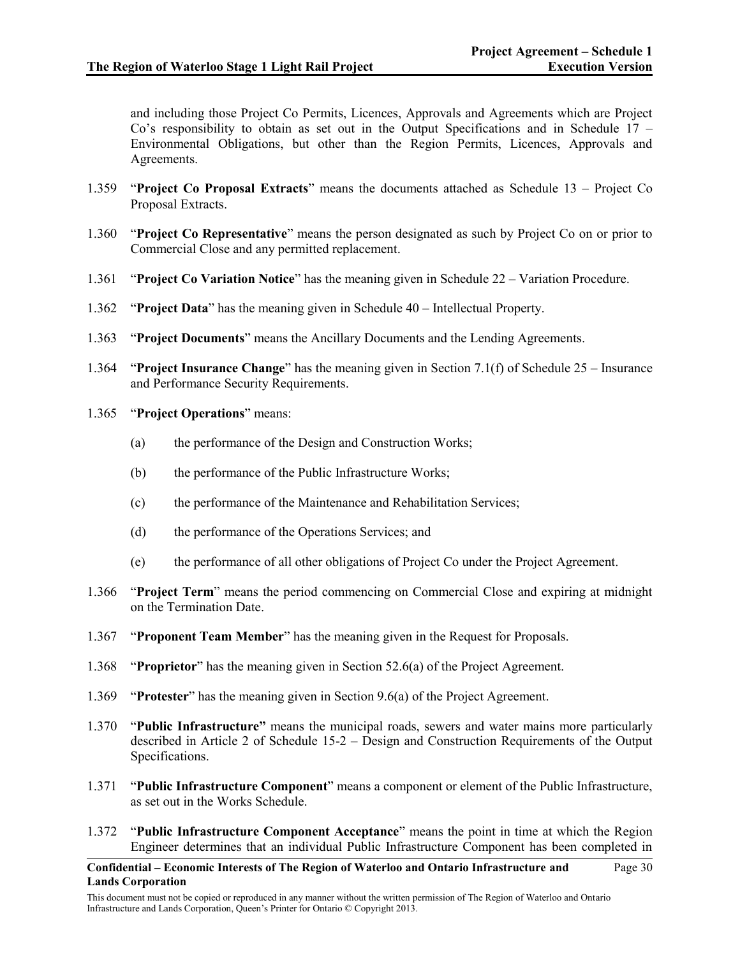and including those Project Co Permits, Licences, Approvals and Agreements which are Project Co's responsibility to obtain as set out in the Output Specifications and in Schedule 17 – Environmental Obligations, but other than the Region Permits, Licences, Approvals and Agreements.

- 1.359 "**Project Co Proposal Extracts**" means the documents attached as Schedule 13 Project Co Proposal Extracts.
- 1.360 "**Project Co Representative**" means the person designated as such by Project Co on or prior to Commercial Close and any permitted replacement.
- 1.361 "**Project Co Variation Notice**" has the meaning given in Schedule 22 Variation Procedure.
- 1.362 "**Project Data**" has the meaning given in Schedule 40 Intellectual Property.
- 1.363 "**Project Documents**" means the Ancillary Documents and the Lending Agreements.
- 1.364 "**Project Insurance Change**" has the meaning given in Section 7.1(f) of Schedule 25 Insurance and Performance Security Requirements.
- 1.365 "**Project Operations**" means:
	- (a) the performance of the Design and Construction Works;
	- (b) the performance of the Public Infrastructure Works;
	- (c) the performance of the Maintenance and Rehabilitation Services;
	- (d) the performance of the Operations Services; and
	- (e) the performance of all other obligations of Project Co under the Project Agreement.
- 1.366 "**Project Term**" means the period commencing on Commercial Close and expiring at midnight on the Termination Date.
- 1.367 "**Proponent Team Member**" has the meaning given in the Request for Proposals.
- 1.368 "**Proprietor**" has the meaning given in Section 52.6(a) of the Project Agreement.
- 1.369 "**Protester**" has the meaning given in Section 9.6(a) of the Project Agreement.
- 1.370 "**Public Infrastructure"** means the municipal roads, sewers and water mains more particularly described in Article 2 of Schedule 15-2 – Design and Construction Requirements of the Output Specifications.
- 1.371 "**Public Infrastructure Component**" means a component or element of the Public Infrastructure, as set out in the Works Schedule.
- 1.372 "**Public Infrastructure Component Acceptance**" means the point in time at which the Region Engineer determines that an individual Public Infrastructure Component has been completed in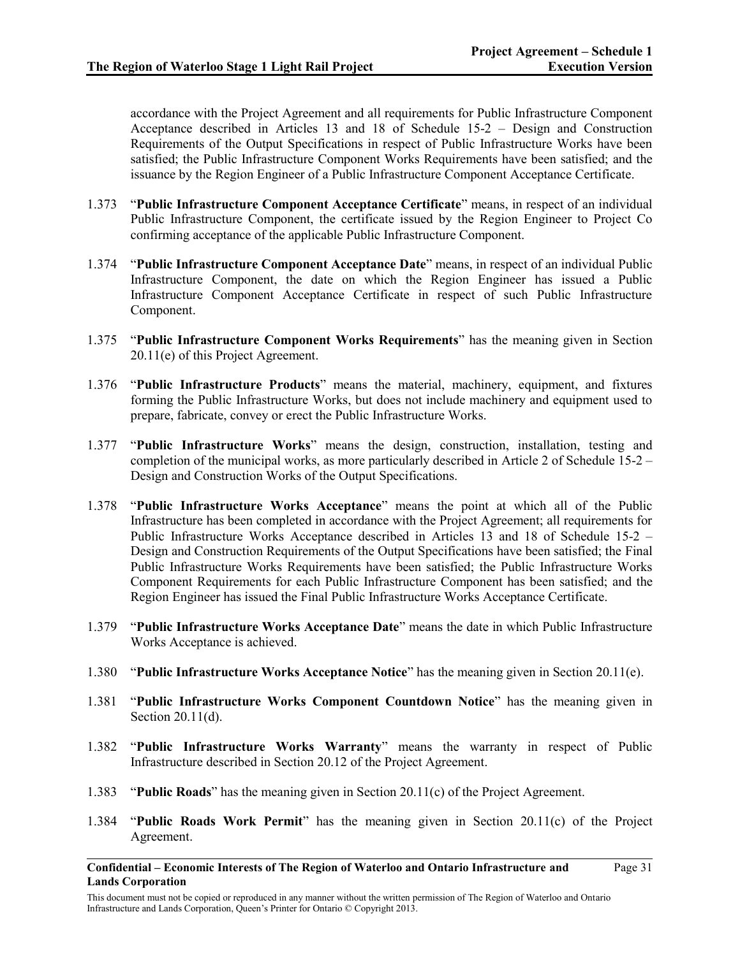Page 31

accordance with the Project Agreement and all requirements for Public Infrastructure Component Acceptance described in Articles 13 and 18 of Schedule 15-2 – Design and Construction Requirements of the Output Specifications in respect of Public Infrastructure Works have been satisfied; the Public Infrastructure Component Works Requirements have been satisfied; and the issuance by the Region Engineer of a Public Infrastructure Component Acceptance Certificate.

- 1.373 "**Public Infrastructure Component Acceptance Certificate**" means, in respect of an individual Public Infrastructure Component, the certificate issued by the Region Engineer to Project Co confirming acceptance of the applicable Public Infrastructure Component.
- 1.374 "**Public Infrastructure Component Acceptance Date**" means, in respect of an individual Public Infrastructure Component, the date on which the Region Engineer has issued a Public Infrastructure Component Acceptance Certificate in respect of such Public Infrastructure Component.
- 1.375 "**Public Infrastructure Component Works Requirements**" has the meaning given in Section 20.11(e) of this Project Agreement.
- 1.376 "**Public Infrastructure Products**" means the material, machinery, equipment, and fixtures forming the Public Infrastructure Works, but does not include machinery and equipment used to prepare, fabricate, convey or erect the Public Infrastructure Works.
- 1.377 "**Public Infrastructure Works**" means the design, construction, installation, testing and completion of the municipal works, as more particularly described in Article 2 of Schedule 15-2 – Design and Construction Works of the Output Specifications.
- 1.378 "**Public Infrastructure Works Acceptance**" means the point at which all of the Public Infrastructure has been completed in accordance with the Project Agreement; all requirements for Public Infrastructure Works Acceptance described in Articles 13 and 18 of Schedule 15-2 – Design and Construction Requirements of the Output Specifications have been satisfied; the Final Public Infrastructure Works Requirements have been satisfied; the Public Infrastructure Works Component Requirements for each Public Infrastructure Component has been satisfied; and the Region Engineer has issued the Final Public Infrastructure Works Acceptance Certificate.
- 1.379 "**Public Infrastructure Works Acceptance Date**" means the date in which Public Infrastructure Works Acceptance is achieved.
- 1.380 "**Public Infrastructure Works Acceptance Notice**" has the meaning given in Section 20.11(e).
- 1.381 "**Public Infrastructure Works Component Countdown Notice**" has the meaning given in Section 20.11(d).
- 1.382 "**Public Infrastructure Works Warranty**" means the warranty in respect of Public Infrastructure described in Section 20.12 of the Project Agreement.
- 1.383 "**Public Roads**" has the meaning given in Section 20.11(c) of the Project Agreement.
- 1.384 "**Public Roads Work Permit**" has the meaning given in Section 20.11(c) of the Project Agreement.

**Confidential – Economic Interests of The Region of Waterloo and Ontario Infrastructure and Lands Corporation**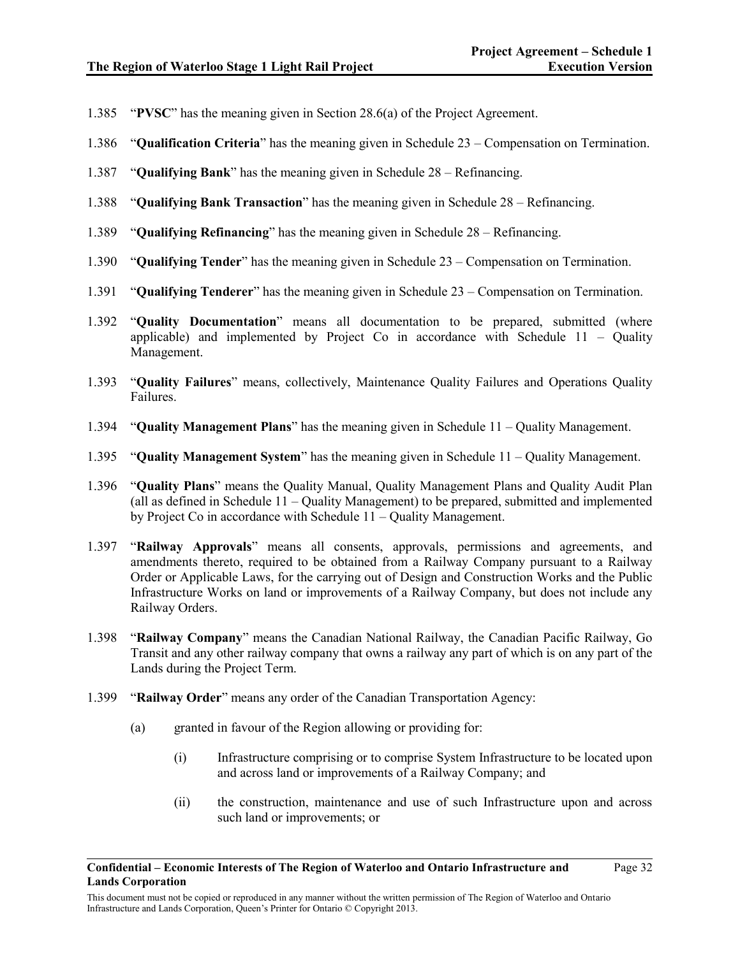- 1.385 "**PVSC**" has the meaning given in Section 28.6(a) of the Project Agreement.
- 1.386 "**Qualification Criteria**" has the meaning given in Schedule 23 Compensation on Termination.
- 1.387 "**Qualifying Bank**" has the meaning given in Schedule 28 Refinancing.
- 1.388 "**Qualifying Bank Transaction**" has the meaning given in Schedule 28 Refinancing.
- 1.389 "**Qualifying Refinancing**" has the meaning given in Schedule 28 Refinancing.
- 1.390 "**Qualifying Tender**" has the meaning given in Schedule 23 Compensation on Termination.
- 1.391 "**Qualifying Tenderer**" has the meaning given in Schedule 23 Compensation on Termination.
- 1.392 "**Quality Documentation**" means all documentation to be prepared, submitted (where applicable) and implemented by Project Co in accordance with Schedule  $11 -$  Quality Management.
- 1.393 "**Quality Failures**" means, collectively, Maintenance Quality Failures and Operations Quality Failures.
- 1.394 "**Quality Management Plans**" has the meaning given in Schedule 11 Quality Management.
- 1.395 "**Quality Management System**" has the meaning given in Schedule 11 Quality Management.
- 1.396 "**Quality Plans**" means the Quality Manual, Quality Management Plans and Quality Audit Plan (all as defined in Schedule 11 – Quality Management) to be prepared, submitted and implemented by Project Co in accordance with Schedule 11 – Quality Management.
- 1.397 "**Railway Approvals**" means all consents, approvals, permissions and agreements, and amendments thereto, required to be obtained from a Railway Company pursuant to a Railway Order or Applicable Laws, for the carrying out of Design and Construction Works and the Public Infrastructure Works on land or improvements of a Railway Company, but does not include any Railway Orders.
- 1.398 "**Railway Company**" means the Canadian National Railway, the Canadian Pacific Railway, Go Transit and any other railway company that owns a railway any part of which is on any part of the Lands during the Project Term.
- 1.399 "**Railway Order**" means any order of the Canadian Transportation Agency:
	- (a) granted in favour of the Region allowing or providing for:
		- (i) Infrastructure comprising or to comprise System Infrastructure to be located upon and across land or improvements of a Railway Company; and
		- (ii) the construction, maintenance and use of such Infrastructure upon and across such land or improvements; or

This document must not be copied or reproduced in any manner without the written permission of The Region of Waterloo and Ontario Infrastructure and Lands Corporation, Queen's Printer for Ontario © Copyright 2013.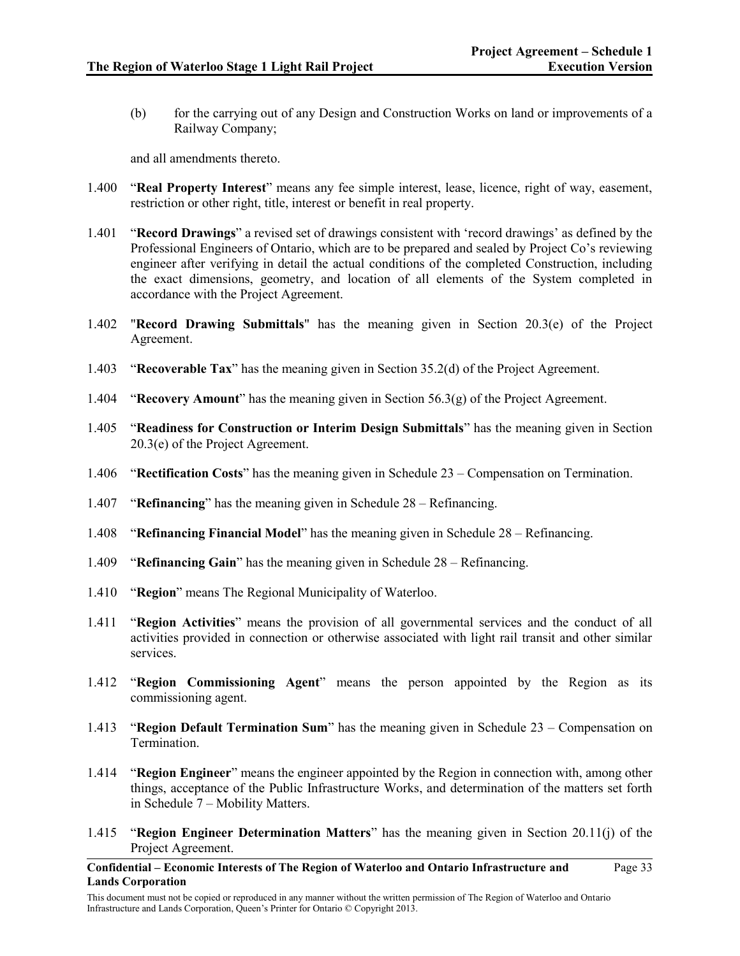(b) for the carrying out of any Design and Construction Works on land or improvements of a Railway Company;

and all amendments thereto.

- 1.400 "**Real Property Interest**" means any fee simple interest, lease, licence, right of way, easement, restriction or other right, title, interest or benefit in real property.
- 1.401 "**Record Drawings**" a revised set of drawings consistent with 'record drawings' as defined by the Professional Engineers of Ontario, which are to be prepared and sealed by Project Co's reviewing engineer after verifying in detail the actual conditions of the completed Construction, including the exact dimensions, geometry, and location of all elements of the System completed in accordance with the Project Agreement.
- 1.402 "**Record Drawing Submittals**" has the meaning given in Section 20.3(e) of the Project Agreement.
- 1.403 "**Recoverable Tax**" has the meaning given in Section 35.2(d) of the Project Agreement.
- 1.404 "**Recovery Amount**" has the meaning given in Section 56.3(g) of the Project Agreement.
- 1.405 "**Readiness for Construction or Interim Design Submittals**" has the meaning given in Section 20.3(e) of the Project Agreement.
- 1.406 "**Rectification Costs**" has the meaning given in Schedule 23 Compensation on Termination.
- 1.407 "**Refinancing**" has the meaning given in Schedule 28 Refinancing.
- 1.408 "**Refinancing Financial Model**" has the meaning given in Schedule 28 Refinancing.
- 1.409 "**Refinancing Gain**" has the meaning given in Schedule 28 Refinancing.
- 1.410 "**Region**" means The Regional Municipality of Waterloo.
- 1.411 "**Region Activities**" means the provision of all governmental services and the conduct of all activities provided in connection or otherwise associated with light rail transit and other similar services.
- 1.412 "**Region Commissioning Agent**" means the person appointed by the Region as its commissioning agent.
- 1.413 "**Region Default Termination Sum**" has the meaning given in Schedule 23 Compensation on Termination.
- 1.414 "**Region Engineer**" means the engineer appointed by the Region in connection with, among other things, acceptance of the Public Infrastructure Works, and determination of the matters set forth in Schedule 7 – Mobility Matters.
- 1.415 "**Region Engineer Determination Matters**" has the meaning given in Section 20.11(j) of the Project Agreement.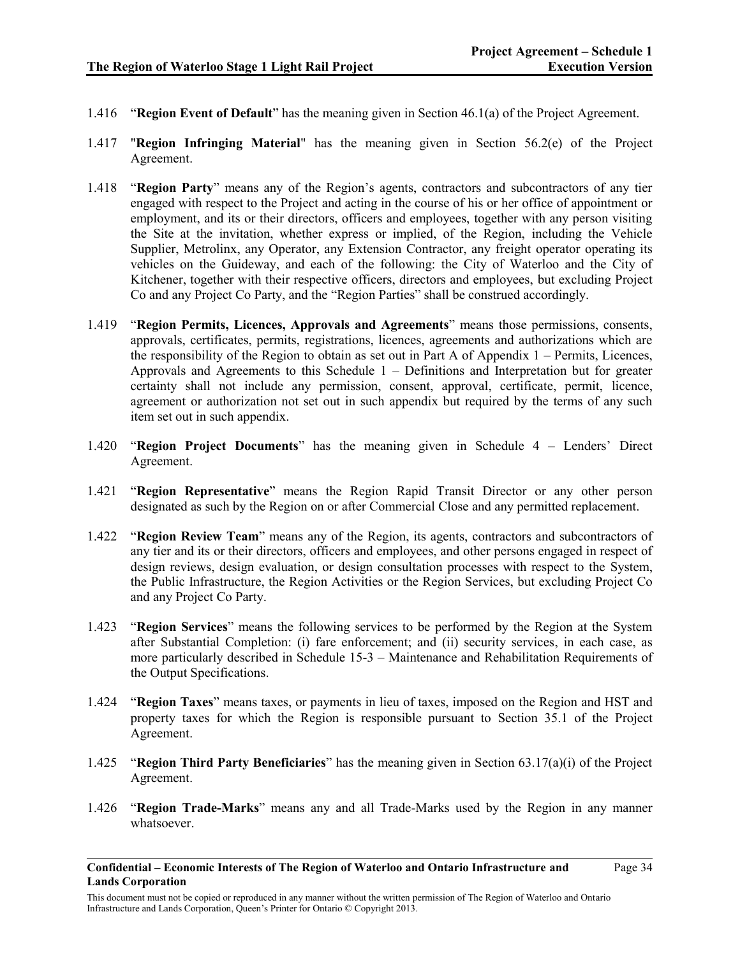- 1.416 "**Region Event of Default**" has the meaning given in Section 46.1(a) of the Project Agreement.
- 1.417 "**Region Infringing Material**" has the meaning given in Section 56.2(e) of the Project Agreement.
- 1.418 "**Region Party**" means any of the Region's agents, contractors and subcontractors of any tier engaged with respect to the Project and acting in the course of his or her office of appointment or employment, and its or their directors, officers and employees, together with any person visiting the Site at the invitation, whether express or implied, of the Region, including the Vehicle Supplier, Metrolinx, any Operator, any Extension Contractor, any freight operator operating its vehicles on the Guideway, and each of the following: the City of Waterloo and the City of Kitchener, together with their respective officers, directors and employees, but excluding Project Co and any Project Co Party, and the "Region Parties" shall be construed accordingly.
- 1.419 "**Region Permits, Licences, Approvals and Agreements**" means those permissions, consents, approvals, certificates, permits, registrations, licences, agreements and authorizations which are the responsibility of the Region to obtain as set out in Part A of Appendix 1 – Permits, Licences, Approvals and Agreements to this Schedule  $1 -$  Definitions and Interpretation but for greater certainty shall not include any permission, consent, approval, certificate, permit, licence, agreement or authorization not set out in such appendix but required by the terms of any such item set out in such appendix.
- 1.420 "**Region Project Documents**" has the meaning given in Schedule 4 Lenders' Direct Agreement.
- 1.421 "**Region Representative**" means the Region Rapid Transit Director or any other person designated as such by the Region on or after Commercial Close and any permitted replacement.
- 1.422 "**Region Review Team**" means any of the Region, its agents, contractors and subcontractors of any tier and its or their directors, officers and employees, and other persons engaged in respect of design reviews, design evaluation, or design consultation processes with respect to the System, the Public Infrastructure, the Region Activities or the Region Services, but excluding Project Co and any Project Co Party.
- 1.423 "**Region Services**" means the following services to be performed by the Region at the System after Substantial Completion: (i) fare enforcement; and (ii) security services, in each case, as more particularly described in Schedule 15-3 – Maintenance and Rehabilitation Requirements of the Output Specifications.
- 1.424 "**Region Taxes**" means taxes, or payments in lieu of taxes, imposed on the Region and HST and property taxes for which the Region is responsible pursuant to Section 35.1 of the Project Agreement.
- 1.425 "**Region Third Party Beneficiaries**" has the meaning given in Section 63.17(a)(i) of the Project Agreement.
- 1.426 "**Region Trade-Marks**" means any and all Trade-Marks used by the Region in any manner whatsoever.

**Confidential – Economic Interests of The Region of Waterloo and Ontario Infrastructure and Lands Corporation**

This document must not be copied or reproduced in any manner without the written permission of The Region of Waterloo and Ontario Infrastructure and Lands Corporation, Queen's Printer for Ontario © Copyright 2013.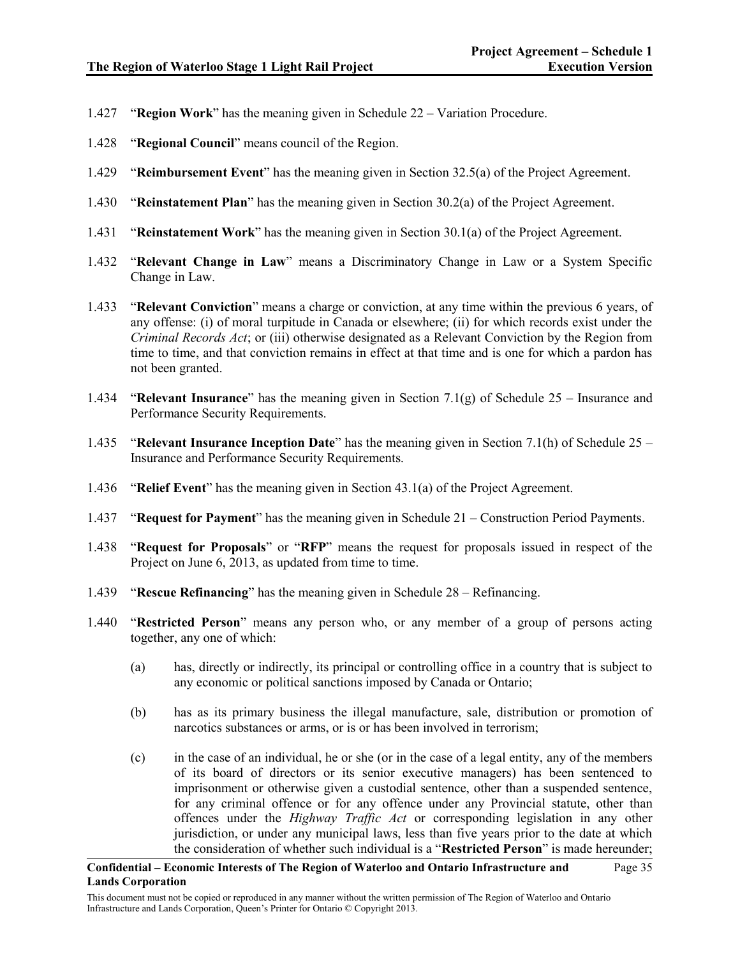- 1.427 "**Region Work**" has the meaning given in Schedule 22 Variation Procedure.
- 1.428 "**Regional Council**" means council of the Region.
- 1.429 "**Reimbursement Event**" has the meaning given in Section 32.5(a) of the Project Agreement.
- 1.430 "**Reinstatement Plan**" has the meaning given in Section 30.2(a) of the Project Agreement.
- 1.431 "**Reinstatement Work**" has the meaning given in Section 30.1(a) of the Project Agreement.
- 1.432 "**Relevant Change in Law**" means a Discriminatory Change in Law or a System Specific Change in Law.
- 1.433 "**Relevant Conviction**" means a charge or conviction, at any time within the previous 6 years, of any offense: (i) of moral turpitude in Canada or elsewhere; (ii) for which records exist under the *Criminal Records Act*; or (iii) otherwise designated as a Relevant Conviction by the Region from time to time, and that conviction remains in effect at that time and is one for which a pardon has not been granted.
- 1.434 "**Relevant Insurance**" has the meaning given in Section 7.1(g) of Schedule 25 Insurance and Performance Security Requirements.
- 1.435 "**Relevant Insurance Inception Date**" has the meaning given in Section 7.1(h) of Schedule 25 Insurance and Performance Security Requirements.
- 1.436 "**Relief Event**" has the meaning given in Section 43.1(a) of the Project Agreement.
- 1.437 "**Request for Payment**" has the meaning given in Schedule 21 Construction Period Payments.
- 1.438 "**Request for Proposals**" or "**RFP**" means the request for proposals issued in respect of the Project on June 6, 2013, as updated from time to time.
- 1.439 "**Rescue Refinancing**" has the meaning given in Schedule 28 Refinancing.
- 1.440 "**Restricted Person**" means any person who, or any member of a group of persons acting together, any one of which:
	- (a) has, directly or indirectly, its principal or controlling office in a country that is subject to any economic or political sanctions imposed by Canada or Ontario;
	- (b) has as its primary business the illegal manufacture, sale, distribution or promotion of narcotics substances or arms, or is or has been involved in terrorism;
	- (c) in the case of an individual, he or she (or in the case of a legal entity, any of the members of its board of directors or its senior executive managers) has been sentenced to imprisonment or otherwise given a custodial sentence, other than a suspended sentence, for any criminal offence or for any offence under any Provincial statute, other than offences under the *Highway Traffic Act* or corresponding legislation in any other jurisdiction, or under any municipal laws, less than five years prior to the date at which the consideration of whether such individual is a "**Restricted Person**" is made hereunder;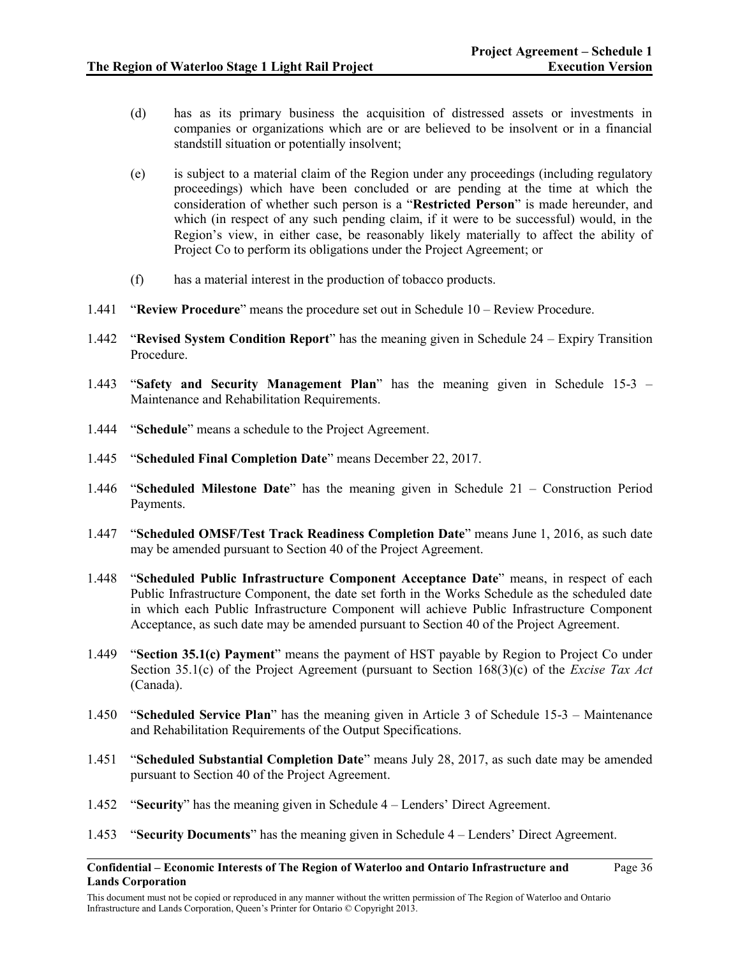- (d) has as its primary business the acquisition of distressed assets or investments in companies or organizations which are or are believed to be insolvent or in a financial standstill situation or potentially insolvent;
- (e) is subject to a material claim of the Region under any proceedings (including regulatory proceedings) which have been concluded or are pending at the time at which the consideration of whether such person is a "**Restricted Person**" is made hereunder, and which (in respect of any such pending claim, if it were to be successful) would, in the Region's view, in either case, be reasonably likely materially to affect the ability of Project Co to perform its obligations under the Project Agreement; or
- (f) has a material interest in the production of tobacco products.
- 1.441 "**Review Procedure**" means the procedure set out in Schedule 10 Review Procedure.
- 1.442 "**Revised System Condition Report**" has the meaning given in Schedule 24 Expiry Transition Procedure.
- 1.443 "**Safety and Security Management Plan**" has the meaning given in Schedule 15-3 Maintenance and Rehabilitation Requirements.
- 1.444 "**Schedule**" means a schedule to the Project Agreement.
- 1.445 "**Scheduled Final Completion Date**" means December 22, 2017.
- 1.446 "**Scheduled Milestone Date**" has the meaning given in Schedule 21 Construction Period Payments.
- 1.447 "**Scheduled OMSF/Test Track Readiness Completion Date**" means June 1, 2016, as such date may be amended pursuant to Section 40 of the Project Agreement.
- 1.448 "**Scheduled Public Infrastructure Component Acceptance Date**" means, in respect of each Public Infrastructure Component, the date set forth in the Works Schedule as the scheduled date in which each Public Infrastructure Component will achieve Public Infrastructure Component Acceptance, as such date may be amended pursuant to Section 40 of the Project Agreement.
- 1.449 "**Section 35.1(c) Payment**" means the payment of HST payable by Region to Project Co under Section 35.1(c) of the Project Agreement (pursuant to Section 168(3)(c) of the *Excise Tax Act* (Canada).
- 1.450 "**Scheduled Service Plan**" has the meaning given in Article 3 of Schedule 15-3 Maintenance and Rehabilitation Requirements of the Output Specifications.
- 1.451 "**Scheduled Substantial Completion Date**" means July 28, 2017, as such date may be amended pursuant to Section 40 of the Project Agreement.
- 1.452 "**Security**" has the meaning given in Schedule 4 Lenders' Direct Agreement.
- 1.453 "**Security Documents**" has the meaning given in Schedule 4 Lenders' Direct Agreement.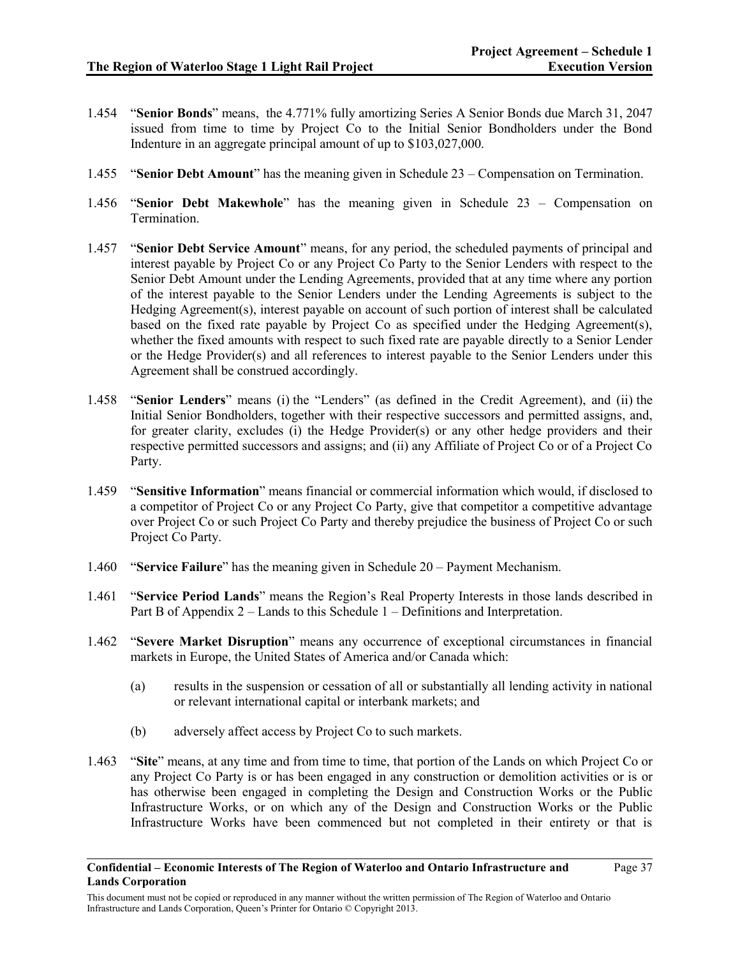- 1.454 "**Senior Bonds**" means, the 4.771% fully amortizing Series A Senior Bonds due March 31, 2047 issued from time to time by Project Co to the Initial Senior Bondholders under the Bond Indenture in an aggregate principal amount of up to \$103,027,000.
- 1.455 "**Senior Debt Amount**" has the meaning given in Schedule 23 Compensation on Termination.
- 1.456 "**Senior Debt Makewhole**" has the meaning given in Schedule 23 Compensation on Termination.
- 1.457 "**Senior Debt Service Amount**" means, for any period, the scheduled payments of principal and interest payable by Project Co or any Project Co Party to the Senior Lenders with respect to the Senior Debt Amount under the Lending Agreements, provided that at any time where any portion of the interest payable to the Senior Lenders under the Lending Agreements is subject to the Hedging Agreement(s), interest payable on account of such portion of interest shall be calculated based on the fixed rate payable by Project Co as specified under the Hedging Agreement(s), whether the fixed amounts with respect to such fixed rate are payable directly to a Senior Lender or the Hedge Provider(s) and all references to interest payable to the Senior Lenders under this Agreement shall be construed accordingly.
- 1.458 "**Senior Lenders**" means (i) the "Lenders" (as defined in the Credit Agreement), and (ii) the Initial Senior Bondholders, together with their respective successors and permitted assigns, and, for greater clarity, excludes (i) the Hedge Provider(s) or any other hedge providers and their respective permitted successors and assigns; and (ii) any Affiliate of Project Co or of a Project Co Party.
- 1.459 "**Sensitive Information**" means financial or commercial information which would, if disclosed to a competitor of Project Co or any Project Co Party, give that competitor a competitive advantage over Project Co or such Project Co Party and thereby prejudice the business of Project Co or such Project Co Party.
- 1.460 "**Service Failure**" has the meaning given in Schedule 20 Payment Mechanism.
- 1.461 "**Service Period Lands**" means the Region's Real Property Interests in those lands described in Part B of Appendix 2 – Lands to this Schedule 1 – Definitions and Interpretation.
- 1.462 "**Severe Market Disruption**" means any occurrence of exceptional circumstances in financial markets in Europe, the United States of America and/or Canada which:
	- (a) results in the suspension or cessation of all or substantially all lending activity in national or relevant international capital or interbank markets; and
	- (b) adversely affect access by Project Co to such markets.
- 1.463 "**Site**" means, at any time and from time to time, that portion of the Lands on which Project Co or any Project Co Party is or has been engaged in any construction or demolition activities or is or has otherwise been engaged in completing the Design and Construction Works or the Public Infrastructure Works, or on which any of the Design and Construction Works or the Public Infrastructure Works have been commenced but not completed in their entirety or that is

This document must not be copied or reproduced in any manner without the written permission of The Region of Waterloo and Ontario Infrastructure and Lands Corporation, Queen's Printer for Ontario © Copyright 2013.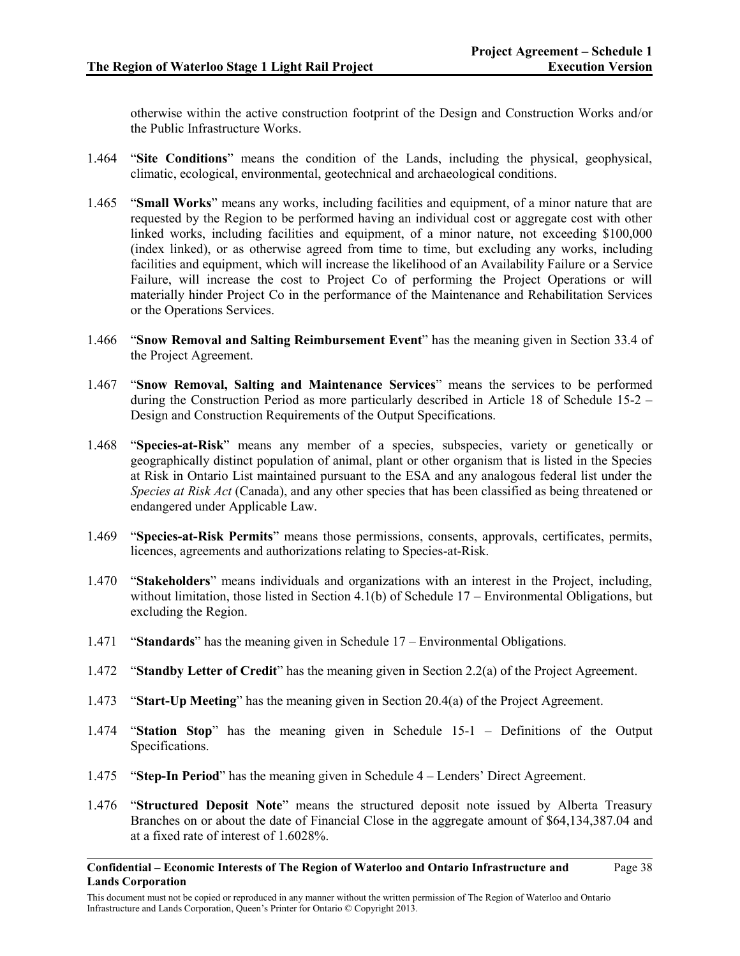otherwise within the active construction footprint of the Design and Construction Works and/or the Public Infrastructure Works.

- 1.464 "**Site Conditions**" means the condition of the Lands, including the physical, geophysical, climatic, ecological, environmental, geotechnical and archaeological conditions.
- 1.465 "**Small Works**" means any works, including facilities and equipment, of a minor nature that are requested by the Region to be performed having an individual cost or aggregate cost with other linked works, including facilities and equipment, of a minor nature, not exceeding \$100,000 (index linked), or as otherwise agreed from time to time, but excluding any works, including facilities and equipment, which will increase the likelihood of an Availability Failure or a Service Failure, will increase the cost to Project Co of performing the Project Operations or will materially hinder Project Co in the performance of the Maintenance and Rehabilitation Services or the Operations Services.
- 1.466 "**Snow Removal and Salting Reimbursement Event**" has the meaning given in Section 33.4 of the Project Agreement.
- 1.467 "**Snow Removal, Salting and Maintenance Services**" means the services to be performed during the Construction Period as more particularly described in Article 18 of Schedule 15-2 – Design and Construction Requirements of the Output Specifications.
- 1.468 "**Species-at-Risk**" means any member of a species, subspecies, variety or genetically or geographically distinct population of animal, plant or other organism that is listed in the Species at Risk in Ontario List maintained pursuant to the ESA and any analogous federal list under the *Species at Risk Act* (Canada), and any other species that has been classified as being threatened or endangered under Applicable Law.
- 1.469 "**Species-at-Risk Permits**" means those permissions, consents, approvals, certificates, permits, licences, agreements and authorizations relating to Species-at-Risk.
- 1.470 "**Stakeholders**" means individuals and organizations with an interest in the Project, including, without limitation, those listed in Section 4.1(b) of Schedule 17 – Environmental Obligations, but excluding the Region.
- 1.471 "**Standards**" has the meaning given in Schedule 17 Environmental Obligations.
- 1.472 "**Standby Letter of Credit**" has the meaning given in Section 2.2(a) of the Project Agreement.
- 1.473 "**Start-Up Meeting**" has the meaning given in Section 20.4(a) of the Project Agreement.
- 1.474 "**Station Stop**" has the meaning given in Schedule 15-1 Definitions of the Output Specifications.
- 1.475 "**Step-In Period**" has the meaning given in Schedule 4 Lenders' Direct Agreement.
- 1.476 "**Structured Deposit Note**" means the structured deposit note issued by Alberta Treasury Branches on or about the date of Financial Close in the aggregate amount of \$64,134,387.04 and at a fixed rate of interest of 1.6028%.

**Confidential – Economic Interests of The Region of Waterloo and Ontario Infrastructure and Lands Corporation** Page 38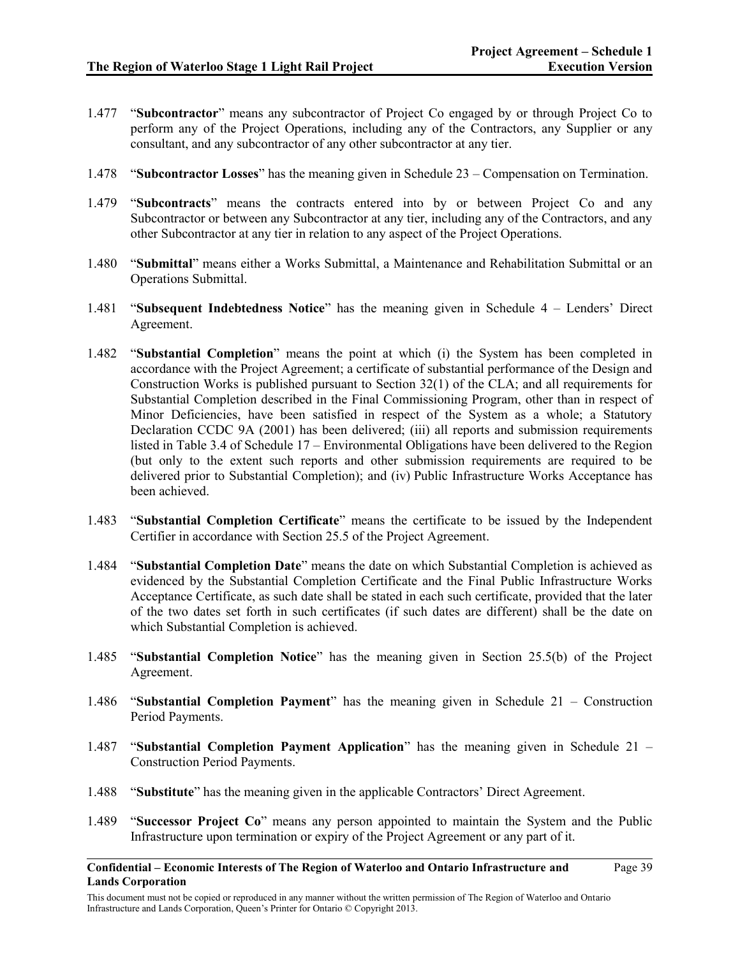- 1.477 "**Subcontractor**" means any subcontractor of Project Co engaged by or through Project Co to perform any of the Project Operations, including any of the Contractors, any Supplier or any consultant, and any subcontractor of any other subcontractor at any tier.
- 1.478 "**Subcontractor Losses**" has the meaning given in Schedule 23 Compensation on Termination.
- 1.479 "**Subcontracts**" means the contracts entered into by or between Project Co and any Subcontractor or between any Subcontractor at any tier, including any of the Contractors, and any other Subcontractor at any tier in relation to any aspect of the Project Operations.
- 1.480 "**Submittal**" means either a Works Submittal, a Maintenance and Rehabilitation Submittal or an Operations Submittal.
- 1.481 "**Subsequent Indebtedness Notice**" has the meaning given in Schedule 4 Lenders' Direct Agreement.
- 1.482 "**Substantial Completion**" means the point at which (i) the System has been completed in accordance with the Project Agreement; a certificate of substantial performance of the Design and Construction Works is published pursuant to Section 32(1) of the CLA; and all requirements for Substantial Completion described in the Final Commissioning Program, other than in respect of Minor Deficiencies, have been satisfied in respect of the System as a whole; a Statutory Declaration CCDC 9A (2001) has been delivered; (iii) all reports and submission requirements listed in Table 3.4 of Schedule 17 – Environmental Obligations have been delivered to the Region (but only to the extent such reports and other submission requirements are required to be delivered prior to Substantial Completion); and (iv) Public Infrastructure Works Acceptance has been achieved.
- 1.483 "**Substantial Completion Certificate**" means the certificate to be issued by the Independent Certifier in accordance with Section 25.5 of the Project Agreement.
- 1.484 "**Substantial Completion Date**" means the date on which Substantial Completion is achieved as evidenced by the Substantial Completion Certificate and the Final Public Infrastructure Works Acceptance Certificate, as such date shall be stated in each such certificate, provided that the later of the two dates set forth in such certificates (if such dates are different) shall be the date on which Substantial Completion is achieved.
- 1.485 "**Substantial Completion Notice**" has the meaning given in Section 25.5(b) of the Project Agreement.
- 1.486 "**Substantial Completion Payment**" has the meaning given in Schedule 21 Construction Period Payments.
- 1.487 "**Substantial Completion Payment Application**" has the meaning given in Schedule 21 Construction Period Payments.
- 1.488 "**Substitute**" has the meaning given in the applicable Contractors' Direct Agreement.
- 1.489 "**Successor Project Co**" means any person appointed to maintain the System and the Public Infrastructure upon termination or expiry of the Project Agreement or any part of it.

**Confidential – Economic Interests of The Region of Waterloo and Ontario Infrastructure and Lands Corporation**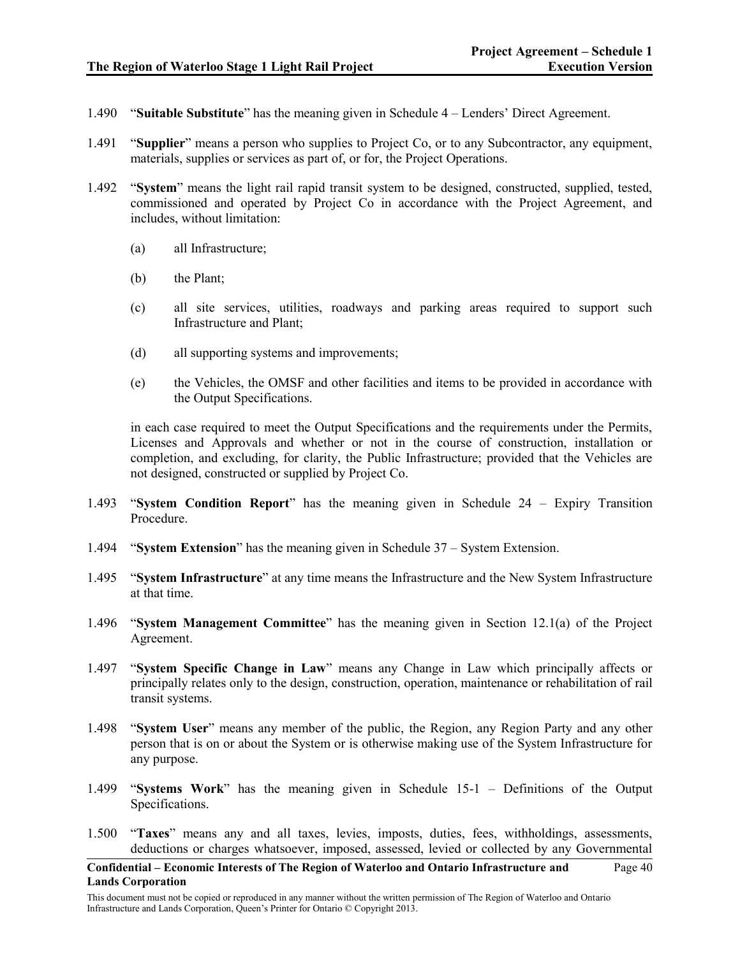- 1.490 "**Suitable Substitute**" has the meaning given in Schedule 4 Lenders' Direct Agreement.
- 1.491 "**Supplier**" means a person who supplies to Project Co, or to any Subcontractor, any equipment, materials, supplies or services as part of, or for, the Project Operations.
- 1.492 "**System**" means the light rail rapid transit system to be designed, constructed, supplied, tested, commissioned and operated by Project Co in accordance with the Project Agreement, and includes, without limitation:
	- (a) all Infrastructure;
	- (b) the Plant;
	- (c) all site services, utilities, roadways and parking areas required to support such Infrastructure and Plant;
	- (d) all supporting systems and improvements;
	- (e) the Vehicles, the OMSF and other facilities and items to be provided in accordance with the Output Specifications.

in each case required to meet the Output Specifications and the requirements under the Permits, Licenses and Approvals and whether or not in the course of construction, installation or completion, and excluding, for clarity, the Public Infrastructure; provided that the Vehicles are not designed, constructed or supplied by Project Co.

- 1.493 "**System Condition Report**" has the meaning given in Schedule 24 Expiry Transition Procedure.
- 1.494 "**System Extension**" has the meaning given in Schedule 37 System Extension.
- 1.495 "**System Infrastructure**" at any time means the Infrastructure and the New System Infrastructure at that time.
- 1.496 "**System Management Committee**" has the meaning given in Section 12.1(a) of the Project Agreement.
- 1.497 "**System Specific Change in Law**" means any Change in Law which principally affects or principally relates only to the design, construction, operation, maintenance or rehabilitation of rail transit systems.
- 1.498 "**System User**" means any member of the public, the Region, any Region Party and any other person that is on or about the System or is otherwise making use of the System Infrastructure for any purpose.
- 1.499 "**Systems Work**" has the meaning given in Schedule 15-1 Definitions of the Output Specifications.
- 1.500 "**Taxes**" means any and all taxes, levies, imposts, duties, fees, withholdings, assessments, deductions or charges whatsoever, imposed, assessed, levied or collected by any Governmental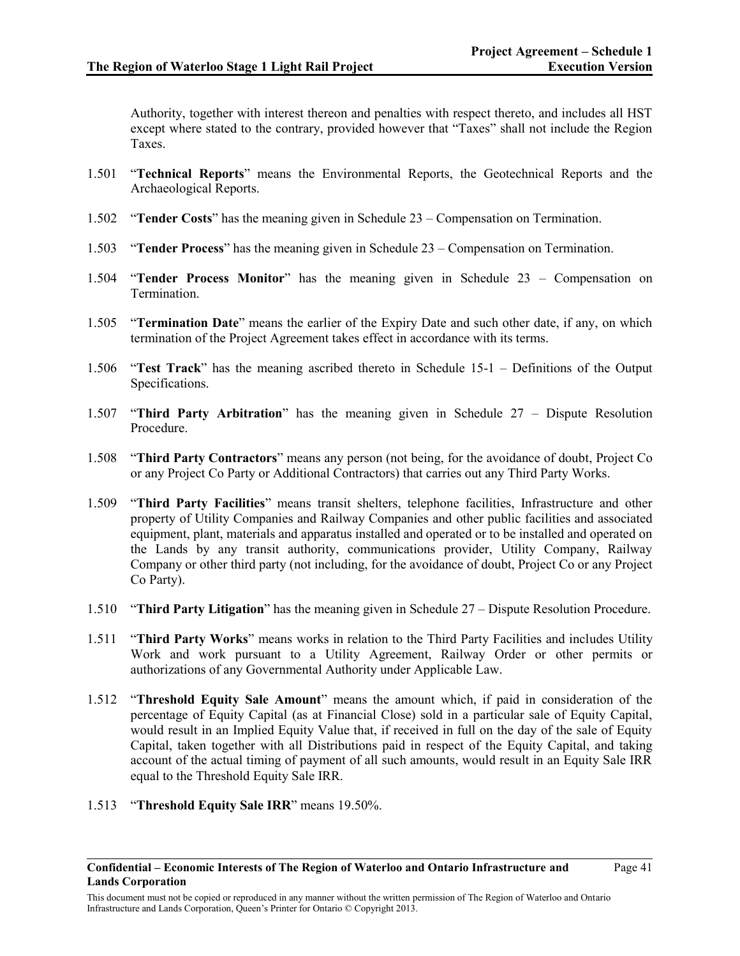Authority, together with interest thereon and penalties with respect thereto, and includes all HST except where stated to the contrary, provided however that "Taxes" shall not include the Region Taxes.

- 1.501 "**Technical Reports**" means the Environmental Reports, the Geotechnical Reports and the Archaeological Reports.
- 1.502 "**Tender Costs**" has the meaning given in Schedule 23 Compensation on Termination.
- 1.503 "**Tender Process**" has the meaning given in Schedule 23 Compensation on Termination.
- 1.504 "**Tender Process Monitor**" has the meaning given in Schedule 23 Compensation on Termination.
- 1.505 "**Termination Date**" means the earlier of the Expiry Date and such other date, if any, on which termination of the Project Agreement takes effect in accordance with its terms.
- 1.506 "**Test Track**" has the meaning ascribed thereto in Schedule 15-1 Definitions of the Output Specifications.
- 1.507 "**Third Party Arbitration**" has the meaning given in Schedule 27 Dispute Resolution Procedure.
- 1.508 "**Third Party Contractors**" means any person (not being, for the avoidance of doubt, Project Co or any Project Co Party or Additional Contractors) that carries out any Third Party Works.
- 1.509 "**Third Party Facilities**" means transit shelters, telephone facilities, Infrastructure and other property of Utility Companies and Railway Companies and other public facilities and associated equipment, plant, materials and apparatus installed and operated or to be installed and operated on the Lands by any transit authority, communications provider, Utility Company, Railway Company or other third party (not including, for the avoidance of doubt, Project Co or any Project Co Party).
- 1.510 "**Third Party Litigation**" has the meaning given in Schedule 27 Dispute Resolution Procedure.
- 1.511 "**Third Party Works**" means works in relation to the Third Party Facilities and includes Utility Work and work pursuant to a Utility Agreement, Railway Order or other permits or authorizations of any Governmental Authority under Applicable Law.
- 1.512 "**Threshold Equity Sale Amount**" means the amount which, if paid in consideration of the percentage of Equity Capital (as at Financial Close) sold in a particular sale of Equity Capital, would result in an Implied Equity Value that, if received in full on the day of the sale of Equity Capital, taken together with all Distributions paid in respect of the Equity Capital, and taking account of the actual timing of payment of all such amounts, would result in an Equity Sale IRR equal to the Threshold Equity Sale IRR.
- 1.513 "**Threshold Equity Sale IRR**" means 19.50%.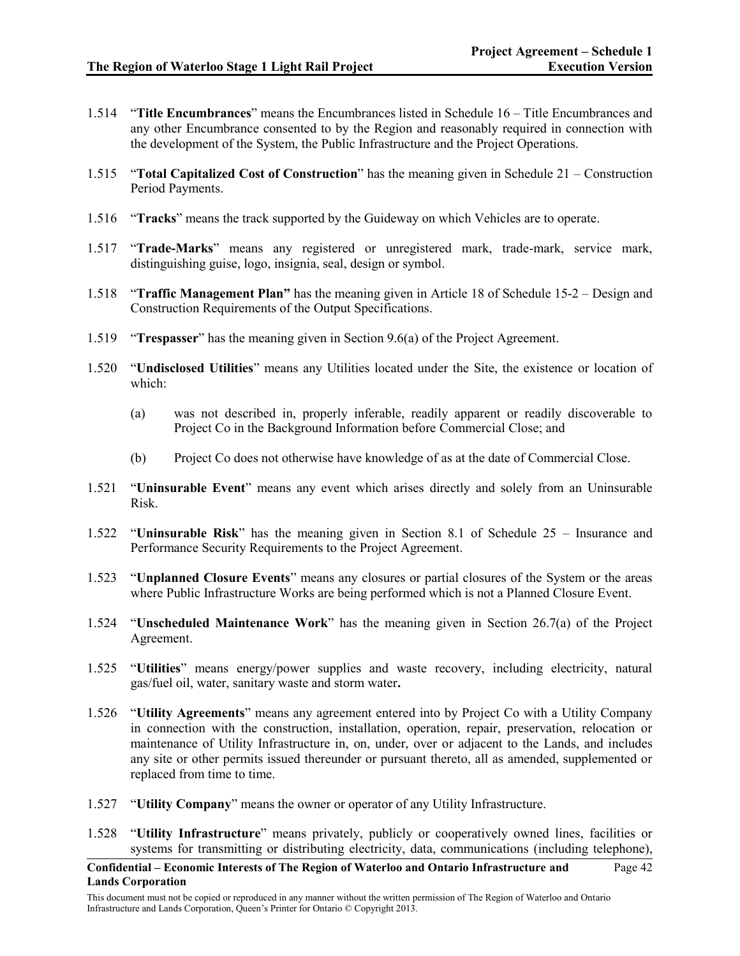- 1.514 "**Title Encumbrances**" means the Encumbrances listed in Schedule 16 Title Encumbrances and any other Encumbrance consented to by the Region and reasonably required in connection with the development of the System, the Public Infrastructure and the Project Operations.
- 1.515 "**Total Capitalized Cost of Construction**" has the meaning given in Schedule 21 Construction Period Payments.
- 1.516 "**Tracks**" means the track supported by the Guideway on which Vehicles are to operate.
- 1.517 "**Trade-Marks**" means any registered or unregistered mark, trade-mark, service mark, distinguishing guise, logo, insignia, seal, design or symbol.
- 1.518 "**Traffic Management Plan"** has the meaning given in Article 18 of Schedule 15-2 Design and Construction Requirements of the Output Specifications.
- 1.519 "**Trespasser**" has the meaning given in Section 9.6(a) of the Project Agreement.
- 1.520 "**Undisclosed Utilities**" means any Utilities located under the Site, the existence or location of which:
	- (a) was not described in, properly inferable, readily apparent or readily discoverable to Project Co in the Background Information before Commercial Close; and
	- (b) Project Co does not otherwise have knowledge of as at the date of Commercial Close.
- 1.521 "**Uninsurable Event**" means any event which arises directly and solely from an Uninsurable Risk.
- 1.522 "**Uninsurable Risk**" has the meaning given in Section 8.1 of Schedule 25 Insurance and Performance Security Requirements to the Project Agreement.
- 1.523 "**Unplanned Closure Events**" means any closures or partial closures of the System or the areas where Public Infrastructure Works are being performed which is not a Planned Closure Event.
- 1.524 "**Unscheduled Maintenance Work**" has the meaning given in Section 26.7(a) of the Project Agreement.
- 1.525 "**Utilities**" means energy/power supplies and waste recovery, including electricity, natural gas/fuel oil, water, sanitary waste and storm water**.**
- 1.526 "**Utility Agreements**" means any agreement entered into by Project Co with a Utility Company in connection with the construction, installation, operation, repair, preservation, relocation or maintenance of Utility Infrastructure in, on, under, over or adjacent to the Lands, and includes any site or other permits issued thereunder or pursuant thereto, all as amended, supplemented or replaced from time to time.
- 1.527 "**Utility Company**" means the owner or operator of any Utility Infrastructure.
- 1.528 "**Utility Infrastructure**" means privately, publicly or cooperatively owned lines, facilities or systems for transmitting or distributing electricity, data, communications (including telephone),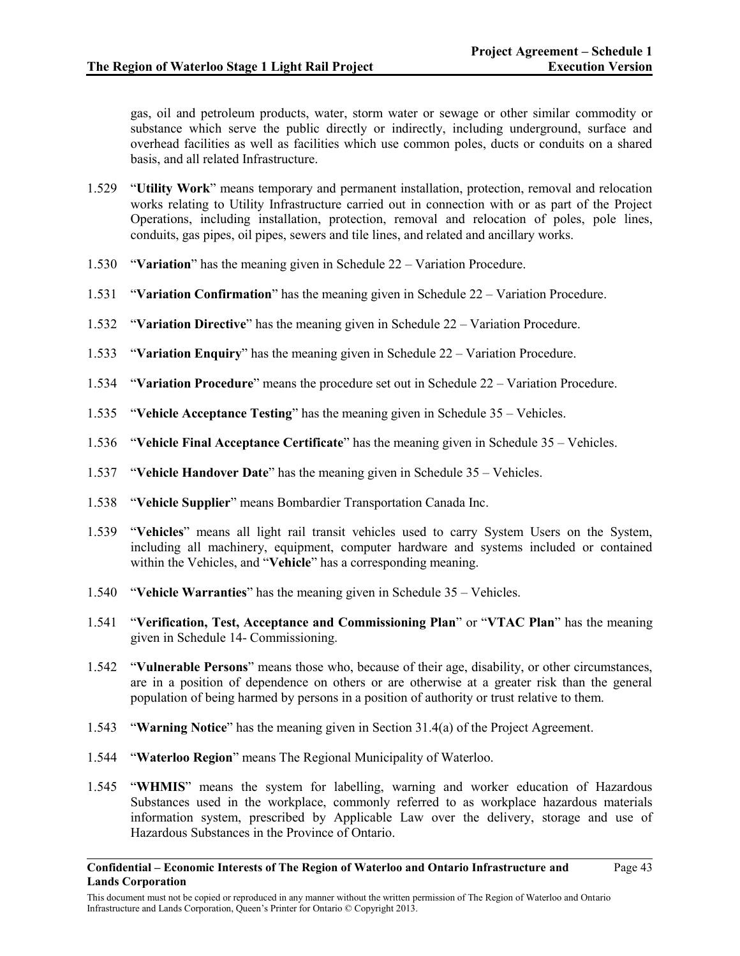gas, oil and petroleum products, water, storm water or sewage or other similar commodity or substance which serve the public directly or indirectly, including underground, surface and overhead facilities as well as facilities which use common poles, ducts or conduits on a shared basis, and all related Infrastructure.

- 1.529 "**Utility Work**" means temporary and permanent installation, protection, removal and relocation works relating to Utility Infrastructure carried out in connection with or as part of the Project Operations, including installation, protection, removal and relocation of poles, pole lines, conduits, gas pipes, oil pipes, sewers and tile lines, and related and ancillary works.
- 1.530 "**Variation**" has the meaning given in Schedule 22 Variation Procedure.
- 1.531 "**Variation Confirmation**" has the meaning given in Schedule 22 Variation Procedure.
- 1.532 "**Variation Directive**" has the meaning given in Schedule 22 Variation Procedure.
- 1.533 "**Variation Enquiry**" has the meaning given in Schedule 22 Variation Procedure.
- 1.534 "**Variation Procedure**" means the procedure set out in Schedule 22 Variation Procedure.
- 1.535 "**Vehicle Acceptance Testing**" has the meaning given in Schedule 35 Vehicles.
- 1.536 "**Vehicle Final Acceptance Certificate**" has the meaning given in Schedule 35 Vehicles.
- 1.537 "**Vehicle Handover Date**" has the meaning given in Schedule 35 Vehicles.
- 1.538 "**Vehicle Supplier**" means Bombardier Transportation Canada Inc.
- 1.539 "**Vehicles**" means all light rail transit vehicles used to carry System Users on the System, including all machinery, equipment, computer hardware and systems included or contained within the Vehicles, and "**Vehicle**" has a corresponding meaning.
- 1.540 "**Vehicle Warranties**" has the meaning given in Schedule 35 Vehicles.
- 1.541 "**Verification, Test, Acceptance and Commissioning Plan**" or "**VTAC Plan**" has the meaning given in Schedule 14- Commissioning.
- 1.542 "**Vulnerable Persons**" means those who, because of their age, disability, or other circumstances, are in a position of dependence on others or are otherwise at a greater risk than the general population of being harmed by persons in a position of authority or trust relative to them.
- 1.543 "**Warning Notice**" has the meaning given in Section 31.4(a) of the Project Agreement.
- 1.544 "**Waterloo Region**" means The Regional Municipality of Waterloo.
- 1.545 "**WHMIS**" means the system for labelling, warning and worker education of Hazardous Substances used in the workplace, commonly referred to as workplace hazardous materials information system, prescribed by Applicable Law over the delivery, storage and use of Hazardous Substances in the Province of Ontario.

**Confidential – Economic Interests of The Region of Waterloo and Ontario Infrastructure and Lands Corporation**

This document must not be copied or reproduced in any manner without the written permission of The Region of Waterloo and Ontario Infrastructure and Lands Corporation, Queen's Printer for Ontario © Copyright 2013.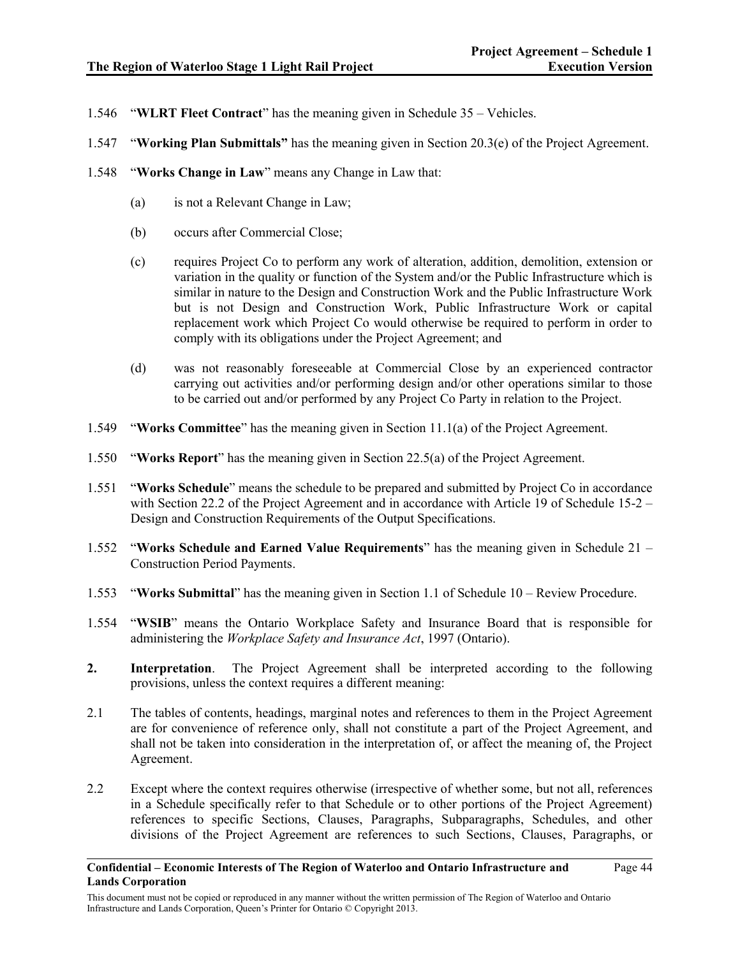- 1.546 "**WLRT Fleet Contract**" has the meaning given in Schedule 35 Vehicles.
- 1.547 "**Working Plan Submittals"** has the meaning given in Section 20.3(e) of the Project Agreement.
- 1.548 "**Works Change in Law**" means any Change in Law that:
	- (a) is not a Relevant Change in Law;
	- (b) occurs after Commercial Close;
	- (c) requires Project Co to perform any work of alteration, addition, demolition, extension or variation in the quality or function of the System and/or the Public Infrastructure which is similar in nature to the Design and Construction Work and the Public Infrastructure Work but is not Design and Construction Work, Public Infrastructure Work or capital replacement work which Project Co would otherwise be required to perform in order to comply with its obligations under the Project Agreement; and
	- (d) was not reasonably foreseeable at Commercial Close by an experienced contractor carrying out activities and/or performing design and/or other operations similar to those to be carried out and/or performed by any Project Co Party in relation to the Project.
- 1.549 "**Works Committee**" has the meaning given in Section 11.1(a) of the Project Agreement.
- 1.550 "**Works Report**" has the meaning given in Section 22.5(a) of the Project Agreement.
- 1.551 "**Works Schedule**" means the schedule to be prepared and submitted by Project Co in accordance with Section 22.2 of the Project Agreement and in accordance with Article 19 of Schedule 15-2 – Design and Construction Requirements of the Output Specifications.
- 1.552 "**Works Schedule and Earned Value Requirements**" has the meaning given in Schedule 21 Construction Period Payments.
- 1.553 "**Works Submittal**" has the meaning given in Section 1.1 of Schedule 10 Review Procedure.
- 1.554 "**WSIB**" means the Ontario Workplace Safety and Insurance Board that is responsible for administering the *Workplace Safety and Insurance Act*, 1997 (Ontario).
- **2. Interpretation**. The Project Agreement shall be interpreted according to the following provisions, unless the context requires a different meaning:
- 2.1 The tables of contents, headings, marginal notes and references to them in the Project Agreement are for convenience of reference only, shall not constitute a part of the Project Agreement, and shall not be taken into consideration in the interpretation of, or affect the meaning of, the Project Agreement.
- 2.2 Except where the context requires otherwise (irrespective of whether some, but not all, references in a Schedule specifically refer to that Schedule or to other portions of the Project Agreement) references to specific Sections, Clauses, Paragraphs, Subparagraphs, Schedules, and other divisions of the Project Agreement are references to such Sections, Clauses, Paragraphs, or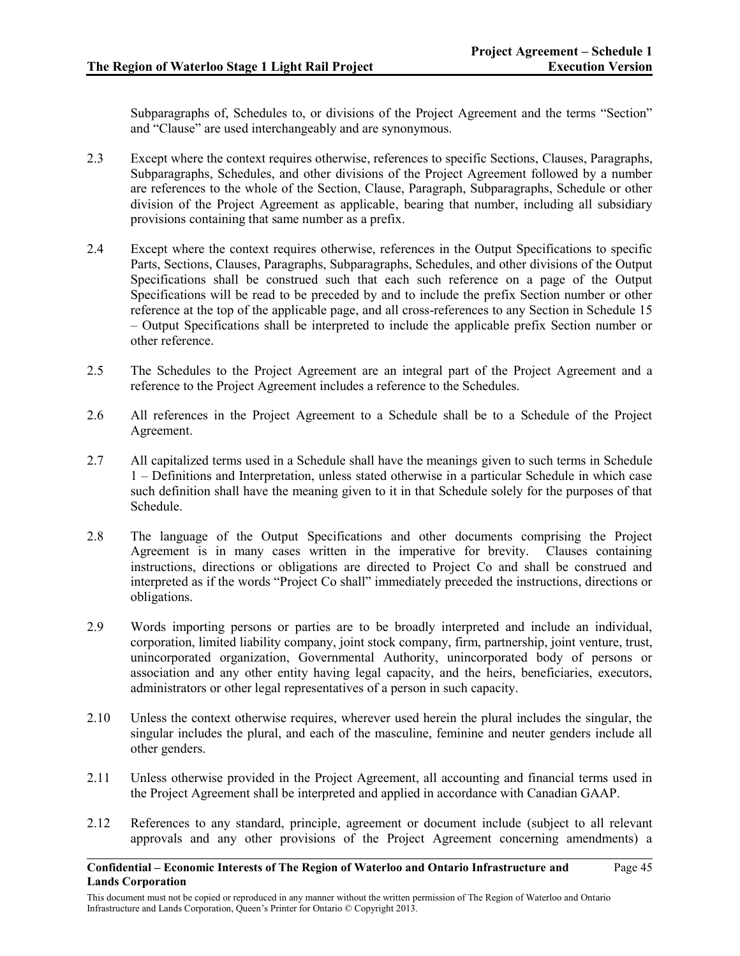Subparagraphs of, Schedules to, or divisions of the Project Agreement and the terms "Section" and "Clause" are used interchangeably and are synonymous.

- 2.3 Except where the context requires otherwise, references to specific Sections, Clauses, Paragraphs, Subparagraphs, Schedules, and other divisions of the Project Agreement followed by a number are references to the whole of the Section, Clause, Paragraph, Subparagraphs, Schedule or other division of the Project Agreement as applicable, bearing that number, including all subsidiary provisions containing that same number as a prefix.
- 2.4 Except where the context requires otherwise, references in the Output Specifications to specific Parts, Sections, Clauses, Paragraphs, Subparagraphs, Schedules, and other divisions of the Output Specifications shall be construed such that each such reference on a page of the Output Specifications will be read to be preceded by and to include the prefix Section number or other reference at the top of the applicable page, and all cross-references to any Section in Schedule 15 – Output Specifications shall be interpreted to include the applicable prefix Section number or other reference.
- 2.5 The Schedules to the Project Agreement are an integral part of the Project Agreement and a reference to the Project Agreement includes a reference to the Schedules.
- 2.6 All references in the Project Agreement to a Schedule shall be to a Schedule of the Project Agreement.
- 2.7 All capitalized terms used in a Schedule shall have the meanings given to such terms in Schedule 1 – Definitions and Interpretation, unless stated otherwise in a particular Schedule in which case such definition shall have the meaning given to it in that Schedule solely for the purposes of that Schedule.
- 2.8 The language of the Output Specifications and other documents comprising the Project Agreement is in many cases written in the imperative for brevity. Clauses containing instructions, directions or obligations are directed to Project Co and shall be construed and interpreted as if the words "Project Co shall" immediately preceded the instructions, directions or obligations.
- 2.9 Words importing persons or parties are to be broadly interpreted and include an individual, corporation, limited liability company, joint stock company, firm, partnership, joint venture, trust, unincorporated organization, Governmental Authority, unincorporated body of persons or association and any other entity having legal capacity, and the heirs, beneficiaries, executors, administrators or other legal representatives of a person in such capacity.
- 2.10 Unless the context otherwise requires, wherever used herein the plural includes the singular, the singular includes the plural, and each of the masculine, feminine and neuter genders include all other genders.
- 2.11 Unless otherwise provided in the Project Agreement, all accounting and financial terms used in the Project Agreement shall be interpreted and applied in accordance with Canadian GAAP.
- 2.12 References to any standard, principle, agreement or document include (subject to all relevant approvals and any other provisions of the Project Agreement concerning amendments) a

**Confidential – Economic Interests of The Region of Waterloo and Ontario Infrastructure and Lands Corporation** Page 45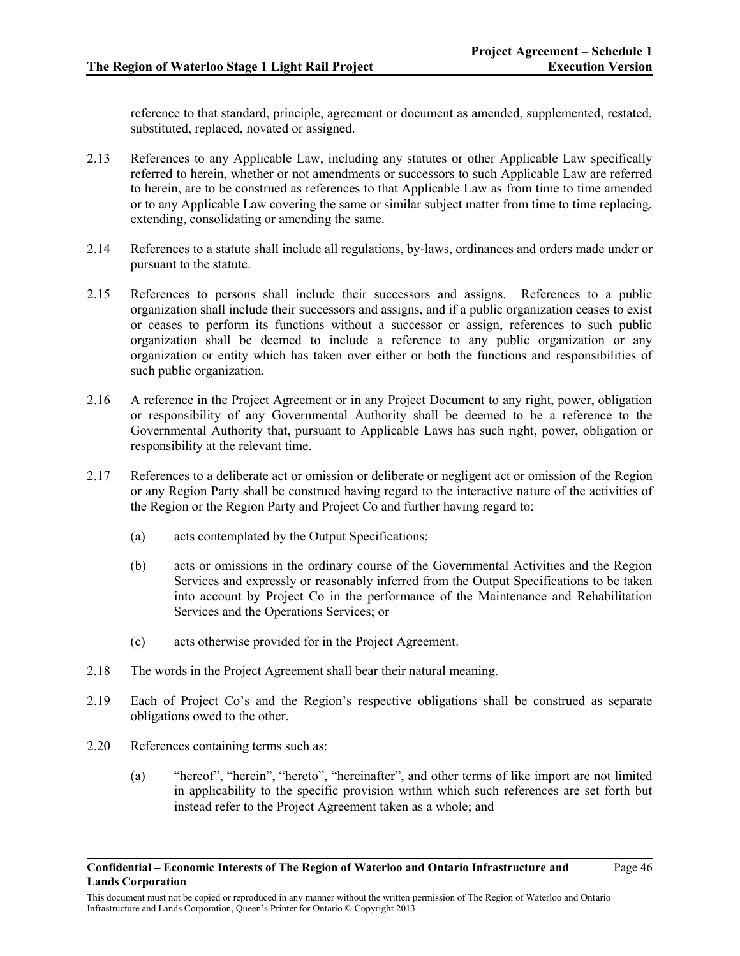reference to that standard, principle, agreement or document as amended, supplemented, restated, substituted, replaced, novated or assigned.

- 2.13 References to any Applicable Law, including any statutes or other Applicable Law specifically referred to herein, whether or not amendments or successors to such Applicable Law are referred to herein, are to be construed as references to that Applicable Law as from time to time amended or to any Applicable Law covering the same or similar subject matter from time to time replacing, extending, consolidating or amending the same.
- 2.14 References to a statute shall include all regulations, by-laws, ordinances and orders made under or pursuant to the statute.
- 2.15 References to persons shall include their successors and assigns. References to a public organization shall include their successors and assigns, and if a public organization ceases to exist or ceases to perform its functions without a successor or assign, references to such public organization shall be deemed to include a reference to any public organization or any organization or entity which has taken over either or both the functions and responsibilities of such public organization.
- 2.16 A reference in the Project Agreement or in any Project Document to any right, power, obligation or responsibility of any Governmental Authority shall be deemed to be a reference to the Governmental Authority that, pursuant to Applicable Laws has such right, power, obligation or responsibility at the relevant time.
- 2.17 References to a deliberate act or omission or deliberate or negligent act or omission of the Region or any Region Party shall be construed having regard to the interactive nature of the activities of the Region or the Region Party and Project Co and further having regard to:
	- (a) acts contemplated by the Output Specifications;
	- (b) acts or omissions in the ordinary course of the Governmental Activities and the Region Services and expressly or reasonably inferred from the Output Specifications to be taken into account by Project Co in the performance of the Maintenance and Rehabilitation Services and the Operations Services; or
	- (c) acts otherwise provided for in the Project Agreement.
- 2.18 The words in the Project Agreement shall bear their natural meaning.
- 2.19 Each of Project Co's and the Region's respective obligations shall be construed as separate obligations owed to the other.
- 2.20 References containing terms such as:
	- (a) "hereof", "herein", "hereto", "hereinafter", and other terms of like import are not limited in applicability to the specific provision within which such references are set forth but instead refer to the Project Agreement taken as a whole; and

This document must not be copied or reproduced in any manner without the written permission of The Region of Waterloo and Ontario Infrastructure and Lands Corporation, Queen's Printer for Ontario © Copyright 2013.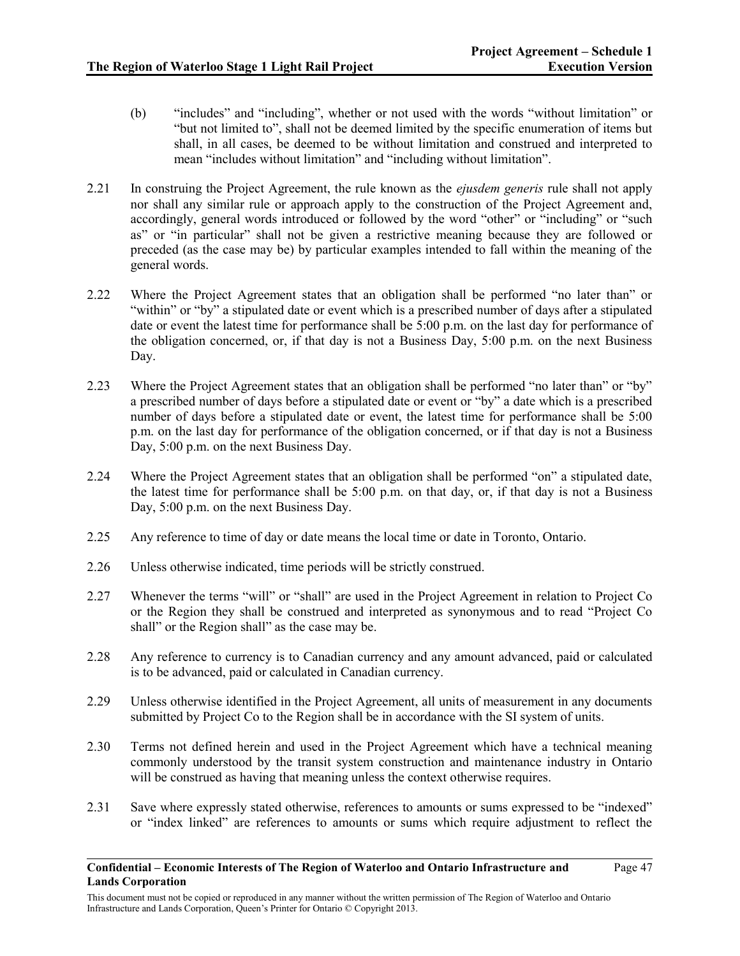- (b) "includes" and "including", whether or not used with the words "without limitation" or "but not limited to", shall not be deemed limited by the specific enumeration of items but shall, in all cases, be deemed to be without limitation and construed and interpreted to mean "includes without limitation" and "including without limitation".
- 2.21 In construing the Project Agreement, the rule known as the *ejusdem generis* rule shall not apply nor shall any similar rule or approach apply to the construction of the Project Agreement and, accordingly, general words introduced or followed by the word "other" or "including" or "such as" or "in particular" shall not be given a restrictive meaning because they are followed or preceded (as the case may be) by particular examples intended to fall within the meaning of the general words.
- 2.22 Where the Project Agreement states that an obligation shall be performed "no later than" or "within" or "by" a stipulated date or event which is a prescribed number of days after a stipulated date or event the latest time for performance shall be 5:00 p.m. on the last day for performance of the obligation concerned, or, if that day is not a Business Day, 5:00 p.m. on the next Business Day.
- 2.23 Where the Project Agreement states that an obligation shall be performed "no later than" or "by" a prescribed number of days before a stipulated date or event or "by" a date which is a prescribed number of days before a stipulated date or event, the latest time for performance shall be 5:00 p.m. on the last day for performance of the obligation concerned, or if that day is not a Business Day, 5:00 p.m. on the next Business Day.
- 2.24 Where the Project Agreement states that an obligation shall be performed "on" a stipulated date, the latest time for performance shall be 5:00 p.m. on that day, or, if that day is not a Business Day, 5:00 p.m. on the next Business Day.
- 2.25 Any reference to time of day or date means the local time or date in Toronto, Ontario.
- 2.26 Unless otherwise indicated, time periods will be strictly construed.
- 2.27 Whenever the terms "will" or "shall" are used in the Project Agreement in relation to Project Co or the Region they shall be construed and interpreted as synonymous and to read "Project Co shall" or the Region shall" as the case may be.
- 2.28 Any reference to currency is to Canadian currency and any amount advanced, paid or calculated is to be advanced, paid or calculated in Canadian currency.
- 2.29 Unless otherwise identified in the Project Agreement, all units of measurement in any documents submitted by Project Co to the Region shall be in accordance with the SI system of units.
- 2.30 Terms not defined herein and used in the Project Agreement which have a technical meaning commonly understood by the transit system construction and maintenance industry in Ontario will be construed as having that meaning unless the context otherwise requires.
- 2.31 Save where expressly stated otherwise, references to amounts or sums expressed to be "indexed" or "index linked" are references to amounts or sums which require adjustment to reflect the

This document must not be copied or reproduced in any manner without the written permission of The Region of Waterloo and Ontario Infrastructure and Lands Corporation, Queen's Printer for Ontario © Copyright 2013.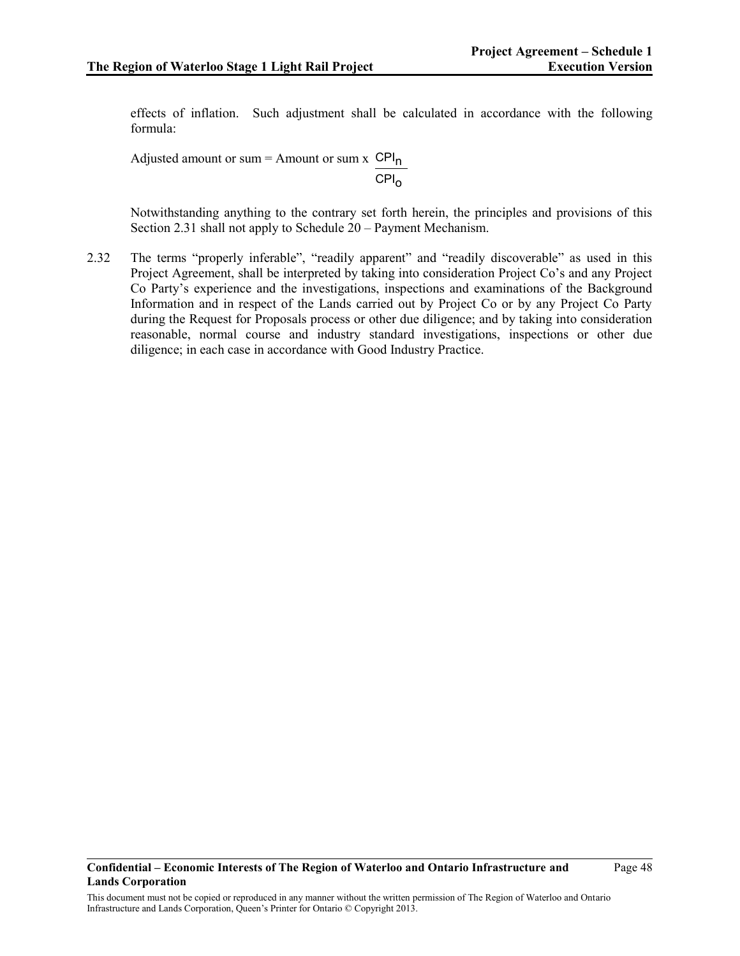effects of inflation. Such adjustment shall be calculated in accordance with the following formula:

Adjusted amount or sum = Amount or sum  $x$  CPI<sub>n</sub>  $CPI<sub>o</sub>$ 

Notwithstanding anything to the contrary set forth herein, the principles and provisions of this Section 2.31 shall not apply to Schedule 20 – Payment Mechanism.

2.32 The terms "properly inferable", "readily apparent" and "readily discoverable" as used in this Project Agreement, shall be interpreted by taking into consideration Project Co's and any Project Co Party's experience and the investigations, inspections and examinations of the Background Information and in respect of the Lands carried out by Project Co or by any Project Co Party during the Request for Proposals process or other due diligence; and by taking into consideration reasonable, normal course and industry standard investigations, inspections or other due diligence; in each case in accordance with Good Industry Practice.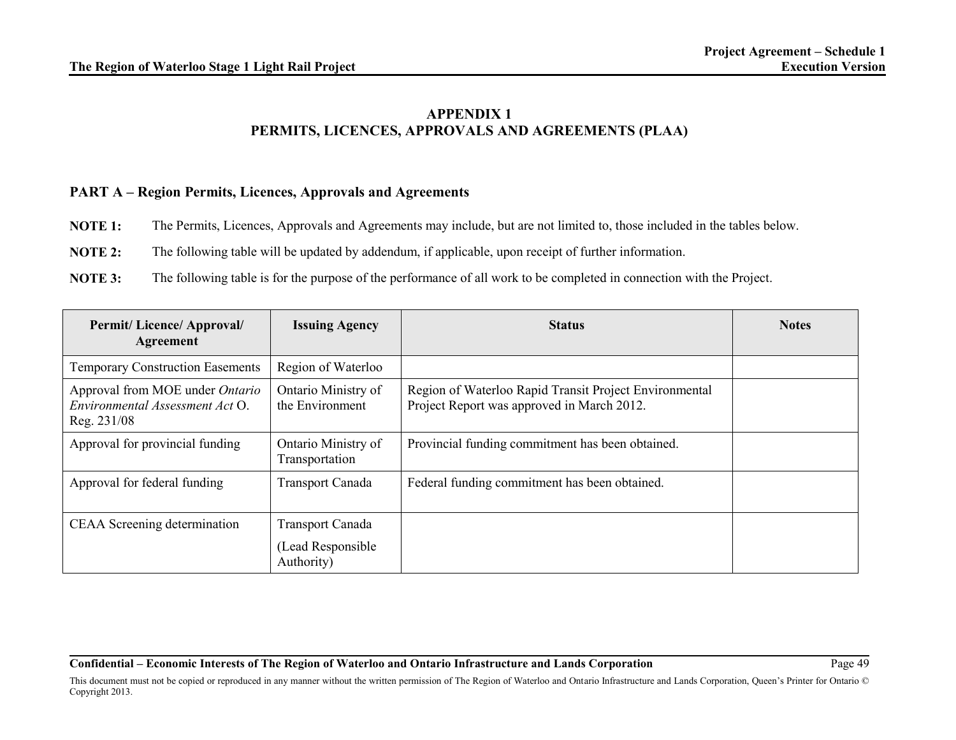# **APPENDIX 1 PERMITS, LICENCES, APPROVALS AND AGREEMENTS (PLAA)**

## **PART A – Region Permits, Licences, Approvals and Agreements**

- **NOTE 1:** The Permits, Licences, Approvals and Agreements may include, but are not limited to, those included in the tables below.
- **NOTE 2:** The following table will be updated by addendum, if applicable, upon receipt of further information.
- **NOTE 3:** The following table is for the purpose of the performance of all work to be completed in connection with the Project.

| <b>Permit/Licence/Approval/</b><br>Agreement                                      | <b>Issuing Agency</b>                  | <b>Status</b>                                                                                        | <b>Notes</b> |
|-----------------------------------------------------------------------------------|----------------------------------------|------------------------------------------------------------------------------------------------------|--------------|
| <b>Temporary Construction Easements</b>                                           | Region of Waterloo                     |                                                                                                      |              |
| Approval from MOE under Ontario<br>Environmental Assessment Act O.<br>Reg. 231/08 | Ontario Ministry of<br>the Environment | Region of Waterloo Rapid Transit Project Environmental<br>Project Report was approved in March 2012. |              |
| Approval for provincial funding                                                   | Ontario Ministry of<br>Transportation  | Provincial funding commitment has been obtained.                                                     |              |
| Approval for federal funding                                                      | <b>Transport Canada</b>                | Federal funding commitment has been obtained.                                                        |              |
| CEAA Screening determination                                                      | <b>Transport Canada</b>                |                                                                                                      |              |
|                                                                                   | (Lead Responsible)<br>Authority)       |                                                                                                      |              |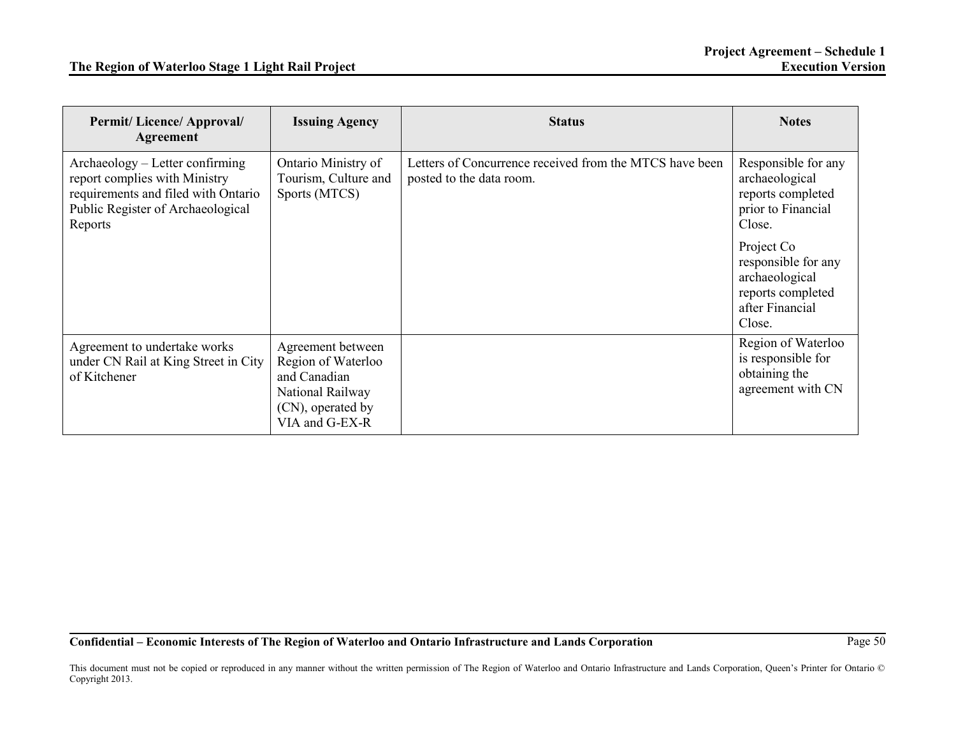| <b>Permit/Licence/Approval/</b><br>Agreement                                                                                                            | <b>Issuing Agency</b>                                                                                              | <b>Status</b>                                                                       | <b>Notes</b>                                                                                          |
|---------------------------------------------------------------------------------------------------------------------------------------------------------|--------------------------------------------------------------------------------------------------------------------|-------------------------------------------------------------------------------------|-------------------------------------------------------------------------------------------------------|
| Archaeology – Letter confirming<br>report complies with Ministry<br>requirements and filed with Ontario<br>Public Register of Archaeological<br>Reports | Ontario Ministry of<br>Tourism, Culture and<br>Sports (MTCS)                                                       | Letters of Concurrence received from the MTCS have been<br>posted to the data room. | Responsible for any<br>archaeological<br>reports completed<br>prior to Financial<br>Close.            |
|                                                                                                                                                         |                                                                                                                    |                                                                                     | Project Co<br>responsible for any<br>archaeological<br>reports completed<br>after Financial<br>Close. |
| Agreement to undertake works<br>under CN Rail at King Street in City<br>of Kitchener                                                                    | Agreement between<br>Region of Waterloo<br>and Canadian<br>National Railway<br>(CN), operated by<br>VIA and G-EX-R |                                                                                     | Region of Waterloo<br>is responsible for<br>obtaining the<br>agreement with CN                        |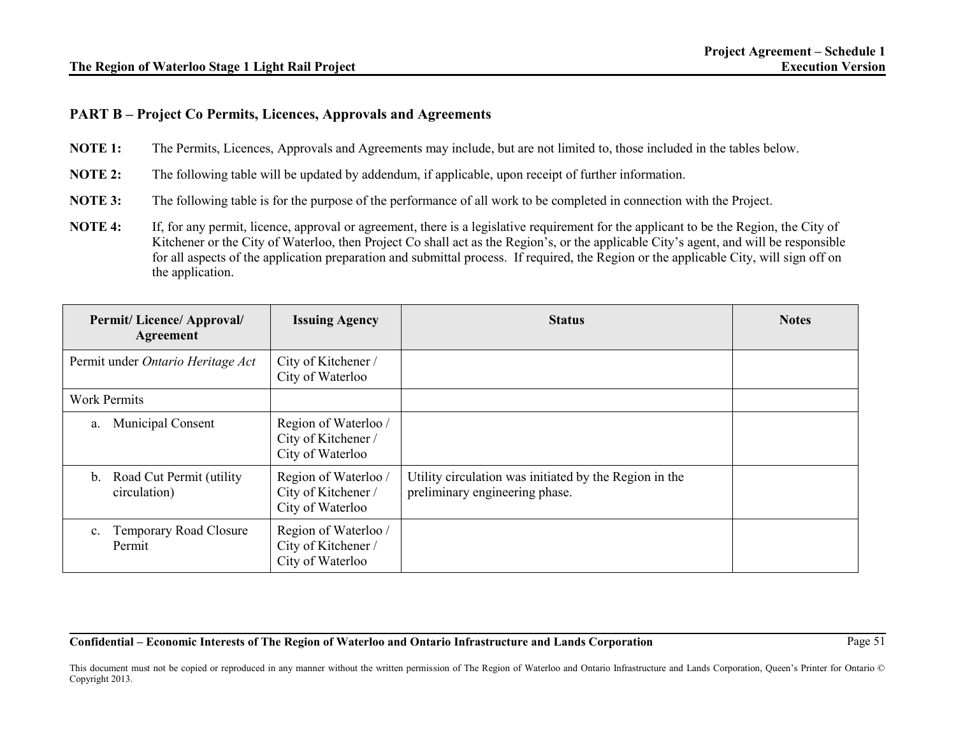# **PART B – Project Co Permits, Licences, Approvals and Agreements**

**NOTE 1:** The Permits, Licences, Approvals and Agreements may include, but are not limited to, those included in the tables below.

**NOTE 2:** The following table will be updated by addendum, if applicable, upon receipt of further information.

**NOTE 3:** The following table is for the purpose of the performance of all work to be completed in connection with the Project.

**NOTE 4:** If, for any permit, licence, approval or agreement, there is a legislative requirement for the applicant to be the Region, the City of Kitchener or the City of Waterloo, then Project Co shall act as the Region's, or the applicable City's agent, and will be responsible for all aspects of the application preparation and submittal process. If required, the Region or the applicable City, will sign off on the application.

| <b>Permit/Licence/Approval/</b><br>Agreement               | <b>Issuing Agency</b>                                           | <b>Status</b>                                                                            | <b>Notes</b> |
|------------------------------------------------------------|-----------------------------------------------------------------|------------------------------------------------------------------------------------------|--------------|
| Permit under Ontario Heritage Act                          | City of Kitchener /<br>City of Waterloo                         |                                                                                          |              |
| <b>Work Permits</b>                                        |                                                                 |                                                                                          |              |
| <b>Municipal Consent</b><br>a.                             | Region of Waterloo /<br>City of Kitchener /<br>City of Waterloo |                                                                                          |              |
| Road Cut Permit (utility<br>$\mathbf{b}$ .<br>circulation) | Region of Waterloo/<br>City of Kitchener /<br>City of Waterloo  | Utility circulation was initiated by the Region in the<br>preliminary engineering phase. |              |
| <b>Temporary Road Closure</b><br>$c_{\cdot}$<br>Permit     | Region of Waterloo /<br>City of Kitchener /<br>City of Waterloo |                                                                                          |              |

**Confidential – Economic Interests of The Region of Waterloo and Ontario Infrastructure and Lands Corporation** Page 51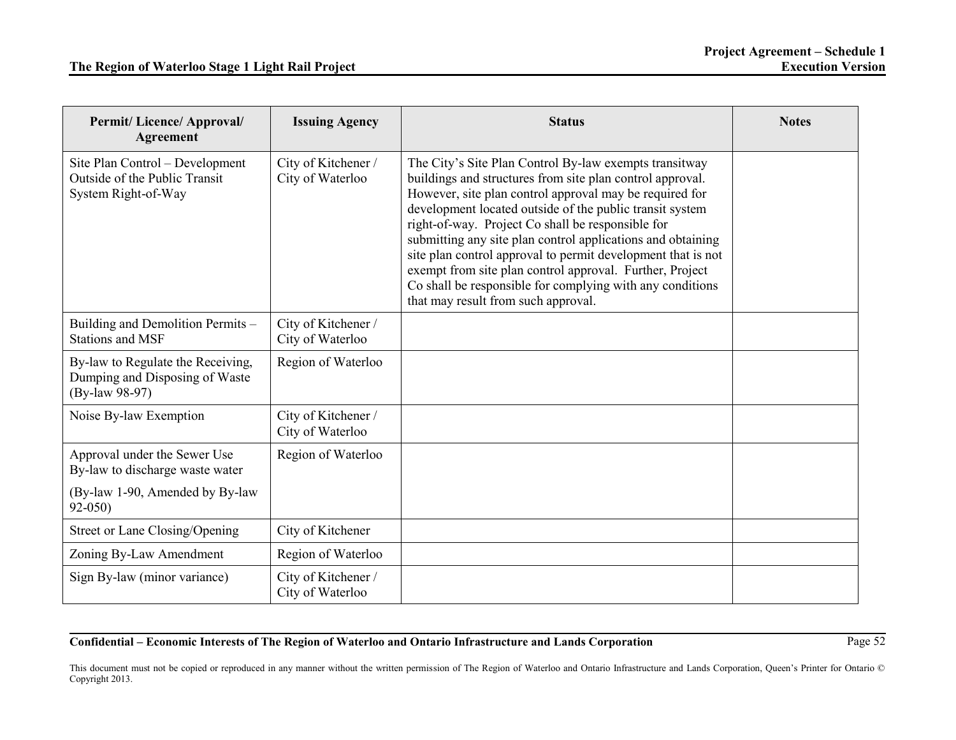| <b>Permit/Licence/Approval/</b><br><b>Agreement</b>                                                              | <b>Issuing Agency</b>                   | <b>Status</b>                                                                                                                                                                                                                                                                                                                                                                                                                                                                                                                                                                                  | <b>Notes</b> |
|------------------------------------------------------------------------------------------------------------------|-----------------------------------------|------------------------------------------------------------------------------------------------------------------------------------------------------------------------------------------------------------------------------------------------------------------------------------------------------------------------------------------------------------------------------------------------------------------------------------------------------------------------------------------------------------------------------------------------------------------------------------------------|--------------|
| Site Plan Control - Development<br>Outside of the Public Transit<br>System Right-of-Way                          | City of Kitchener /<br>City of Waterloo | The City's Site Plan Control By-law exempts transitway<br>buildings and structures from site plan control approval.<br>However, site plan control approval may be required for<br>development located outside of the public transit system<br>right-of-way. Project Co shall be responsible for<br>submitting any site plan control applications and obtaining<br>site plan control approval to permit development that is not<br>exempt from site plan control approval. Further, Project<br>Co shall be responsible for complying with any conditions<br>that may result from such approval. |              |
| Building and Demolition Permits -<br><b>Stations and MSF</b>                                                     | City of Kitchener /<br>City of Waterloo |                                                                                                                                                                                                                                                                                                                                                                                                                                                                                                                                                                                                |              |
| By-law to Regulate the Receiving,<br>Dumping and Disposing of Waste<br>(By-law 98-97)                            | Region of Waterloo                      |                                                                                                                                                                                                                                                                                                                                                                                                                                                                                                                                                                                                |              |
| Noise By-law Exemption                                                                                           | City of Kitchener /<br>City of Waterloo |                                                                                                                                                                                                                                                                                                                                                                                                                                                                                                                                                                                                |              |
| Approval under the Sewer Use<br>By-law to discharge waste water<br>(By-law 1-90, Amended by By-law<br>$92 - 050$ | Region of Waterloo                      |                                                                                                                                                                                                                                                                                                                                                                                                                                                                                                                                                                                                |              |
| Street or Lane Closing/Opening                                                                                   | City of Kitchener                       |                                                                                                                                                                                                                                                                                                                                                                                                                                                                                                                                                                                                |              |
| Zoning By-Law Amendment                                                                                          | Region of Waterloo                      |                                                                                                                                                                                                                                                                                                                                                                                                                                                                                                                                                                                                |              |
| Sign By-law (minor variance)                                                                                     | City of Kitchener /<br>City of Waterloo |                                                                                                                                                                                                                                                                                                                                                                                                                                                                                                                                                                                                |              |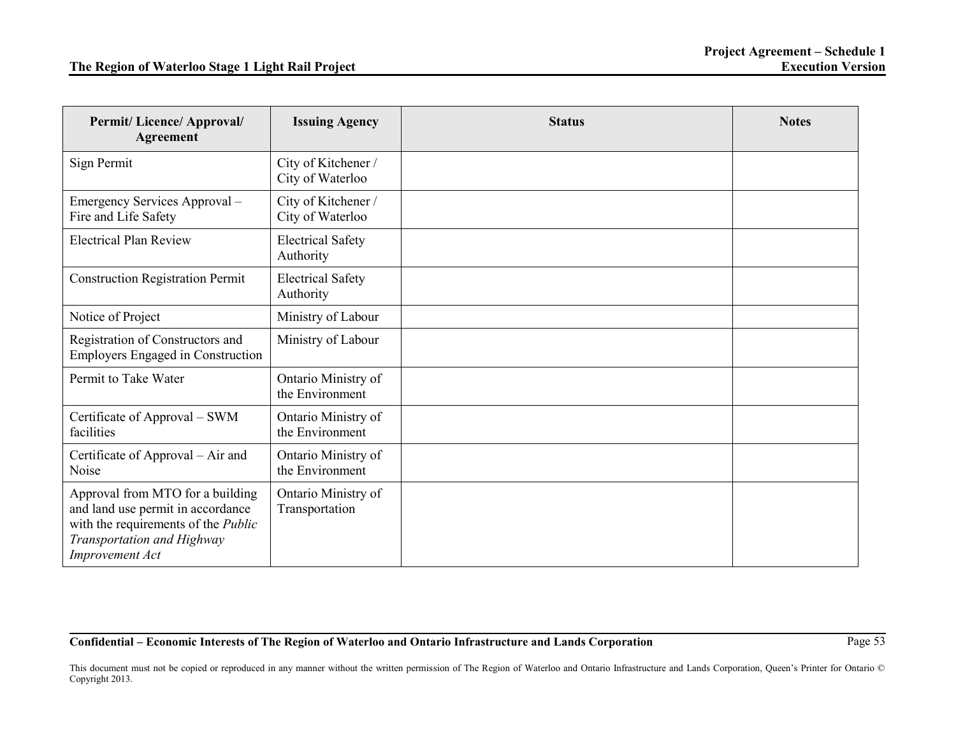| Permit/ Licence/ Approval/<br><b>Agreement</b>                                                                                                                              | <b>Issuing Agency</b>                   | <b>Status</b> | <b>Notes</b> |
|-----------------------------------------------------------------------------------------------------------------------------------------------------------------------------|-----------------------------------------|---------------|--------------|
| Sign Permit                                                                                                                                                                 | City of Kitchener /<br>City of Waterloo |               |              |
| Emergency Services Approval -<br>Fire and Life Safety                                                                                                                       | City of Kitchener /<br>City of Waterloo |               |              |
| <b>Electrical Plan Review</b>                                                                                                                                               | <b>Electrical Safety</b><br>Authority   |               |              |
| <b>Construction Registration Permit</b>                                                                                                                                     | <b>Electrical Safety</b><br>Authority   |               |              |
| Notice of Project                                                                                                                                                           | Ministry of Labour                      |               |              |
| Registration of Constructors and<br><b>Employers Engaged in Construction</b>                                                                                                | Ministry of Labour                      |               |              |
| Permit to Take Water                                                                                                                                                        | Ontario Ministry of<br>the Environment  |               |              |
| Certificate of Approval – SWM<br>facilities                                                                                                                                 | Ontario Ministry of<br>the Environment  |               |              |
| Certificate of Approval – Air and<br>Noise                                                                                                                                  | Ontario Ministry of<br>the Environment  |               |              |
| Approval from MTO for a building<br>and land use permit in accordance<br>with the requirements of the <i>Public</i><br>Transportation and Highway<br><b>Improvement Act</b> | Ontario Ministry of<br>Transportation   |               |              |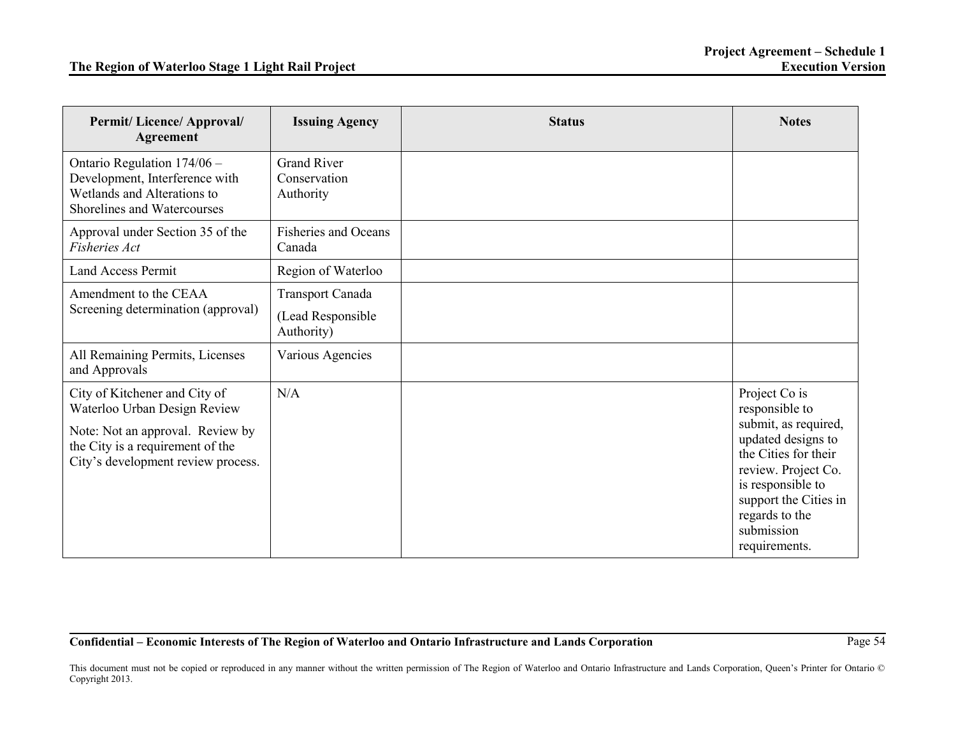| <b>Permit/Licence/Approval/</b><br><b>Agreement</b>                                                                                                                         | <b>Issuing Agency</b>                                      | <b>Status</b> | <b>Notes</b>                                                                                                                                                                                                                |
|-----------------------------------------------------------------------------------------------------------------------------------------------------------------------------|------------------------------------------------------------|---------------|-----------------------------------------------------------------------------------------------------------------------------------------------------------------------------------------------------------------------------|
| Ontario Regulation 174/06 -<br>Development, Interference with<br>Wetlands and Alterations to<br>Shorelines and Watercourses                                                 | <b>Grand River</b><br>Conservation<br>Authority            |               |                                                                                                                                                                                                                             |
| Approval under Section 35 of the<br>Fisheries Act                                                                                                                           | <b>Fisheries and Oceans</b><br>Canada                      |               |                                                                                                                                                                                                                             |
| <b>Land Access Permit</b>                                                                                                                                                   | Region of Waterloo                                         |               |                                                                                                                                                                                                                             |
| Amendment to the CEAA<br>Screening determination (approval)                                                                                                                 | <b>Transport Canada</b><br>(Lead Responsible<br>Authority) |               |                                                                                                                                                                                                                             |
| All Remaining Permits, Licenses<br>and Approvals                                                                                                                            | Various Agencies                                           |               |                                                                                                                                                                                                                             |
| City of Kitchener and City of<br>Waterloo Urban Design Review<br>Note: Not an approval. Review by<br>the City is a requirement of the<br>City's development review process. | N/A                                                        |               | Project Co is<br>responsible to<br>submit, as required,<br>updated designs to<br>the Cities for their<br>review. Project Co.<br>is responsible to<br>support the Cities in<br>regards to the<br>submission<br>requirements. |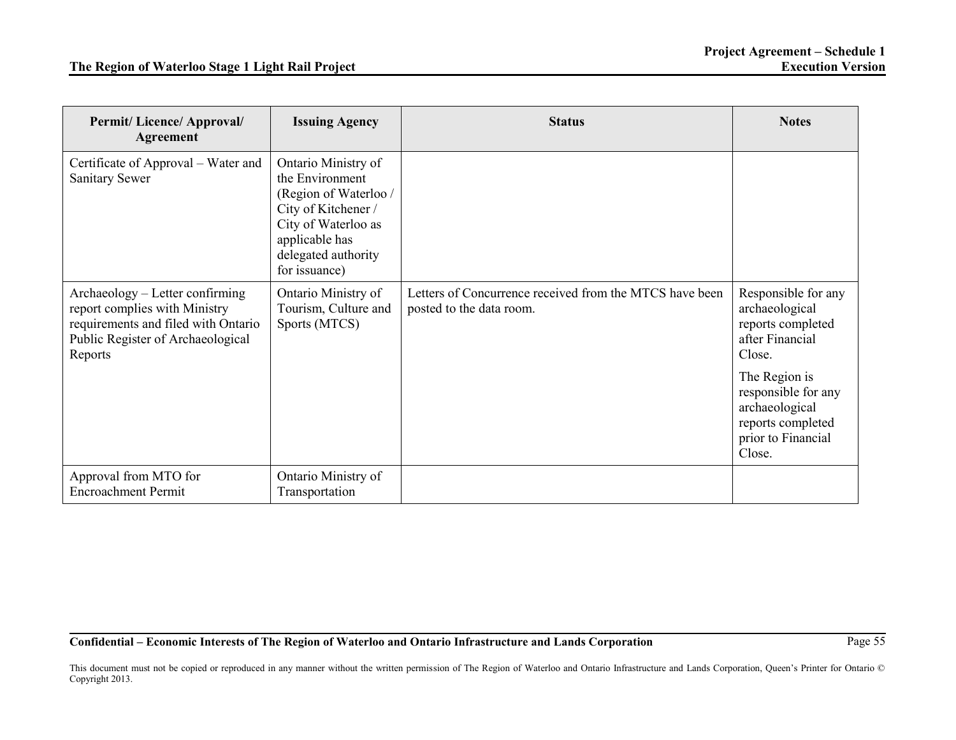| <b>Permit/Licence/Approval/</b><br><b>Agreement</b>                                                                                                     | <b>Issuing Agency</b>                                                                                                                                                   | <b>Status</b>                                                                       | <b>Notes</b>                                                                                                                                                                                           |
|---------------------------------------------------------------------------------------------------------------------------------------------------------|-------------------------------------------------------------------------------------------------------------------------------------------------------------------------|-------------------------------------------------------------------------------------|--------------------------------------------------------------------------------------------------------------------------------------------------------------------------------------------------------|
| Certificate of Approval – Water and<br><b>Sanitary Sewer</b>                                                                                            | Ontario Ministry of<br>the Environment<br>(Region of Waterloo /<br>City of Kitchener /<br>City of Waterloo as<br>applicable has<br>delegated authority<br>for issuance) |                                                                                     |                                                                                                                                                                                                        |
| Archaeology – Letter confirming<br>report complies with Ministry<br>requirements and filed with Ontario<br>Public Register of Archaeological<br>Reports | Ontario Ministry of<br>Tourism, Culture and<br>Sports (MTCS)                                                                                                            | Letters of Concurrence received from the MTCS have been<br>posted to the data room. | Responsible for any<br>archaeological<br>reports completed<br>after Financial<br>Close.<br>The Region is<br>responsible for any<br>archaeological<br>reports completed<br>prior to Financial<br>Close. |
| Approval from MTO for<br><b>Encroachment Permit</b>                                                                                                     | Ontario Ministry of<br>Transportation                                                                                                                                   |                                                                                     |                                                                                                                                                                                                        |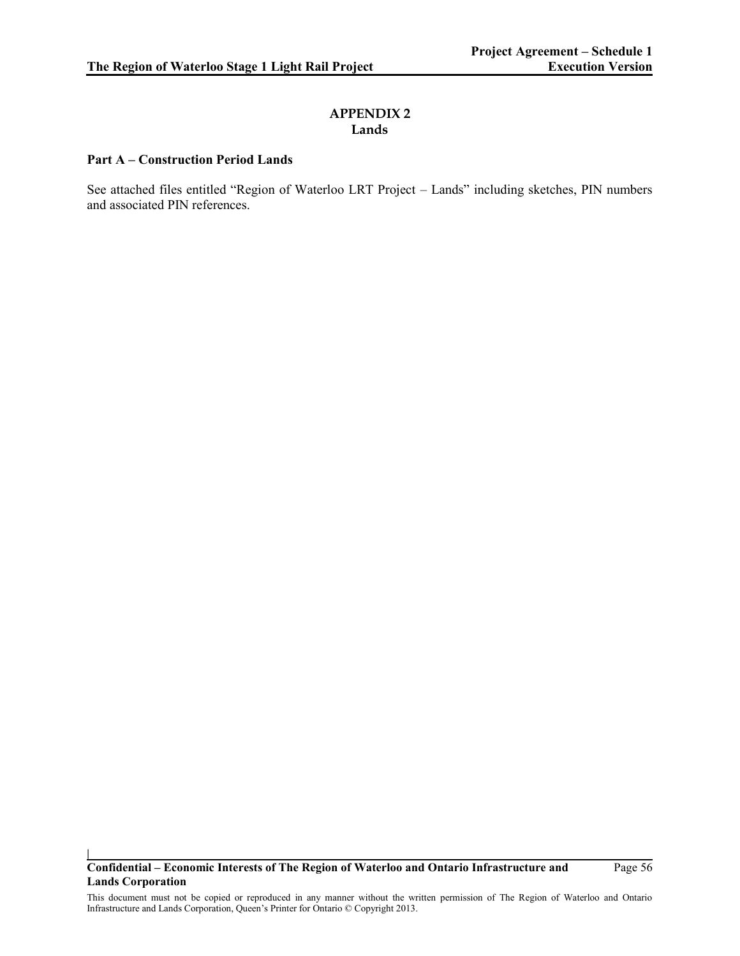## **APPENDIX 2 Lands**

## **Part A – Construction Period Lands**

**|**

See attached files entitled "Region of Waterloo LRT Project – Lands" including sketches, PIN numbers and associated PIN references.

**Confidential – Economic Interests of The Region of Waterloo and Ontario Infrastructure and Lands Corporation**

Page 56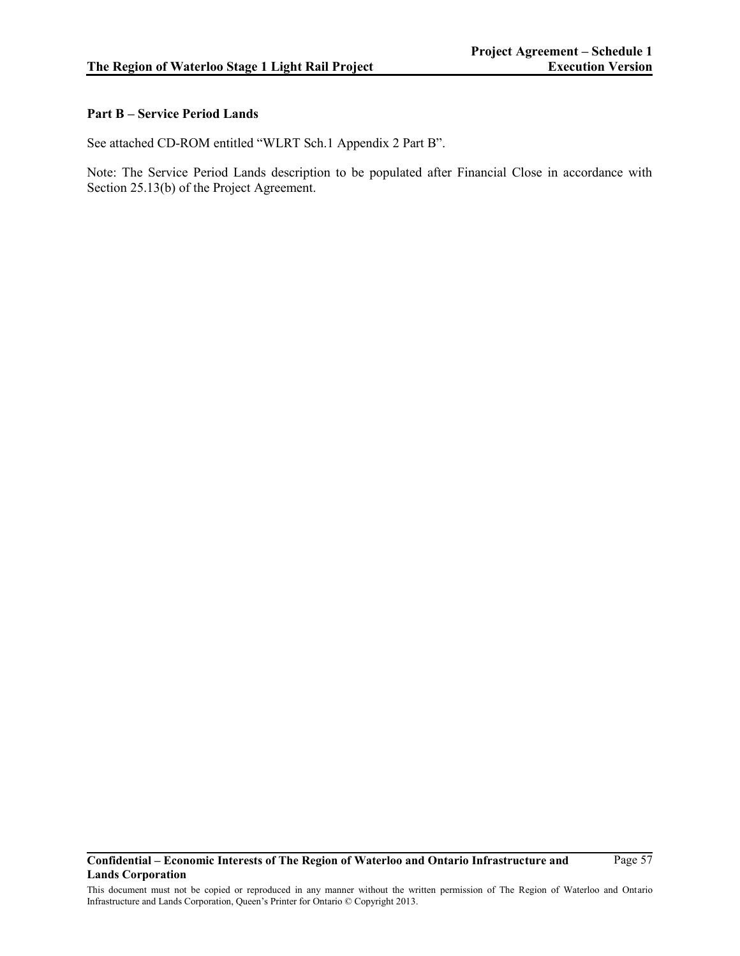## **Part B – Service Period Lands**

See attached CD-ROM entitled "WLRT Sch.1 Appendix 2 Part B".

Note: The Service Period Lands description to be populated after Financial Close in accordance with Section 25.13(b) of the Project Agreement.